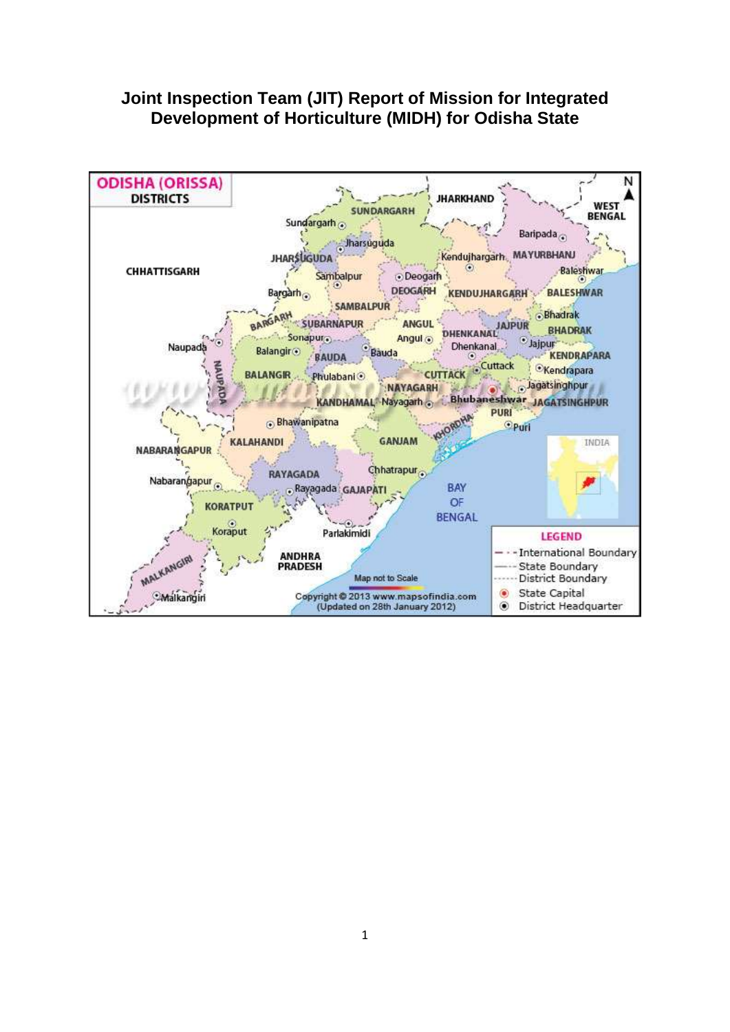## **Joint Inspection Team (JIT) Report of Mission for Integrated Development of Horticulture (MIDH) for Odisha State**

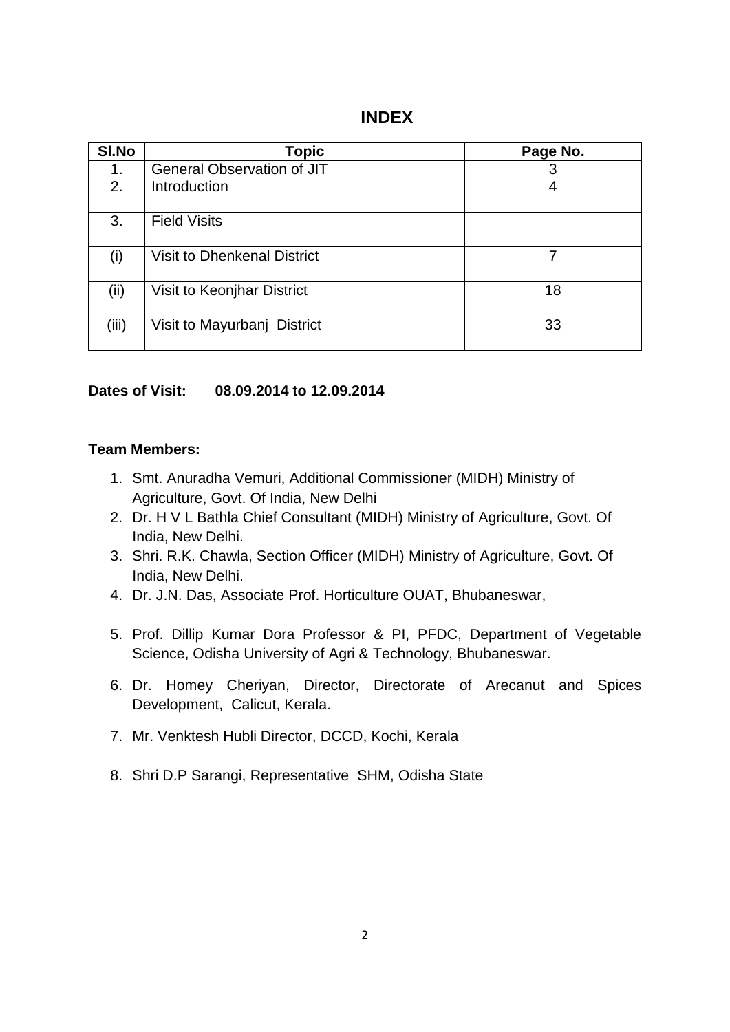### **INDEX**

| SI.No | Topic                              | Page No. |
|-------|------------------------------------|----------|
| 1.    | General Observation of JIT         | 3        |
| 2.    | Introduction                       | 4        |
| 3.    | <b>Field Visits</b>                |          |
| (i)   | <b>Visit to Dhenkenal District</b> | 7        |
| (ii)  | <b>Visit to Keonjhar District</b>  | 18       |
| (iii) | Visit to Mayurbanj District        | 33       |

#### **Dates of Visit: 08.09.2014 to 12.09.2014**

#### **Team Members:**

- 1. Smt. Anuradha Vemuri, Additional Commissioner (MIDH) Ministry of Agriculture, Govt. Of India, New Delhi
- 2. Dr. H V L Bathla Chief Consultant (MIDH) Ministry of Agriculture, Govt. Of India, New Delhi.
- 3. Shri. R.K. Chawla, Section Officer (MIDH) Ministry of Agriculture, Govt. Of India, New Delhi.
- 4. Dr. J.N. Das, Associate Prof. Horticulture OUAT, Bhubaneswar,
- 5. Prof. Dillip Kumar Dora Professor & PI, PFDC, Department of Vegetable Science, Odisha University of Agri & Technology, Bhubaneswar.
- 6. Dr. Homey Cheriyan, Director, Directorate of Arecanut and Spices Development, Calicut, Kerala.
- 7. Mr. Venktesh Hubli Director, DCCD, Kochi, Kerala
- 8. Shri D.P Sarangi, Representative SHM, Odisha State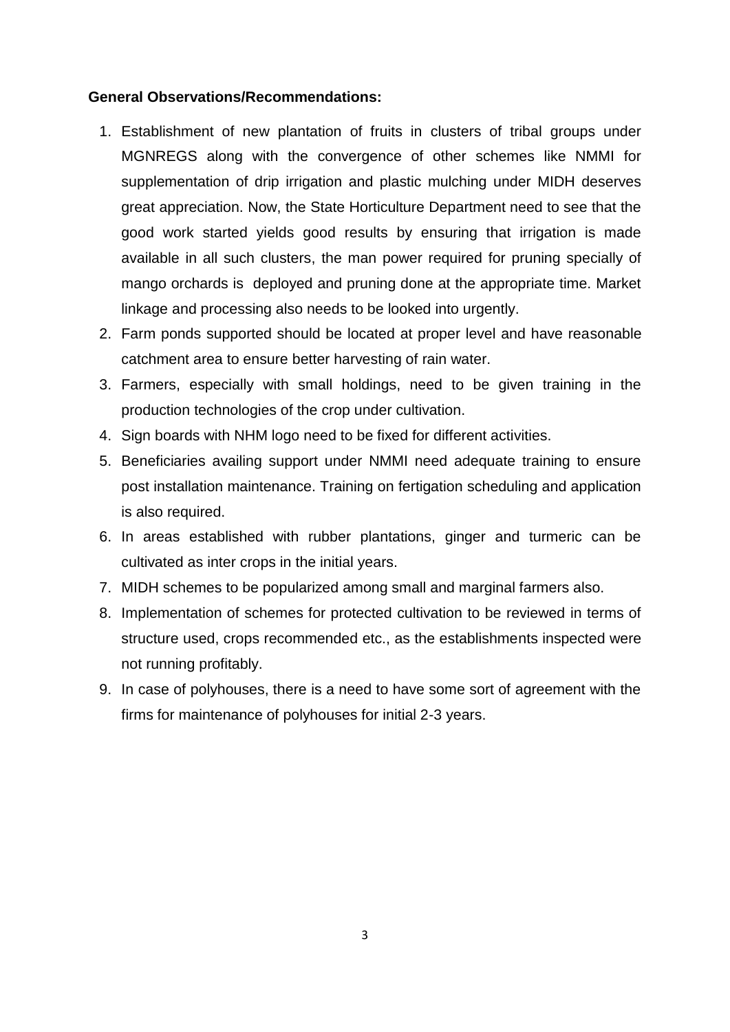#### **General Observations/Recommendations:**

- 1. Establishment of new plantation of fruits in clusters of tribal groups under MGNREGS along with the convergence of other schemes like NMMI for supplementation of drip irrigation and plastic mulching under MIDH deserves great appreciation. Now, the State Horticulture Department need to see that the good work started yields good results by ensuring that irrigation is made available in all such clusters, the man power required for pruning specially of mango orchards is deployed and pruning done at the appropriate time. Market linkage and processing also needs to be looked into urgently.
- 2. Farm ponds supported should be located at proper level and have reasonable catchment area to ensure better harvesting of rain water.
- 3. Farmers, especially with small holdings, need to be given training in the production technologies of the crop under cultivation.
- 4. Sign boards with NHM logo need to be fixed for different activities.
- 5. Beneficiaries availing support under NMMI need adequate training to ensure post installation maintenance. Training on fertigation scheduling and application is also required.
- 6. In areas established with rubber plantations, ginger and turmeric can be cultivated as inter crops in the initial years.
- 7. MIDH schemes to be popularized among small and marginal farmers also.
- 8. Implementation of schemes for protected cultivation to be reviewed in terms of structure used, crops recommended etc., as the establishments inspected were not running profitably.
- 9. In case of polyhouses, there is a need to have some sort of agreement with the firms for maintenance of polyhouses for initial 2-3 years.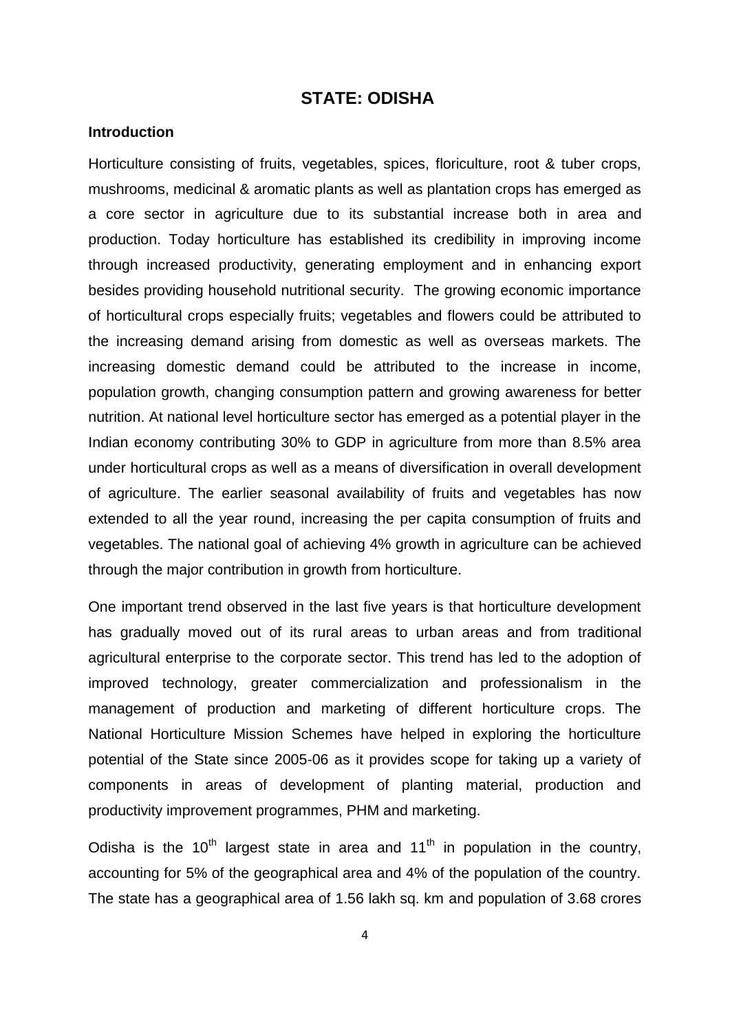### **STATE: ODISHA**

#### **Introduction**

Horticulture consisting of fruits, vegetables, spices, floriculture, root & tuber crops, mushrooms, medicinal & aromatic plants as well as plantation crops has emerged as a core sector in agriculture due to its substantial increase both in area and production. Today horticulture has established its credibility in improving income through increased productivity, generating employment and in enhancing export besides providing household nutritional security. The growing economic importance of horticultural crops especially fruits; vegetables and flowers could be attributed to the increasing demand arising from domestic as well as overseas markets. The increasing domestic demand could be attributed to the increase in income, population growth, changing consumption pattern and growing awareness for better nutrition. At national level horticulture sector has emerged as a potential player in the Indian economy contributing 30% to GDP in agriculture from more than 8.5% area under horticultural crops as well as a means of diversification in overall development of agriculture. The earlier seasonal availability of fruits and vegetables has now extended to all the year round, increasing the per capita consumption of fruits and vegetables. The national goal of achieving 4% growth in agriculture can be achieved through the major contribution in growth from horticulture.

One important trend observed in the last five years is that horticulture development has gradually moved out of its rural areas to urban areas and from traditional agricultural enterprise to the corporate sector. This trend has led to the adoption of improved technology, greater commercialization and professionalism in the management of production and marketing of different horticulture crops. The National Horticulture Mission Schemes have helped in exploring the horticulture potential of the State since 2005-06 as it provides scope for taking up a variety of components in areas of development of planting material, production and productivity improvement programmes, PHM and marketing.

Odisha is the 10<sup>th</sup> largest state in area and 11<sup>th</sup> in population in the country, accounting for 5% of the geographical area and 4% of the population of the country. The state has a geographical area of 1.56 lakh sq. km and population of 3.68 crores

4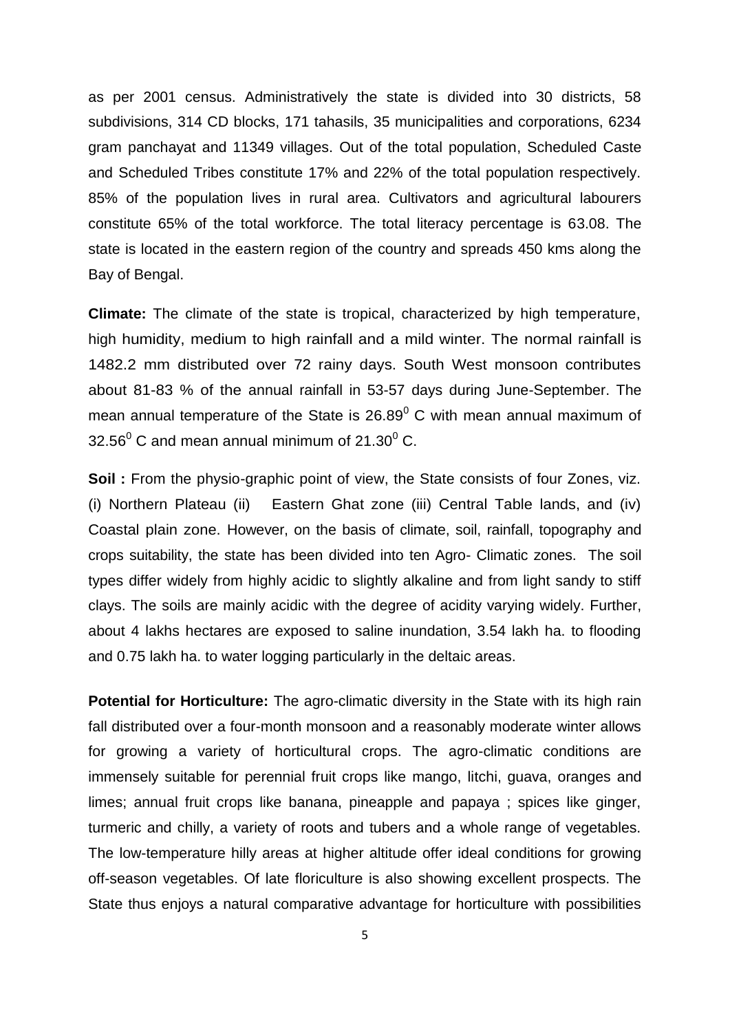as per 2001 census. Administratively the state is divided into 30 districts, 58 subdivisions, 314 CD blocks, 171 tahasils, 35 municipalities and corporations, 6234 gram panchayat and 11349 villages. Out of the total population, Scheduled Caste and Scheduled Tribes constitute 17% and 22% of the total population respectively. 85% of the population lives in rural area. Cultivators and agricultural labourers constitute 65% of the total workforce. The total literacy percentage is 63.08. The state is located in the eastern region of the country and spreads 450 kms along the Bay of Bengal.

**Climate:** The climate of the state is tropical, characterized by high temperature, high humidity, medium to high rainfall and a mild winter. The normal rainfall is 1482.2 mm distributed over 72 rainy days. South West monsoon contributes about 81-83 % of the annual rainfall in 53-57 days during June-September. The mean annual temperature of the State is  $26.89^{\circ}$  C with mean annual maximum of 32.56 $^0$  C and mean annual minimum of 21.30 $^0$  C.

**Soil :** From the physio-graphic point of view, the State consists of four Zones, viz. (i) Northern Plateau (ii) Eastern Ghat zone (iii) Central Table lands, and (iv) Coastal plain zone. However, on the basis of climate, soil, rainfall, topography and crops suitability, the state has been divided into ten Agro- Climatic zones. The soil types differ widely from highly acidic to slightly alkaline and from light sandy to stiff clays. The soils are mainly acidic with the degree of acidity varying widely. Further, about 4 lakhs hectares are exposed to saline inundation, 3.54 lakh ha. to flooding and 0.75 lakh ha. to water logging particularly in the deltaic areas.

**Potential for Horticulture:** The agro-climatic diversity in the State with its high rain fall distributed over a four-month monsoon and a reasonably moderate winter allows for growing a variety of horticultural crops. The agro-climatic conditions are immensely suitable for perennial fruit crops like mango, litchi, guava, oranges and limes; annual fruit crops like banana, pineapple and papaya ; spices like ginger, turmeric and chilly, a variety of roots and tubers and a whole range of vegetables. The low-temperature hilly areas at higher altitude offer ideal conditions for growing off-season vegetables. Of late floriculture is also showing excellent prospects. The State thus enjoys a natural comparative advantage for horticulture with possibilities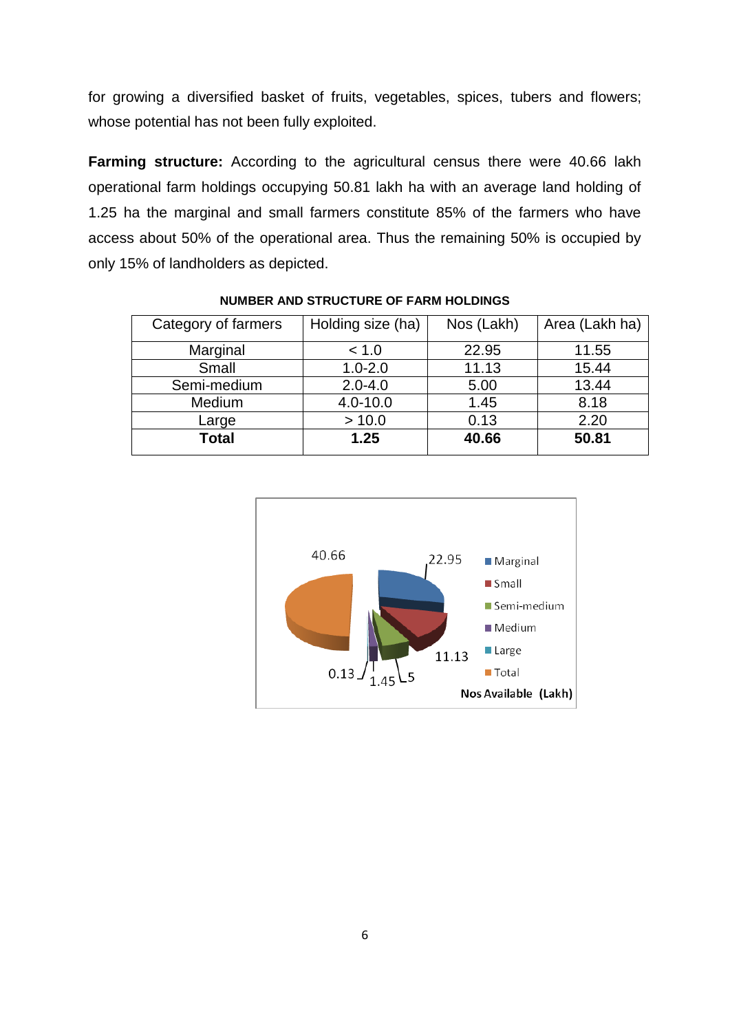for growing a diversified basket of fruits, vegetables, spices, tubers and flowers; whose potential has not been fully exploited.

**Farming structure:** According to the agricultural census there were 40.66 lakh operational farm holdings occupying 50.81 lakh ha with an average land holding of 1.25 ha the marginal and small farmers constitute 85% of the farmers who have access about 50% of the operational area. Thus the remaining 50% is occupied by only 15% of landholders as depicted.

| Category of farmers | Holding size (ha) | Nos (Lakh) | Area (Lakh ha) |
|---------------------|-------------------|------------|----------------|
| Marginal            | < 1.0             | 22.95      | 11.55          |
| Small               | $1.0 - 2.0$       | 11.13      | 15.44          |
| Semi-medium         | $2.0 - 4.0$       | 5.00       | 13.44          |
| Medium              | $4.0 - 10.0$      | 1.45       | 8.18           |
| Large               | > 10.0            | 0.13       | 2.20           |
| <b>Total</b>        | 1.25              | 40.66      | 50.81          |

**NUMBER AND STRUCTURE OF FARM HOLDINGS**

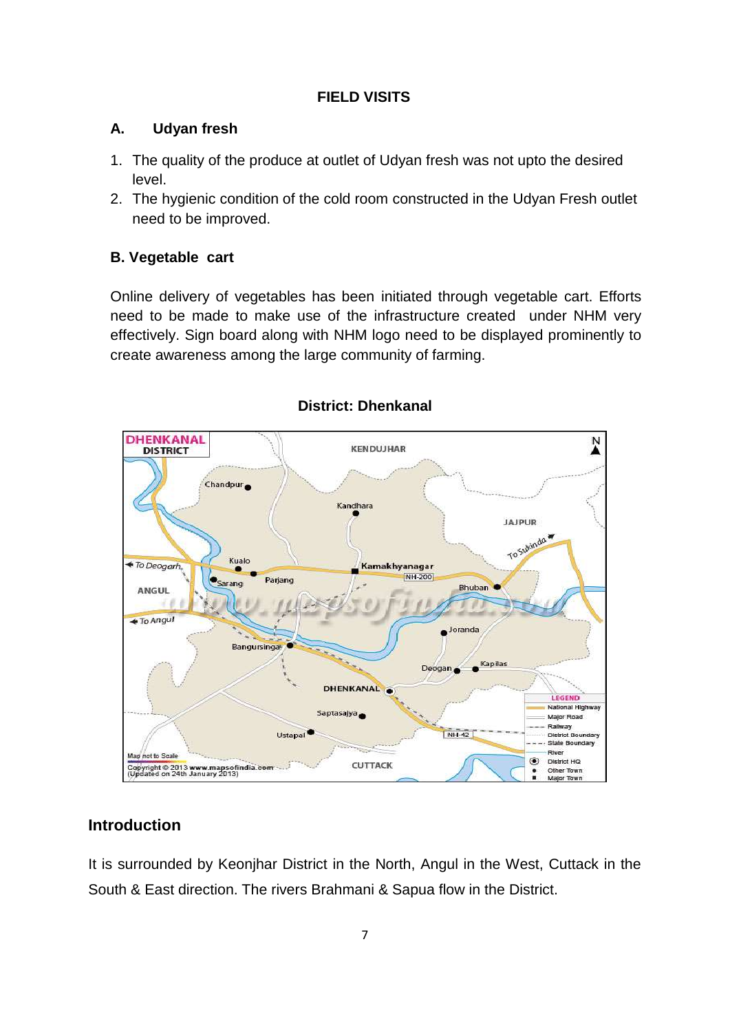## **FIELD VISITS**

## **A. Udyan fresh**

- 1. The quality of the produce at outlet of Udyan fresh was not upto the desired level.
- 2. The hygienic condition of the cold room constructed in the Udyan Fresh outlet need to be improved.

## **B. Vegetable cart**

Online delivery of vegetables has been initiated through vegetable cart. Efforts need to be made to make use of the infrastructure created under NHM very effectively. Sign board along with NHM logo need to be displayed prominently to create awareness among the large community of farming.



## **District: Dhenkanal**

## **Introduction**

It is surrounded by Keonjhar District in the North, Angul in the West, Cuttack in the South & East direction. The rivers Brahmani & Sapua flow in the District.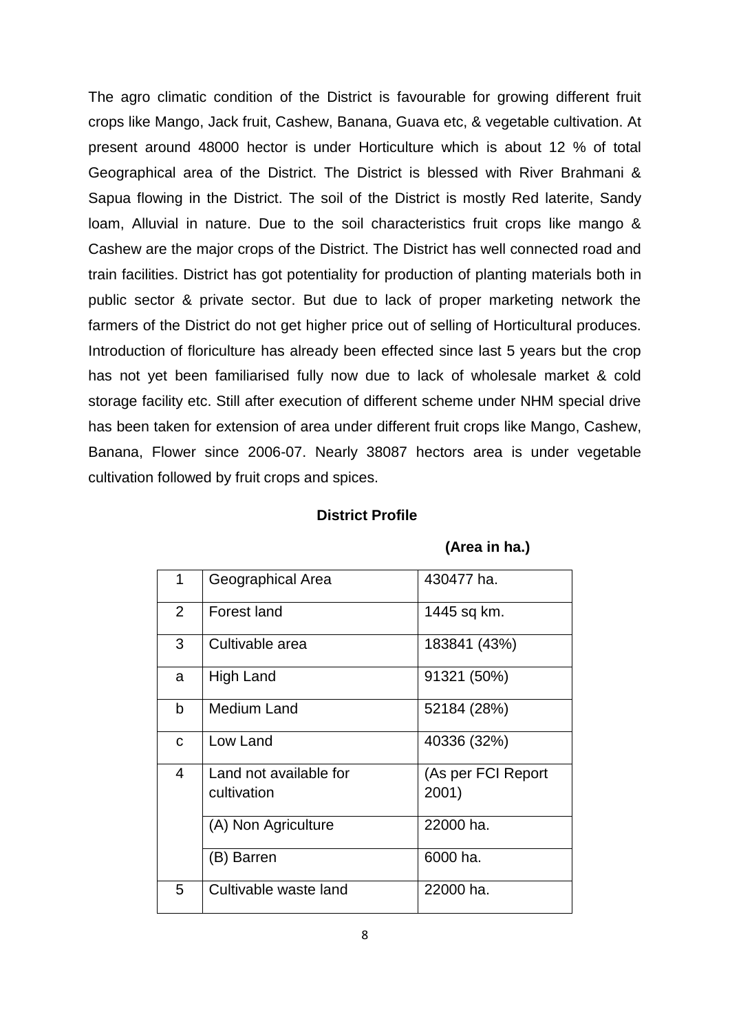The agro climatic condition of the District is favourable for growing different fruit crops like Mango, Jack fruit, Cashew, Banana, Guava etc, & vegetable cultivation. At present around 48000 hector is under Horticulture which is about 12 % of total Geographical area of the District. The District is blessed with River Brahmani & Sapua flowing in the District. The soil of the District is mostly Red laterite, Sandy loam, Alluvial in nature. Due to the soil characteristics fruit crops like mango & Cashew are the major crops of the District. The District has well connected road and train facilities. District has got potentiality for production of planting materials both in public sector & private sector. But due to lack of proper marketing network the farmers of the District do not get higher price out of selling of Horticultural produces. Introduction of floriculture has already been effected since last 5 years but the crop has not yet been familiarised fully now due to lack of wholesale market & cold storage facility etc. Still after execution of different scheme under NHM special drive has been taken for extension of area under different fruit crops like Mango, Cashew, Banana, Flower since 2006-07. Nearly 38087 hectors area is under vegetable cultivation followed by fruit crops and spices.

#### **District Profile**

| 1 | Geographical Area      | 430477 ha.         |
|---|------------------------|--------------------|
| 2 | Forest land            | 1445 sq km.        |
| 3 | Cultivable area        | 183841 (43%)       |
| a | High Land              | 91321 (50%)        |
| b | Medium Land            | 52184 (28%)        |
| C | Low Land               | 40336 (32%)        |
| 4 | Land not available for | (As per FCI Report |
|   | cultivation            | 2001)              |
|   | (A) Non Agriculture    | 22000 ha.          |
|   | (B) Barren             | 6000 ha.           |
| 5 | Cultivable waste land  | 22000 ha.          |

 **(Area in ha.)**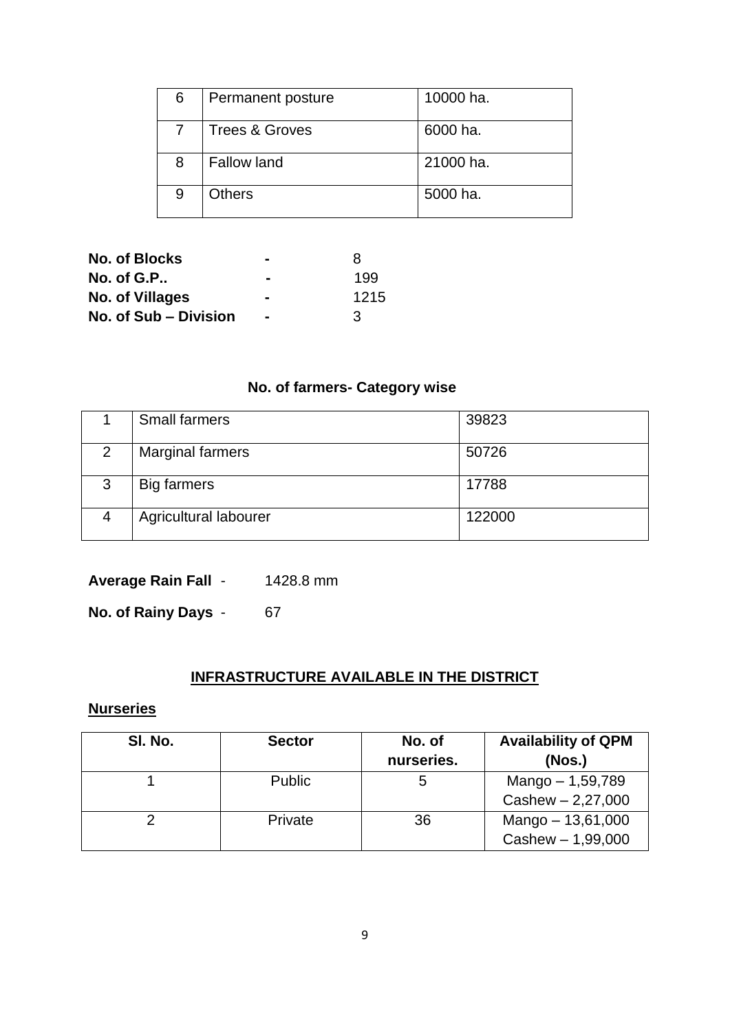| 6 | Permanent posture         | 10000 ha. |
|---|---------------------------|-----------|
|   | <b>Trees &amp; Groves</b> | 6000 ha.  |
| 8 | <b>Fallow land</b>        | 21000 ha. |
| 9 | <b>Others</b>             | 5000 ha.  |

| No. of Blocks         | $\sim$         | x    |
|-----------------------|----------------|------|
| No. of $G.P$ .        | $\sim$         | 199  |
| No. of Villages       | -              | 1215 |
| No. of Sub – Division | $\blacksquare$ | ર    |

## **No. of farmers- Category wise**

|   | <b>Small farmers</b>    | 39823  |
|---|-------------------------|--------|
| 2 | <b>Marginal farmers</b> | 50726  |
| 3 | Big farmers             | 17788  |
|   | Agricultural labourer   | 122000 |

**Average Rain Fall** - 1428.8 mm

**No. of Rainy Days - 67** 

## **INFRASTRUCTURE AVAILABLE IN THE DISTRICT**

## **Nurseries**

| SI. No. | <b>Sector</b> | No. of<br>nurseries. | <b>Availability of QPM</b><br>(Nos.)     |
|---------|---------------|----------------------|------------------------------------------|
|         | <b>Public</b> | 5                    | Mango - 1,59,789<br>$Cashew - 2,27,000$  |
|         | Private       | 36                   | Mango - 13,61,000<br>$Cashew - 1,99,000$ |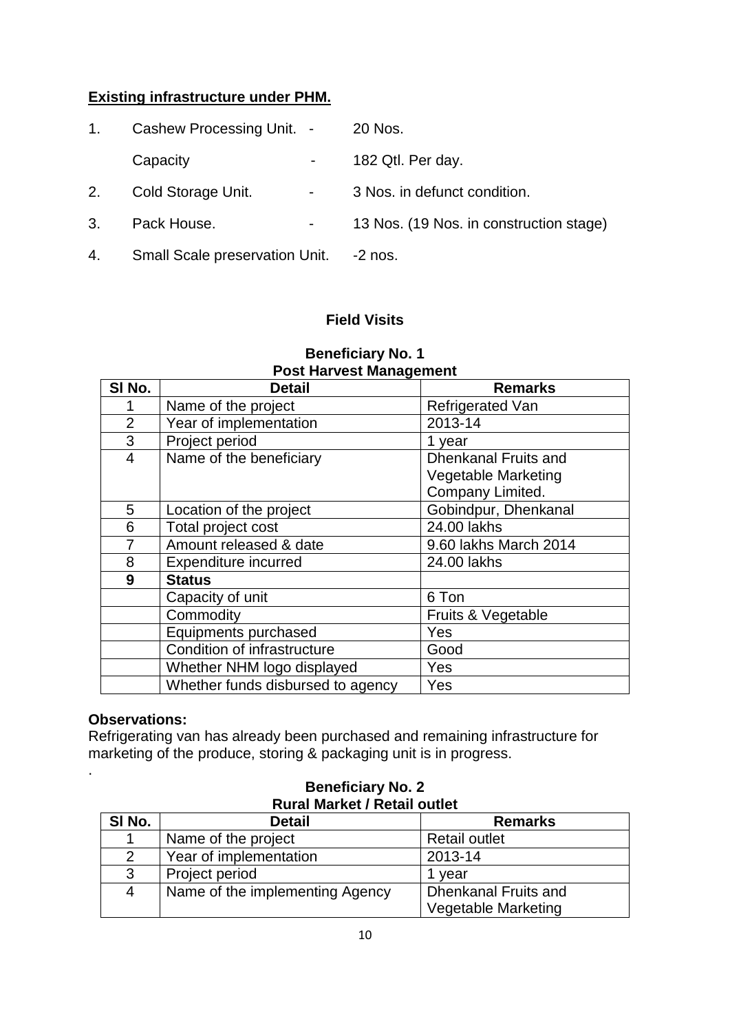## **Existing infrastructure under PHM.**

| 1. | Cashew Processing Unit. -             |                | 20 Nos.                                 |
|----|---------------------------------------|----------------|-----------------------------------------|
|    | Capacity                              | $\blacksquare$ | 182 Qtl. Per day.                       |
| 2. | Cold Storage Unit.                    | $\blacksquare$ | 3 Nos. in defunct condition.            |
| 3. | Pack House.                           |                | 13 Nos. (19 Nos. in construction stage) |
| 4. | <b>Small Scale preservation Unit.</b> |                | $-2$ nos.                               |

## **Field Visits**

|                | <u>FUSL FIAI VESL MANAGULIENT</u> |                             |  |  |  |
|----------------|-----------------------------------|-----------------------------|--|--|--|
| SI No.         | <b>Detail</b>                     | <b>Remarks</b>              |  |  |  |
|                | Name of the project               | Refrigerated Van            |  |  |  |
| $\overline{2}$ | Year of implementation            | 2013-14                     |  |  |  |
| 3              | Project period                    | 1 year                      |  |  |  |
| $\overline{4}$ | Name of the beneficiary           | <b>Dhenkanal Fruits and</b> |  |  |  |
|                |                                   | <b>Vegetable Marketing</b>  |  |  |  |
|                |                                   | Company Limited.            |  |  |  |
| 5              | Location of the project           | Gobindpur, Dhenkanal        |  |  |  |
| 6              | Total project cost                | 24.00 lakhs                 |  |  |  |
| $\overline{7}$ | Amount released & date            | 9.60 lakhs March 2014       |  |  |  |
| 8              | Expenditure incurred              | 24.00 lakhs                 |  |  |  |
| 9              | <b>Status</b>                     |                             |  |  |  |
|                | Capacity of unit                  | 6 Ton                       |  |  |  |
|                | Commodity                         | Fruits & Vegetable          |  |  |  |
|                | Equipments purchased              | Yes                         |  |  |  |
|                | Condition of infrastructure       | Good                        |  |  |  |
|                | Whether NHM logo displayed        | Yes                         |  |  |  |
|                | Whether funds disbursed to agency | Yes                         |  |  |  |

#### **Beneficiary No. 1 Post Harvest Management**

## **Observations:**

.

Refrigerating van has already been purchased and remaining infrastructure for marketing of the produce, storing & packaging unit is in progress.

| $R$ ulai Mar $R$ t $\ell$ Retail Outlet |                                 |                             |  |
|-----------------------------------------|---------------------------------|-----------------------------|--|
| SI No.                                  | <b>Detail</b>                   | <b>Remarks</b>              |  |
|                                         | Name of the project             | <b>Retail outlet</b>        |  |
| 2                                       | Year of implementation          | 2013-14                     |  |
| 3                                       | Project period                  | vear                        |  |
| 4                                       | Name of the implementing Agency | <b>Dhenkanal Fruits and</b> |  |
|                                         |                                 | <b>Vegetable Marketing</b>  |  |

#### **Beneficiary No. 2 Rural Market / Retail outlet**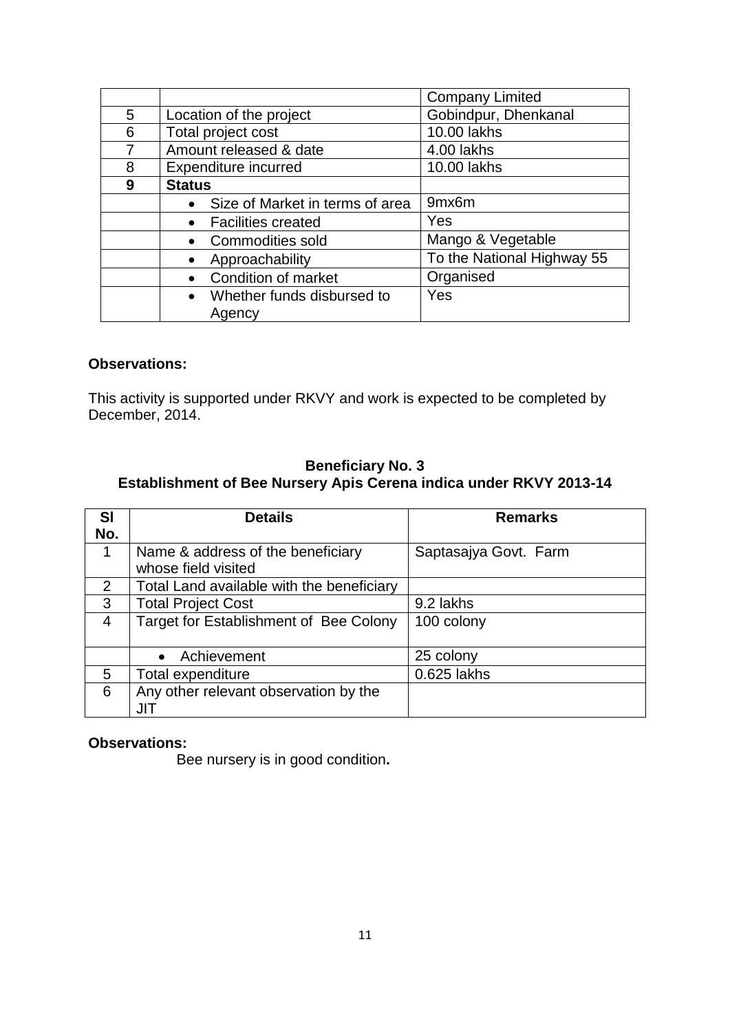|   |                                        | <b>Company Limited</b>     |
|---|----------------------------------------|----------------------------|
| 5 | Location of the project                | Gobindpur, Dhenkanal       |
| 6 | Total project cost                     | 10.00 lakhs                |
|   | Amount released & date                 | 4.00 lakhs                 |
| 8 | Expenditure incurred                   | 10.00 lakhs                |
| 9 | <b>Status</b>                          |                            |
|   | Size of Market in terms of area        | 9mx6m                      |
|   | <b>Facilities created</b><br>$\bullet$ | Yes                        |
|   | • Commodities sold                     | Mango & Vegetable          |
|   | Approachability                        | To the National Highway 55 |
|   | <b>Condition of market</b>             | Organised                  |
|   | • Whether funds disbursed to<br>Agency | Yes                        |

This activity is supported under RKVY and work is expected to be completed by December, 2014.

## **Beneficiary No. 3 Establishment of Bee Nursery Apis Cerena indica under RKVY 2013-14**

| <b>SI</b>      | <b>Details</b>                            | <b>Remarks</b>        |
|----------------|-------------------------------------------|-----------------------|
| No.            |                                           |                       |
| 1              | Name & address of the beneficiary         | Saptasajya Govt. Farm |
|                | whose field visited                       |                       |
| 2              | Total Land available with the beneficiary |                       |
| 3              | <b>Total Project Cost</b>                 | 9.2 lakhs             |
| $\overline{4}$ | Target for Establishment of Bee Colony    | 100 colony            |
|                |                                           |                       |
|                | Achievement                               | 25 colony             |
| 5              | Total expenditure                         | 0.625 lakhs           |
| 6              | Any other relevant observation by the     |                       |
|                | JIT                                       |                       |

#### **Observations:**

Bee nursery is in good condition**.**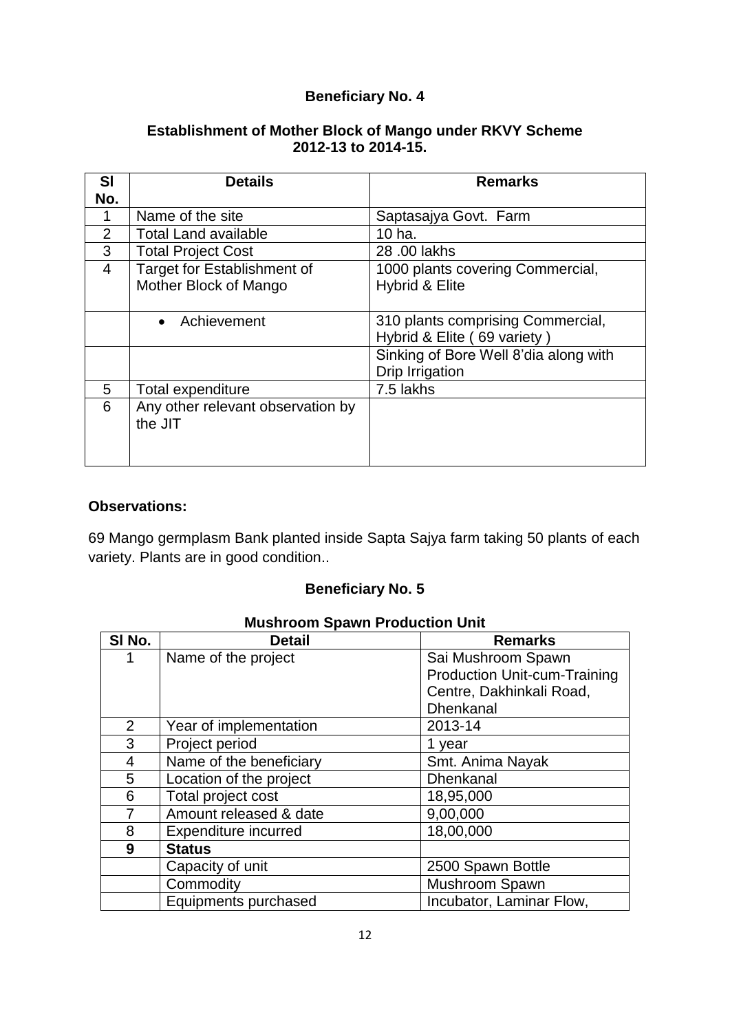#### **Establishment of Mother Block of Mango under RKVY Scheme 2012-13 to 2014-15.**

| <b>SI</b> | <b>Details</b>                     | <b>Remarks</b>                        |
|-----------|------------------------------------|---------------------------------------|
| No.       |                                    |                                       |
|           | Name of the site                   | Saptasajya Govt. Farm                 |
| 2         | <b>Total Land available</b>        | 10 ha.                                |
| 3         | <b>Total Project Cost</b>          | 28,00 lakhs                           |
| 4         | <b>Target for Establishment of</b> | 1000 plants covering Commercial,      |
|           | Mother Block of Mango              | Hybrid & Elite                        |
|           |                                    |                                       |
|           | Achievement<br>$\bullet$           | 310 plants comprising Commercial,     |
|           |                                    | Hybrid & Elite (69 variety)           |
|           |                                    | Sinking of Bore Well 8'dia along with |
|           |                                    | Drip Irrigation                       |
| 5         | Total expenditure                  | 7.5 lakhs                             |
| 6         | Any other relevant observation by  |                                       |
|           | the JIT                            |                                       |
|           |                                    |                                       |
|           |                                    |                                       |

#### **Observations:**

69 Mango germplasm Bank planted inside Sapta Sajya farm taking 50 plants of each variety. Plants are in good condition..

## **Beneficiary No. 5**

| SI No.         | <b>Detail</b>           | <b>Remarks</b>                      |
|----------------|-------------------------|-------------------------------------|
| 1              | Name of the project     | Sai Mushroom Spawn                  |
|                |                         | <b>Production Unit-cum-Training</b> |
|                |                         | Centre, Dakhinkali Road,            |
|                |                         | <b>Dhenkanal</b>                    |
| $\overline{2}$ | Year of implementation  | 2013-14                             |
| 3              | Project period          | 1 year                              |
| 4              | Name of the beneficiary | Smt. Anima Nayak                    |
| 5              | Location of the project | <b>Dhenkanal</b>                    |
| 6              | Total project cost      | 18,95,000                           |
|                | Amount released & date  | 9,00,000                            |
| 8              | Expenditure incurred    | 18,00,000                           |
| 9              | <b>Status</b>           |                                     |
|                | Capacity of unit        | 2500 Spawn Bottle                   |
|                | Commodity               | Mushroom Spawn                      |
|                | Equipments purchased    | Incubator, Laminar Flow,            |

### **Mushroom Spawn Production Unit**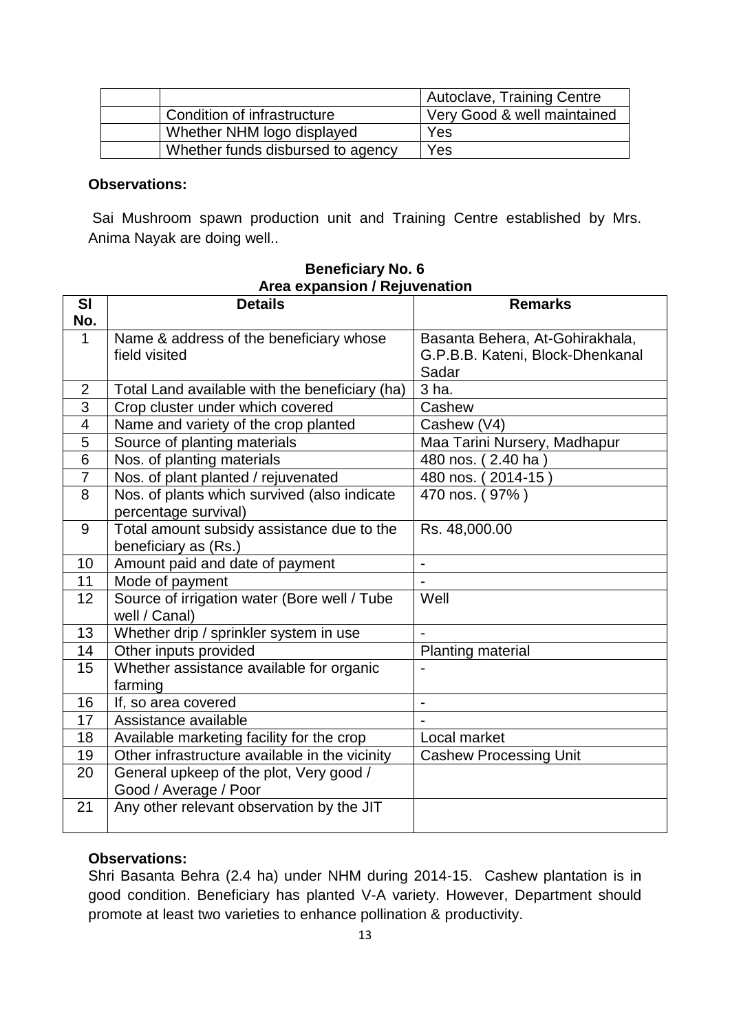|                                   | Autoclave, Training Centre  |
|-----------------------------------|-----------------------------|
| Condition of infrastructure       | Very Good & well maintained |
| Whether NHM logo displayed        | Yes                         |
| Whether funds disbursed to agency | Yes                         |

Sai Mushroom spawn production unit and Training Centre established by Mrs. Anima Nayak are doing well..

| SI             | <b>Details</b>                                 | <b>Remarks</b>                   |
|----------------|------------------------------------------------|----------------------------------|
| No.            |                                                |                                  |
| $\mathbf 1$    | Name & address of the beneficiary whose        | Basanta Behera, At-Gohirakhala,  |
|                | field visited                                  | G.P.B.B. Kateni, Block-Dhenkanal |
|                |                                                | Sadar                            |
| $\overline{2}$ | Total Land available with the beneficiary (ha) | 3 ha.                            |
| 3              | Crop cluster under which covered               | Cashew                           |
| 4              | Name and variety of the crop planted           | Cashew (V4)                      |
| 5              | Source of planting materials                   | Maa Tarini Nursery, Madhapur     |
| $\overline{6}$ | Nos. of planting materials                     | 480 nos. (2.40 ha)               |
| $\overline{7}$ | Nos. of plant planted / rejuvenated            | 480 nos. (2014-15)               |
| 8              | Nos. of plants which survived (also indicate   | 470 nos. (97%)                   |
|                | percentage survival)                           |                                  |
| 9              | Total amount subsidy assistance due to the     | Rs. 48,000.00                    |
|                | beneficiary as (Rs.)                           |                                  |
| 10             | Amount paid and date of payment                | $\overline{\phantom{0}}$         |
| 11             | Mode of payment                                |                                  |
| 12             | Source of irrigation water (Bore well / Tube   | Well                             |
|                | well / Canal)                                  |                                  |
| 13             | Whether drip / sprinkler system in use         |                                  |
| 14             | Other inputs provided                          | Planting material                |
| 15             | Whether assistance available for organic       |                                  |
|                | farming                                        |                                  |
| 16             | If, so area covered                            | $\overline{a}$                   |
| 17             | Assistance available                           |                                  |
| 18             | Available marketing facility for the crop      | Local market                     |
| 19             | Other infrastructure available in the vicinity | <b>Cashew Processing Unit</b>    |
| 20             | General upkeep of the plot, Very good /        |                                  |
|                | Good / Average / Poor                          |                                  |
| 21             | Any other relevant observation by the JIT      |                                  |
|                |                                                |                                  |

#### **Beneficiary No. 6 Area expansion / Rejuvenation**

#### **Observations:**

Shri Basanta Behra (2.4 ha) under NHM during 2014-15. Cashew plantation is in good condition. Beneficiary has planted V-A variety. However, Department should promote at least two varieties to enhance pollination & productivity.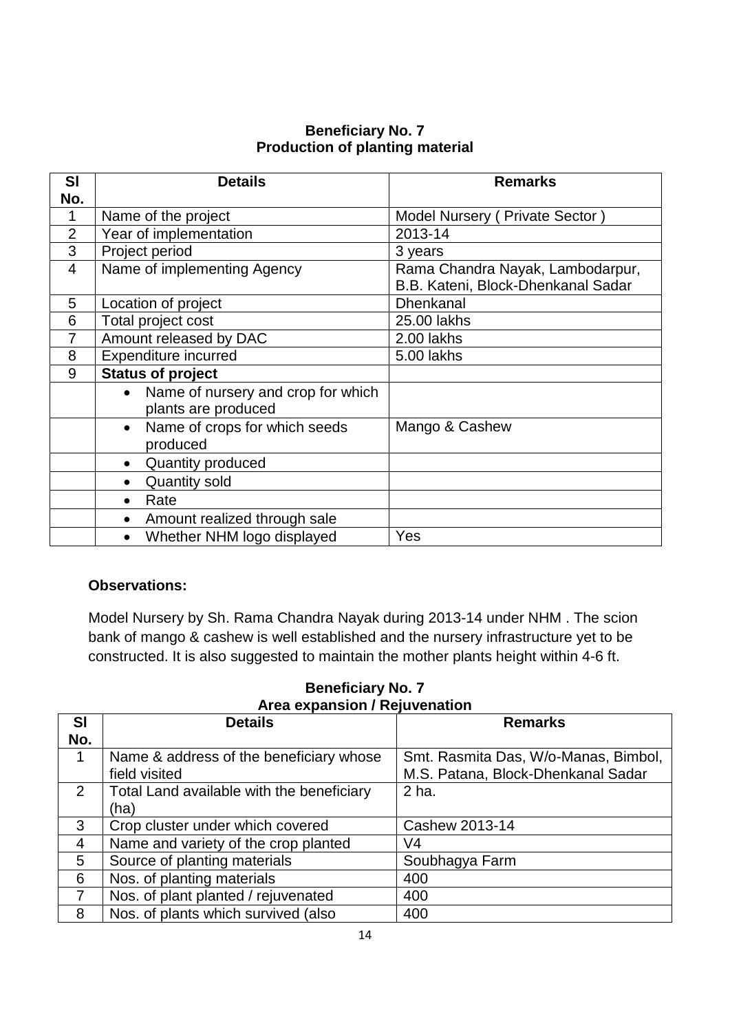### **Beneficiary No. 7 Production of planting material**

| <b>SI</b>      | <b>Details</b>                                  | <b>Remarks</b>                     |
|----------------|-------------------------------------------------|------------------------------------|
| No.            |                                                 |                                    |
| 1              | Name of the project                             | Model Nursery (Private Sector)     |
| $\overline{2}$ | Year of implementation                          | 2013-14                            |
| 3              | Project period                                  | 3 years                            |
| 4              | Name of implementing Agency                     | Rama Chandra Nayak, Lambodarpur,   |
|                |                                                 | B.B. Kateni, Block-Dhenkanal Sadar |
| 5              | Location of project                             | <b>Dhenkanal</b>                   |
| 6              | Total project cost                              | 25.00 lakhs                        |
| 7              | Amount released by DAC                          | 2.00 lakhs                         |
| 8              | <b>Expenditure incurred</b>                     | 5.00 lakhs                         |
| 9              | <b>Status of project</b>                        |                                    |
|                | Name of nursery and crop for which<br>$\bullet$ |                                    |
|                | plants are produced                             |                                    |
|                | Name of crops for which seeds<br>$\bullet$      | Mango & Cashew                     |
|                | produced                                        |                                    |
|                | Quantity produced<br>$\bullet$                  |                                    |
|                | <b>Quantity sold</b><br>$\bullet$               |                                    |
|                | Rate<br>$\bullet$                               |                                    |
|                | Amount realized through sale<br>$\bullet$       |                                    |
|                | Whether NHM logo displayed                      | Yes                                |

#### **Observations:**

Model Nursery by Sh. Rama Chandra Nayak during 2013-14 under NHM . The scion bank of mango & cashew is well established and the nursery infrastructure yet to be constructed. It is also suggested to maintain the mother plants height within 4-6 ft.

| <b>SI</b>      | <b>Details</b>                                           | <b>Remarks</b>                                                             |
|----------------|----------------------------------------------------------|----------------------------------------------------------------------------|
| No.            |                                                          |                                                                            |
| 1              | Name & address of the beneficiary whose<br>field visited | Smt. Rasmita Das, W/o-Manas, Bimbol,<br>M.S. Patana, Block-Dhenkanal Sadar |
| 2              | Total Land available with the beneficiary                | 2 ha.                                                                      |
|                | (ha)                                                     |                                                                            |
| 3              | Crop cluster under which covered                         | Cashew 2013-14                                                             |
| $\overline{4}$ | Name and variety of the crop planted                     | V4                                                                         |
| 5              | Source of planting materials                             | Soubhagya Farm                                                             |
| 6              | Nos. of planting materials                               | 400                                                                        |
| $\overline{7}$ | Nos. of plant planted / rejuvenated                      | 400                                                                        |
| 8              | Nos. of plants which survived (also                      | 400                                                                        |

## **Beneficiary No. 7 Area expansion / Rejuvenation**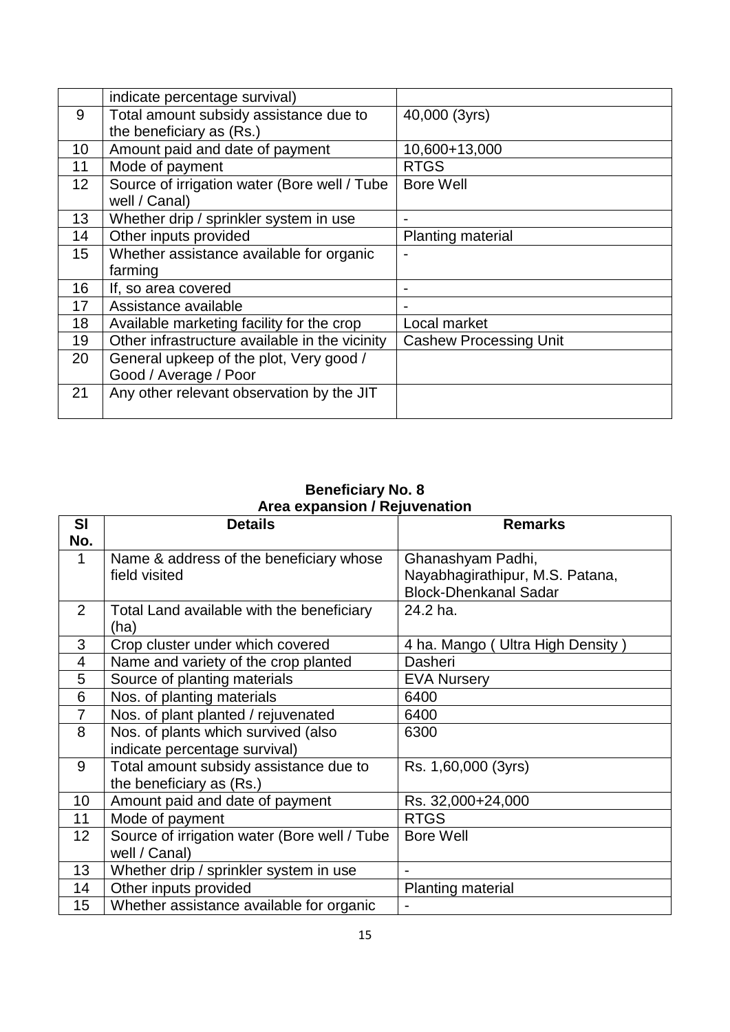|                 | indicate percentage survival)                  |                               |
|-----------------|------------------------------------------------|-------------------------------|
| 9               | Total amount subsidy assistance due to         | 40,000 (3yrs)                 |
|                 | the beneficiary as (Rs.)                       |                               |
| 10              | Amount paid and date of payment                | 10,600+13,000                 |
| 11              | Mode of payment                                | <b>RTGS</b>                   |
| 12 <sup>2</sup> | Source of irrigation water (Bore well / Tube   | <b>Bore Well</b>              |
|                 | well / Canal)                                  |                               |
| 13              | Whether drip / sprinkler system in use         |                               |
| 14              | Other inputs provided                          | <b>Planting material</b>      |
| 15 <sub>1</sub> | Whether assistance available for organic       |                               |
|                 | farming                                        |                               |
| 16              | If, so area covered                            |                               |
| 17              | Assistance available                           |                               |
| 18              | Available marketing facility for the crop      | Local market                  |
| 19              | Other infrastructure available in the vicinity | <b>Cashew Processing Unit</b> |
| 20              | General upkeep of the plot, Very good /        |                               |
|                 | Good / Average / Poor                          |                               |
| 21              | Any other relevant observation by the JIT      |                               |
|                 |                                                |                               |

#### **Beneficiary No. 8 Area expansion / Rejuvenation**

| <b>SI</b>      | <b>Details</b>                               | <b>Remarks</b>                     |
|----------------|----------------------------------------------|------------------------------------|
| No.            |                                              |                                    |
| 1              | Name & address of the beneficiary whose      | Ghanashyam Padhi,                  |
|                | field visited                                | Nayabhagirathipur, M.S. Patana,    |
|                |                                              | <b>Block-Dhenkanal Sadar</b>       |
| $\overline{2}$ | Total Land available with the beneficiary    | 24.2 ha.                           |
|                | (ha)                                         |                                    |
| 3              | Crop cluster under which covered             | 4 ha. Mango ( Ultra High Density ) |
| 4              | Name and variety of the crop planted         | Dasheri                            |
| 5              | Source of planting materials                 | <b>EVA Nursery</b>                 |
| 6              | Nos. of planting materials                   | 6400                               |
| 7              | Nos. of plant planted / rejuvenated          | 6400                               |
| 8              | Nos. of plants which survived (also          | 6300                               |
|                | indicate percentage survival)                |                                    |
| 9              | Total amount subsidy assistance due to       | Rs. 1,60,000 (3yrs)                |
|                | the beneficiary as (Rs.)                     |                                    |
| 10             | Amount paid and date of payment              | Rs. 32,000+24,000                  |
| 11             | Mode of payment                              | <b>RTGS</b>                        |
| 12             | Source of irrigation water (Bore well / Tube | <b>Bore Well</b>                   |
|                | well / Canal)                                |                                    |
| 13             | Whether drip / sprinkler system in use       | $\blacksquare$                     |
| 14             | Other inputs provided                        | <b>Planting material</b>           |
| 15             | Whether assistance available for organic     | ÷                                  |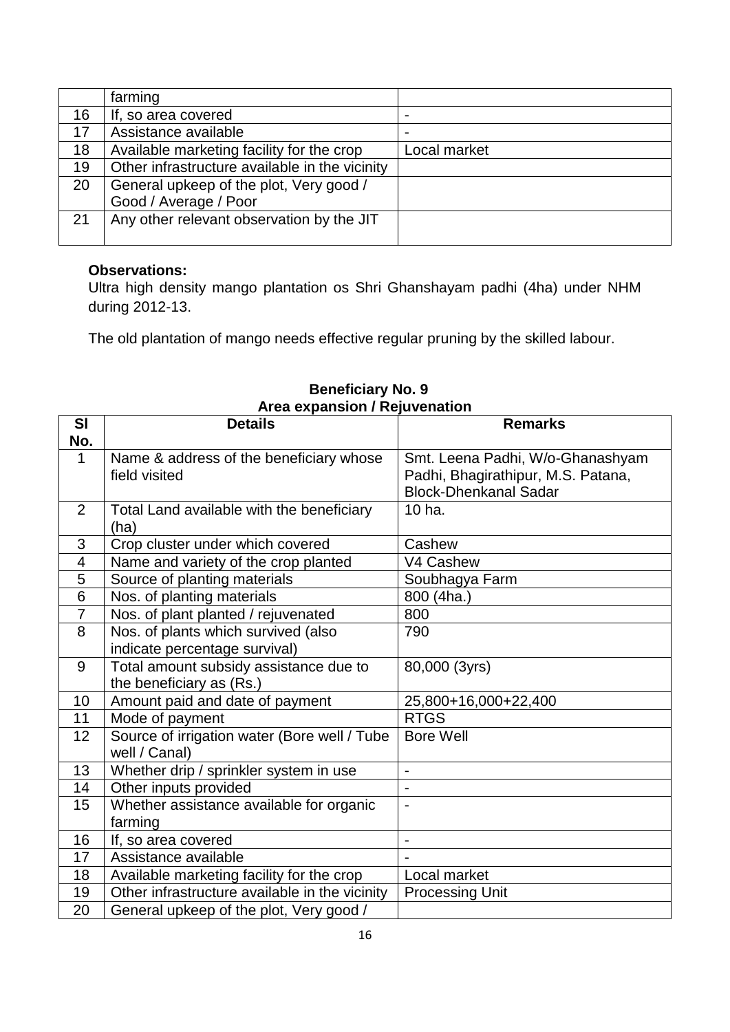|    | farming                                        |                          |
|----|------------------------------------------------|--------------------------|
| 16 | If, so area covered                            | $\blacksquare$           |
| 17 | Assistance available                           | $\overline{\phantom{0}}$ |
| 18 | Available marketing facility for the crop      | Local market             |
| 19 | Other infrastructure available in the vicinity |                          |
| 20 | General upkeep of the plot, Very good /        |                          |
|    | Good / Average / Poor                          |                          |
| 21 | Any other relevant observation by the JIT      |                          |
|    |                                                |                          |

Ultra high density mango plantation os Shri Ghanshayam padhi (4ha) under NHM during 2012-13.

The old plantation of mango needs effective regular pruning by the skilled labour.

| SI             | <b>Details</b>                                 | <b>Remarks</b>                     |
|----------------|------------------------------------------------|------------------------------------|
| No.            |                                                |                                    |
| $\mathbf{1}$   | Name & address of the beneficiary whose        | Smt. Leena Padhi, W/o-Ghanashyam   |
|                | field visited                                  | Padhi, Bhagirathipur, M.S. Patana, |
|                |                                                | <b>Block-Dhenkanal Sadar</b>       |
| 2              | Total Land available with the beneficiary      | 10 ha.                             |
|                | (ha)                                           |                                    |
| 3              | Crop cluster under which covered               | Cashew                             |
| $\overline{4}$ | Name and variety of the crop planted           | V4 Cashew                          |
| 5              | Source of planting materials                   | Soubhagya Farm                     |
| $\overline{6}$ | Nos. of planting materials                     | 800 (4ha.)                         |
| $\overline{7}$ | Nos. of plant planted / rejuvenated            | 800                                |
| 8              | Nos. of plants which survived (also            | 790                                |
|                | indicate percentage survival)                  |                                    |
| 9              | Total amount subsidy assistance due to         | 80,000 (3yrs)                      |
|                | the beneficiary as (Rs.)                       |                                    |
| 10             | Amount paid and date of payment                | 25,800+16,000+22,400               |
| 11             | Mode of payment                                | <b>RTGS</b>                        |
| 12             | Source of irrigation water (Bore well / Tube   | <b>Bore Well</b>                   |
|                | well / Canal)                                  |                                    |
| 13             | Whether drip / sprinkler system in use         | $\overline{\phantom{a}}$           |
| 14             | Other inputs provided                          | $\overline{a}$                     |
| 15             | Whether assistance available for organic       | $\overline{a}$                     |
|                | farming                                        |                                    |
| 16             | If, so area covered                            | $\blacksquare$                     |
| 17             | Assistance available                           |                                    |
| 18             | Available marketing facility for the crop      | Local market                       |
| 19             | Other infrastructure available in the vicinity | <b>Processing Unit</b>             |
| 20             | General upkeep of the plot, Very good /        |                                    |

 **Beneficiary No. 9 Area expansion / Rejuvenation**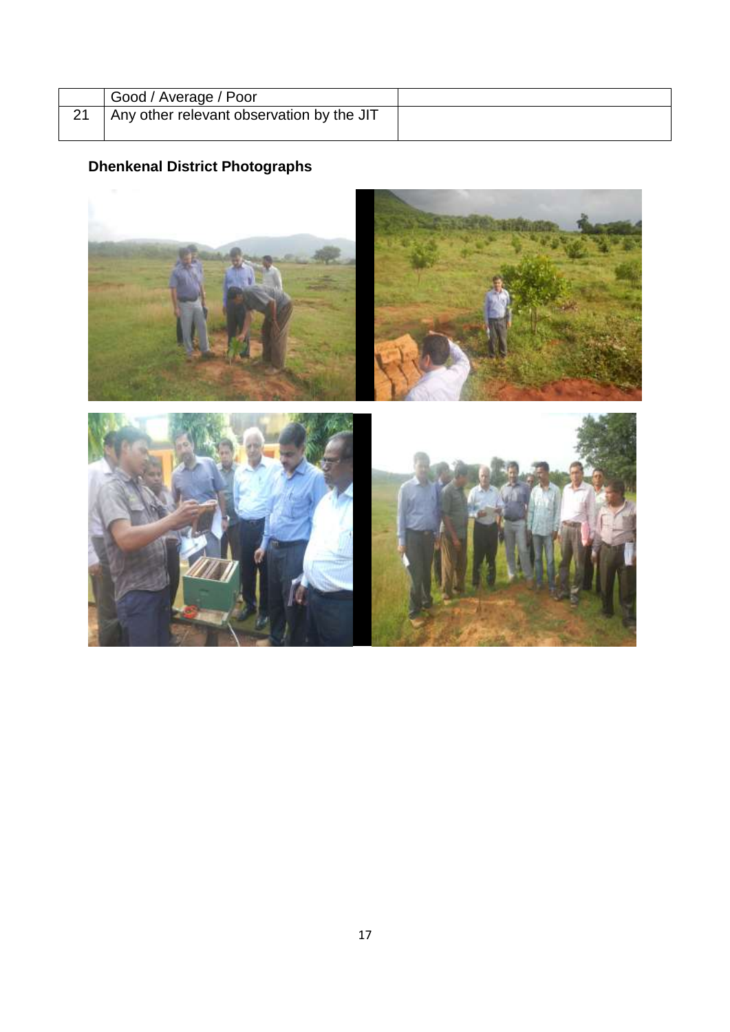| Good / Average / Poor                     |  |
|-------------------------------------------|--|
| Any other relevant observation by the JIT |  |
|                                           |  |

# **Dhenkenal District Photographs**

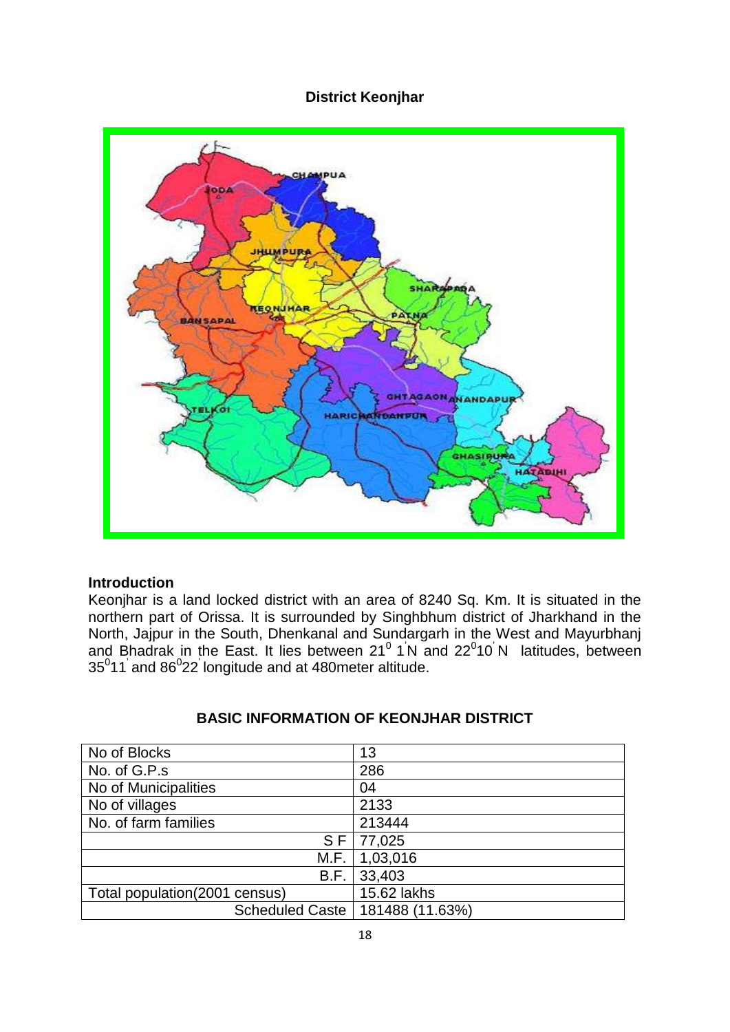## **District Keonjhar**



#### **Introduction**

Keonjhar is a land locked district with an area of 8240 Sq. Km. It is situated in the northern part of Orissa. It is surrounded by Singhbhum district of Jharkhand in the North, Jajpur in the South, Dhenkanal and Sundargarh in the West and Mayurbhanj and Bhadrak in the East. It lies between  $21^0$  1<sup>'</sup>N and  $22^0$ 10<sup>'</sup>N latitudes, between  $35^0$ 11<sup>'</sup> and  $86^0$ 22<sup>'</sup> longitude and at 480 meter altitude.

| No of Blocks                   | 13                                |
|--------------------------------|-----------------------------------|
| No. of G.P.s                   | 286                               |
| No of Municipalities           | 04                                |
| No of villages                 | 2133                              |
| No. of farm families           | 213444                            |
| $S$ F                          | 77,025                            |
| M.F.                           | 1,03,016                          |
| B.F.                           | 33,403                            |
| Total population (2001 census) | 15.62 lakhs                       |
|                                | Scheduled Caste   181488 (11.63%) |

### **BASIC INFORMATION OF KEONJHAR DISTRICT**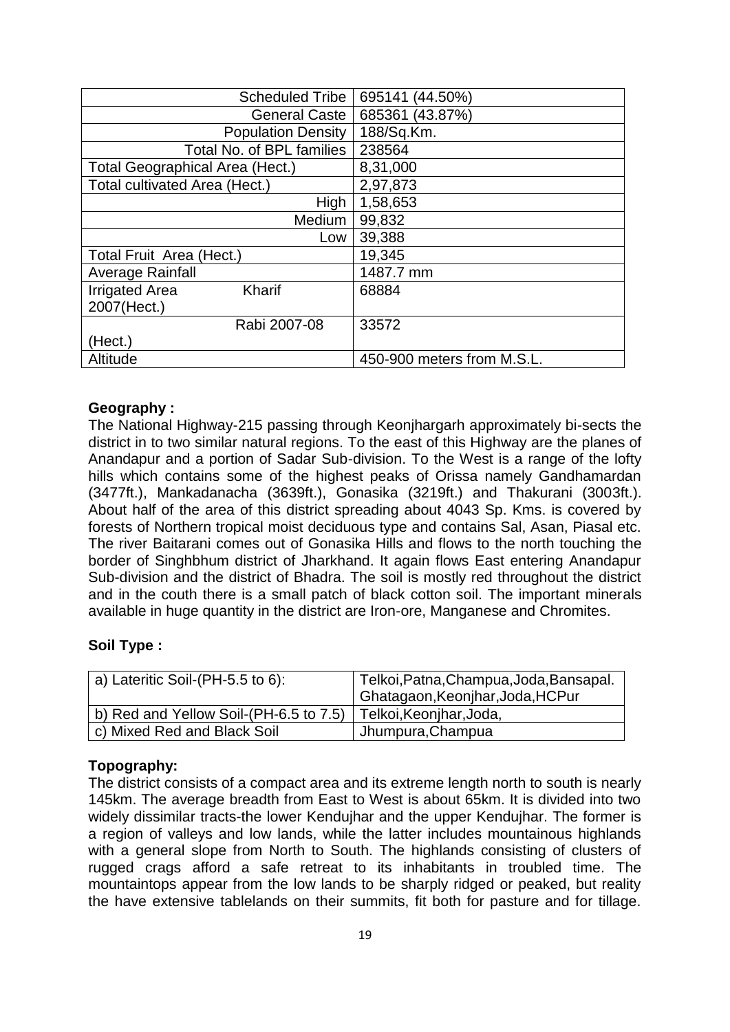| <b>Scheduled Tribe</b>          | 695141 (44.50%)            |
|---------------------------------|----------------------------|
| <b>General Caste</b>            | 685361 (43.87%)            |
| <b>Population Density</b>       | 188/Sq.Km.                 |
| Total No. of BPL families       | 238564                     |
| Total Geographical Area (Hect.) | 8,31,000                   |
| Total cultivated Area (Hect.)   | 2,97,873                   |
| High                            | 1,58,653                   |
| Medium                          | 99,832                     |
| Low                             | 39,388                     |
| Total Fruit Area (Hect.)        | 19,345                     |
| <b>Average Rainfall</b>         | 1487.7 mm                  |
| <b>Irrigated Area</b><br>Kharif | 68884                      |
| 2007(Hect.)                     |                            |
| Rabi 2007-08                    | 33572                      |
| (Hect.)                         |                            |
| Altitude                        | 450-900 meters from M.S.L. |

#### **Geography :**

The National Highway-215 passing through Keonjhargarh approximately bi-sects the district in to two similar natural regions. To the east of this Highway are the planes of Anandapur and a portion of Sadar Sub-division. To the West is a range of the lofty hills which contains some of the highest peaks of Orissa namely Gandhamardan (3477ft.), Mankadanacha (3639ft.), Gonasika (3219ft.) and Thakurani (3003ft.). About half of the area of this district spreading about 4043 Sp. Kms. is covered by forests of Northern tropical moist deciduous type and contains Sal, Asan, Piasal etc. The river Baitarani comes out of Gonasika Hills and flows to the north touching the border of Singhbhum district of Jharkhand. It again flows East entering Anandapur Sub-division and the district of Bhadra. The soil is mostly red throughout the district and in the couth there is a small patch of black cotton soil. The important minerals available in huge quantity in the district are Iron-ore, Manganese and Chromites.

#### **Soil Type :**

| a) Lateritic Soil-(PH-5.5 to 6):       | Telkoi, Patna, Champua, Joda, Bansapal.       |  |  |
|----------------------------------------|-----------------------------------------------|--|--|
|                                        | <sup>1</sup> Ghatagaon, Keonjhar, Joda, HCPur |  |  |
| b) Red and Yellow Soil-(PH-6.5 to 7.5) | Telkoi, Keonjhar, Joda,                       |  |  |
| c) Mixed Red and Black Soil            | Jhumpura, Champua                             |  |  |

#### **Topography:**

The district consists of a compact area and its extreme length north to south is nearly 145km. The average breadth from East to West is about 65km. It is divided into two widely dissimilar tracts-the lower Kendujhar and the upper Kendujhar. The former is a region of valleys and low lands, while the latter includes mountainous highlands with a general slope from North to South. The highlands consisting of clusters of rugged crags afford a safe retreat to its inhabitants in troubled time. The mountaintops appear from the low lands to be sharply ridged or peaked, but reality the have extensive tablelands on their summits, fit both for pasture and for tillage.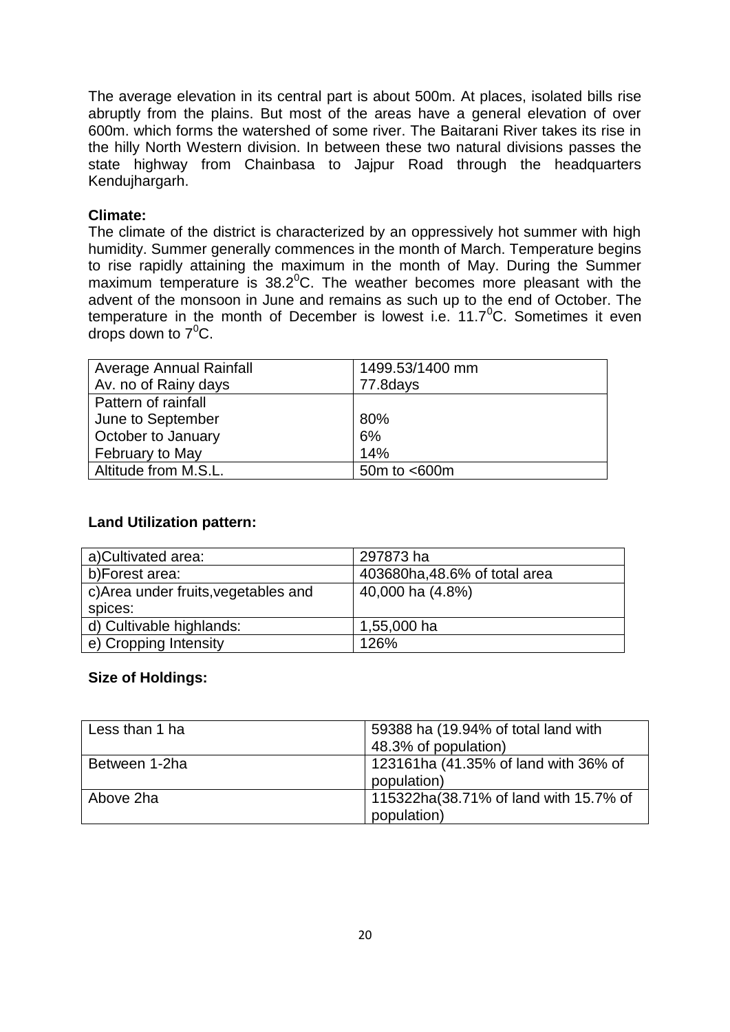The average elevation in its central part is about 500m. At places, isolated bills rise abruptly from the plains. But most of the areas have a general elevation of over 600m. which forms the watershed of some river. The Baitarani River takes its rise in the hilly North Western division. In between these two natural divisions passes the state highway from Chainbasa to Jajpur Road through the headquarters Kendujhargarh.

#### **Climate:**

The climate of the district is characterized by an oppressively hot summer with high humidity. Summer generally commences in the month of March. Temperature begins to rise rapidly attaining the maximum in the month of May. During the Summer maximum temperature is  $38.2^{\circ}$ C. The weather becomes more pleasant with the advent of the monsoon in June and remains as such up to the end of October. The temperature in the month of December is lowest i.e.  $11.7^{\circ}$ C. Sometimes it even drops down to  $7^0C$ .

| Average Annual Rainfall | 1499.53/1400 mm |
|-------------------------|-----------------|
| Av. no of Rainy days    | 77.8days        |
| Pattern of rainfall     |                 |
| June to September       | 80%             |
| October to January      | 6%              |
| February to May         | 14%             |
| Altitude from M.S.L.    | 50m to <600m    |

#### **Land Utilization pattern:**

| a)Cultivated area:                   | 297873 ha                     |
|--------------------------------------|-------------------------------|
| b)Forest area:                       | 403680ha, 48.6% of total area |
| c) Area under fruits, vegetables and | 40,000 ha (4.8%)              |
| spices:                              |                               |
| d) Cultivable highlands:             | 1,55,000 ha                   |
| e) Cropping Intensity                | 126%                          |

#### **Size of Holdings:**

| Less than 1 ha | 59388 ha (19.94% of total land with<br>48.3% of population) |
|----------------|-------------------------------------------------------------|
| Between 1-2ha  | 123161ha (41.35% of land with 36% of<br>population)         |
| Above 2ha      | 115322ha(38.71% of land with 15.7% of<br>population)        |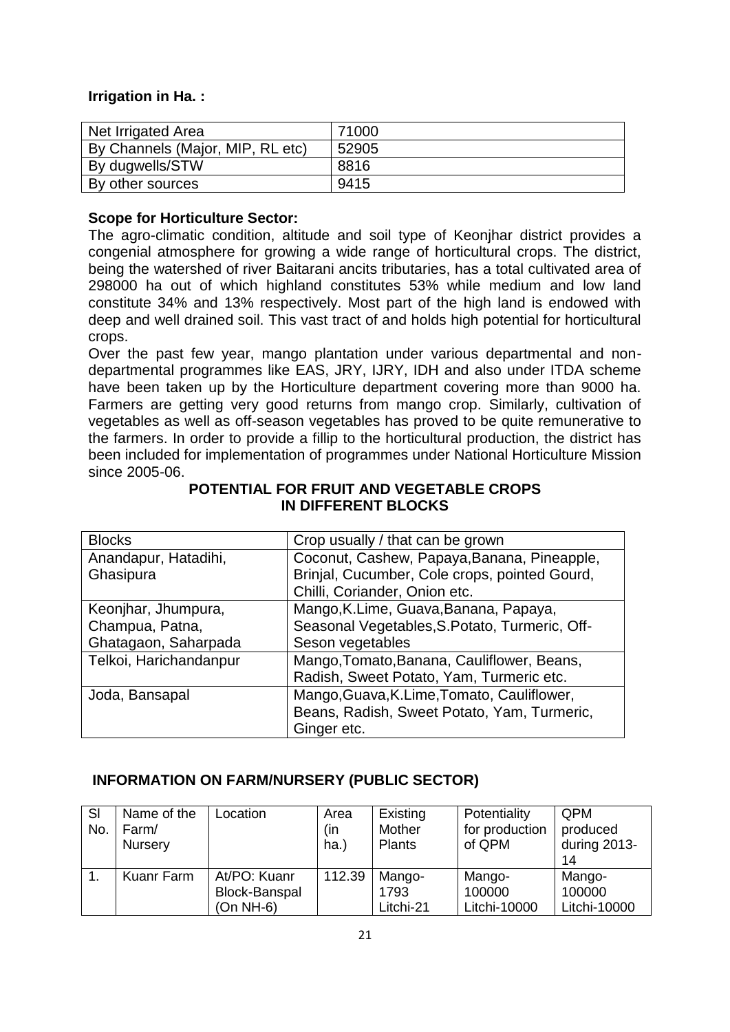#### **Irrigation in Ha. :**

| Net Irrigated Area               | 71000 |
|----------------------------------|-------|
| By Channels (Major, MIP, RL etc) | 52905 |
| By dugwells/STW                  | 8816  |
| By other sources                 | 9415  |

#### **Scope for Horticulture Sector:**

The agro-climatic condition, altitude and soil type of Keonjhar district provides a congenial atmosphere for growing a wide range of horticultural crops. The district, being the watershed of river Baitarani ancits tributaries, has a total cultivated area of 298000 ha out of which highland constitutes 53% while medium and low land constitute 34% and 13% respectively. Most part of the high land is endowed with deep and well drained soil. This vast tract of and holds high potential for horticultural crops.

Over the past few year, mango plantation under various departmental and nondepartmental programmes like EAS, JRY, IJRY, IDH and also under ITDA scheme have been taken up by the Horticulture department covering more than 9000 ha. Farmers are getting very good returns from mango crop. Similarly, cultivation of vegetables as well as off-season vegetables has proved to be quite remunerative to the farmers. In order to provide a fillip to the horticultural production, the district has been included for implementation of programmes under National Horticulture Mission since 2005-06.

| <b>Blocks</b>          | Crop usually / that can be grown               |
|------------------------|------------------------------------------------|
| Anandapur, Hatadihi,   | Coconut, Cashew, Papaya, Banana, Pineapple,    |
| Ghasipura              | Brinjal, Cucumber, Cole crops, pointed Gourd,  |
|                        | Chilli, Coriander, Onion etc.                  |
| Keonjhar, Jhumpura,    | Mango, K.Lime, Guava, Banana, Papaya,          |
| Champua, Patna,        | Seasonal Vegetables, S. Potato, Turmeric, Off- |
| Ghatagaon, Saharpada   | Seson vegetables                               |
| Telkoi, Harichandanpur | Mango, Tomato, Banana, Cauliflower, Beans,     |
|                        | Radish, Sweet Potato, Yam, Turmeric etc.       |
| Joda, Bansapal         | Mango, Guava, K.Lime, Tomato, Cauliflower,     |
|                        | Beans, Radish, Sweet Potato, Yam, Turmeric,    |
|                        | Ginger etc.                                    |

#### **POTENTIAL FOR FRUIT AND VEGETABLE CROPS IN DIFFERENT BLOCKS**

## **INFORMATION ON FARM/NURSERY (PUBLIC SECTOR)**

| SI<br>No. | Name of the<br>Farm/<br>Nursery | Location                                     | Area<br>(in<br>ha.) | Existing<br>Mother<br>Plants | Potentiality<br>for production<br>of QPM | QPM<br>produced<br>during 2013-<br>14 |
|-----------|---------------------------------|----------------------------------------------|---------------------|------------------------------|------------------------------------------|---------------------------------------|
|           | Kuanr Farm                      | At/PO: Kuanr<br>Block-Banspal<br>$(On NH-6)$ | 112.39              | Mango-<br>1793<br>Litchi-21  | Mango-<br>100000<br>Litchi-10000         | Mango-<br>100000<br>Litchi-10000      |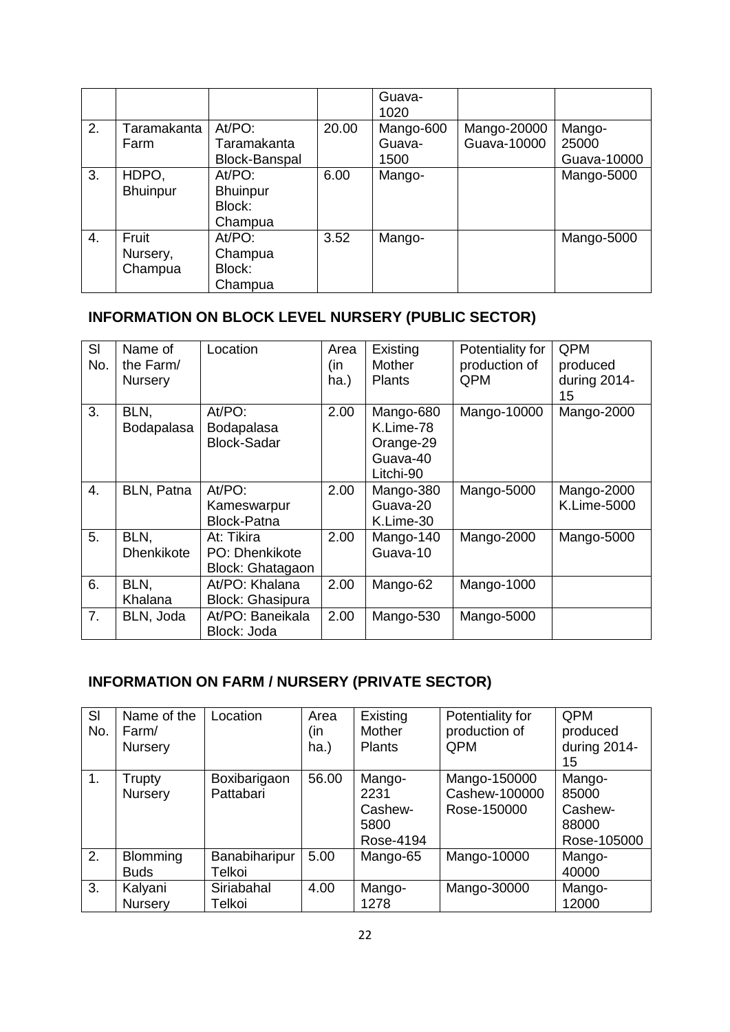|    |                 |                 |       | Guava-<br>1020 |             |             |
|----|-----------------|-----------------|-------|----------------|-------------|-------------|
| 2. | Taramakanta     | At/PO:          | 20.00 | Mango-600      | Mango-20000 | Mango-      |
|    | Farm            | Taramakanta     |       | Guava-         | Guava-10000 | 25000       |
|    |                 | Block-Banspal   |       | 1500           |             | Guava-10000 |
| 3. | HDPO,           | At/PO:          | 6.00  | Mango-         |             | Mango-5000  |
|    | <b>Bhuinpur</b> | <b>Bhuinpur</b> |       |                |             |             |
|    |                 | Block:          |       |                |             |             |
|    |                 | Champua         |       |                |             |             |
| 4. | Fruit           | At/PO:          | 3.52  | Mango-         |             | Mango-5000  |
|    | Nursery,        | Champua         |       |                |             |             |
|    | Champua         | Block:          |       |                |             |             |
|    |                 | Champua         |       |                |             |             |

# **INFORMATION ON BLOCK LEVEL NURSERY (PUBLIC SECTOR)**

| SI<br>No.        | Name of<br>the Farm/<br><b>Nursery</b> | Location                                         | Area<br>(in<br>ha.) | Existing<br>Mother<br><b>Plants</b>                          | Potentiality for<br>production of<br>QPM | QPM<br>produced<br>during 2014-<br>15 |
|------------------|----------------------------------------|--------------------------------------------------|---------------------|--------------------------------------------------------------|------------------------------------------|---------------------------------------|
| 3.               | BLN.<br>Bodapalasa                     | At/PO:<br>Bodapalasa<br><b>Block-Sadar</b>       | 2.00                | Mango-680<br>K.Lime-78<br>Orange-29<br>Guava-40<br>Litchi-90 | Mango-10000                              | Mango-2000                            |
| $\overline{4}$ . | BLN, Patna                             | At/PO:<br>Kameswarpur<br><b>Block-Patna</b>      | 2.00                | Mango-380<br>Guava-20<br>K.Lime-30                           | Mango-5000                               | Mango-2000<br>K.Lime-5000             |
| 5.               | BLN,<br><b>Dhenkikote</b>              | At: Tikira<br>PO: Dhenkikote<br>Block: Ghatagaon | 2.00                | Mango-140<br>Guava-10                                        | Mango-2000                               | Mango-5000                            |
| 6.               | BLN,<br>Khalana                        | At/PO: Khalana<br><b>Block: Ghasipura</b>        | 2.00                | Mango-62                                                     | Mango-1000                               |                                       |
| 7 <sub>1</sub>   | BLN, Joda                              | At/PO: Baneikala<br>Block: Joda                  | 2.00                | Mango-530                                                    | Mango-5000                               |                                       |

# **INFORMATION ON FARM / NURSERY (PRIVATE SECTOR)**

| SI<br>No. | Name of the<br>Farm/<br><b>Nursery</b> | Location                  | Area<br>(in<br>ha.) | Existing<br>Mother<br><b>Plants</b>            | Potentiality for<br>production of<br><b>QPM</b> | QPM<br>produced<br>during 2014-<br>15              |
|-----------|----------------------------------------|---------------------------|---------------------|------------------------------------------------|-------------------------------------------------|----------------------------------------------------|
| 1.        | Trupty<br>Nursery                      | Boxibarigaon<br>Pattabari | 56.00               | Mango-<br>2231<br>Cashew-<br>5800<br>Rose-4194 | Mango-150000<br>Cashew-100000<br>Rose-150000    | Mango-<br>85000<br>Cashew-<br>88000<br>Rose-105000 |
| 2.        | <b>Blomming</b><br><b>Buds</b>         | Banabiharipur<br>Telkoi   | 5.00                | Mango-65                                       | Mango-10000                                     | Mango-<br>40000                                    |
| 3.        | Kalyani<br><b>Nursery</b>              | Siriabahal<br>Telkoi      | 4.00                | Mango-<br>1278                                 | Mango-30000                                     | Mango-<br>12000                                    |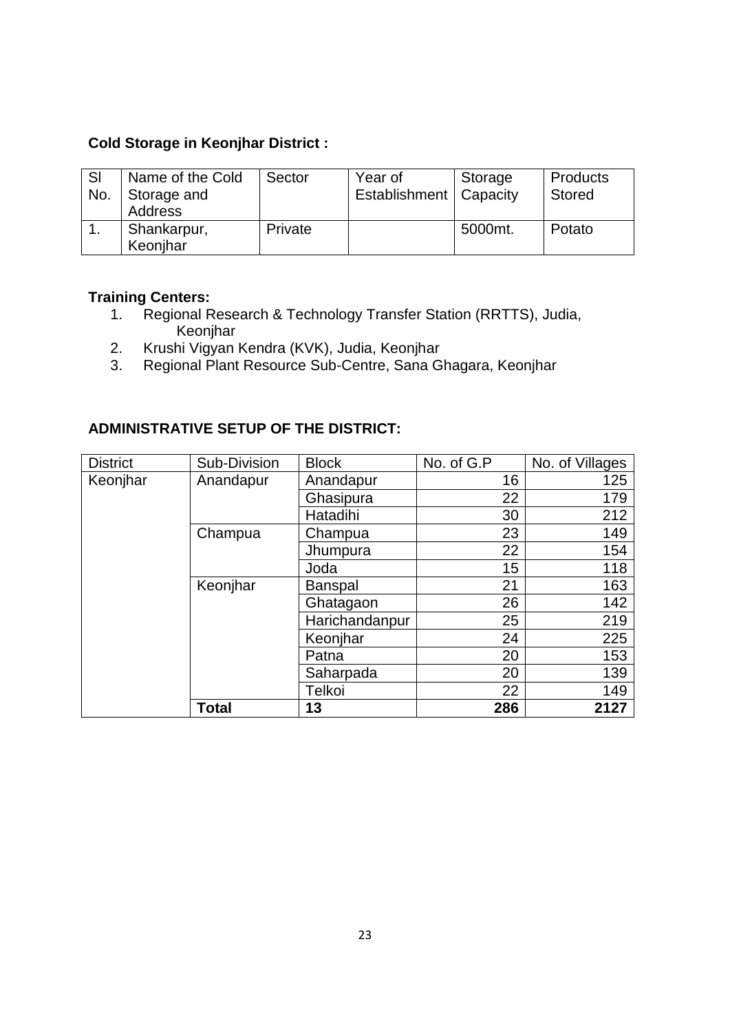## **Cold Storage in Keonjhar District :**

| <b>SI</b><br>No. | Name of the Cold<br>Storage and<br><b>Address</b> | Sector  | Year of<br>Establishment   Capacity | Storage | <b>Products</b><br><b>Stored</b> |
|------------------|---------------------------------------------------|---------|-------------------------------------|---------|----------------------------------|
|                  | Shankarpur,<br>Keonihar                           | Private |                                     | 5000mt. | Potato                           |

## **Training Centers:**

- 1. Regional Research & Technology Transfer Station (RRTTS), Judia, Keonjhar
- 2. Krushi Vigyan Kendra (KVK), Judia, Keonjhar
- 3. Regional Plant Resource Sub-Centre, Sana Ghagara, Keonjhar

## **ADMINISTRATIVE SETUP OF THE DISTRICT:**

| <b>District</b> | Sub-Division | <b>Block</b>   | No. of G.P | No. of Villages |
|-----------------|--------------|----------------|------------|-----------------|
| Keonjhar        | Anandapur    | Anandapur      | 16         | 125             |
|                 |              | Ghasipura      | 22         | 179             |
|                 |              | Hatadihi       | 30         | 212             |
|                 | Champua      | Champua        | 23         | 149             |
|                 |              | Jhumpura       | 22         | 154             |
|                 |              | Joda           | 15         | 118             |
|                 | Keonjhar     | <b>Banspal</b> | 21         | 163             |
|                 |              | Ghatagaon      | 26         | 142             |
|                 |              | Harichandanpur | 25         | 219             |
|                 |              | Keonjhar       | 24         | 225             |
|                 |              | Patna          | 20         | 153             |
|                 |              | Saharpada      | 20         | 139             |
|                 |              | Telkoi         | 22         | 149             |
|                 | <b>Total</b> | 13             | 286        | 2127            |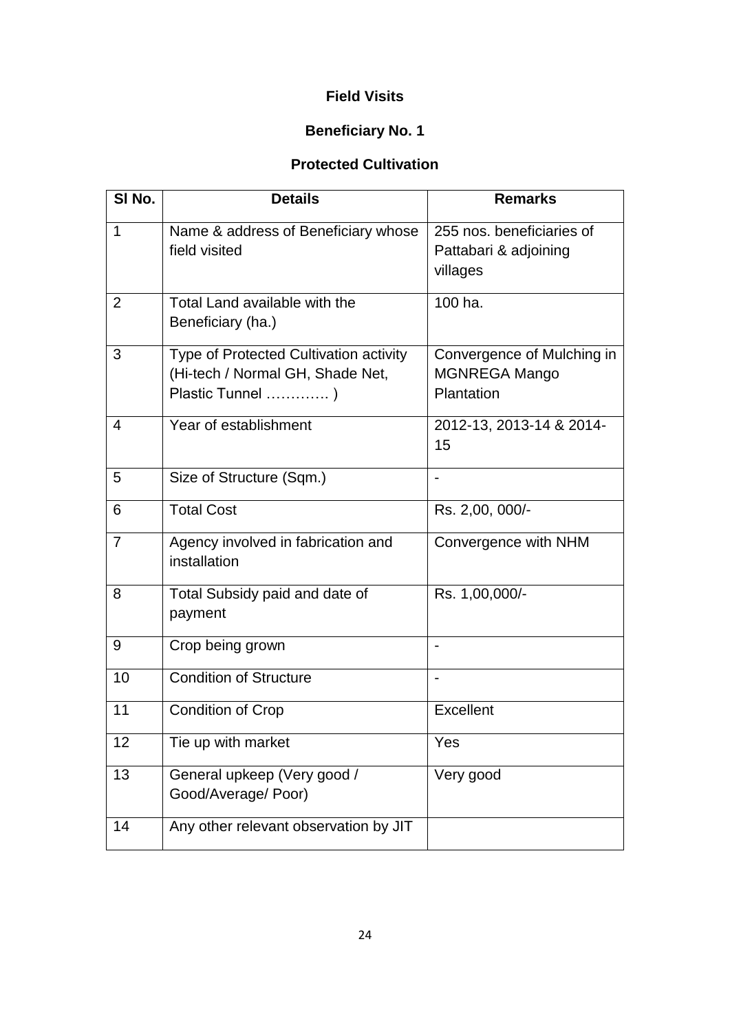## **Field Visits**

# **Beneficiary No. 1**

## **Protected Cultivation**

| SI No.         | <b>Details</b>                                                                                 | <b>Remarks</b>                                                   |
|----------------|------------------------------------------------------------------------------------------------|------------------------------------------------------------------|
| $\mathbf{1}$   | Name & address of Beneficiary whose<br>field visited                                           | 255 nos. beneficiaries of<br>Pattabari & adjoining<br>villages   |
| 2              | Total Land available with the<br>Beneficiary (ha.)                                             | 100 ha.                                                          |
| 3              | Type of Protected Cultivation activity<br>(Hi-tech / Normal GH, Shade Net,<br>Plastic Tunnel ) | Convergence of Mulching in<br><b>MGNREGA Mango</b><br>Plantation |
| 4              | Year of establishment                                                                          | 2012-13, 2013-14 & 2014-<br>15                                   |
| 5              | Size of Structure (Sqm.)                                                                       |                                                                  |
| 6              | <b>Total Cost</b>                                                                              | Rs. 2,00, 000/-                                                  |
| $\overline{7}$ | Agency involved in fabrication and<br>installation                                             | Convergence with NHM                                             |
| 8              | Total Subsidy paid and date of<br>payment                                                      | Rs. 1,00,000/-                                                   |
| 9              | Crop being grown                                                                               |                                                                  |
| 10             | Condition of Structure                                                                         |                                                                  |
| 11             | <b>Condition of Crop</b>                                                                       | Excellent                                                        |
| 12             | Tie up with market                                                                             | Yes                                                              |
| 13             | General upkeep (Very good /<br>Good/Average/ Poor)                                             | Very good                                                        |
| 14             | Any other relevant observation by JIT                                                          |                                                                  |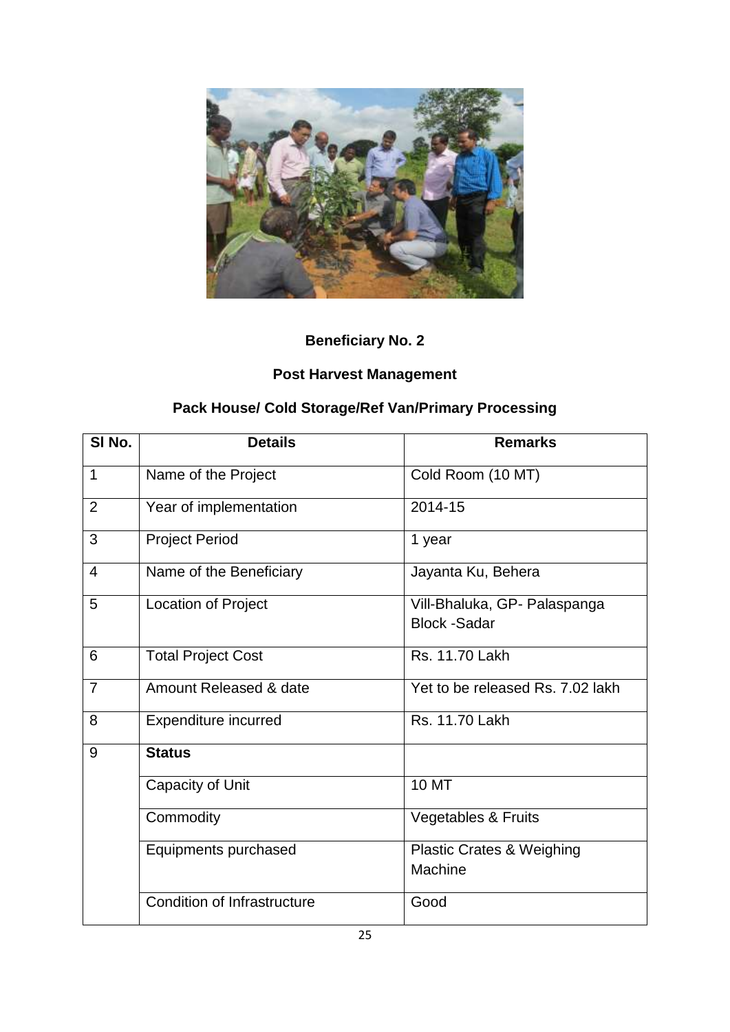

# **Post Harvest Management**

# **Pack House/ Cold Storage/Ref Van/Primary Processing**

| SI No.         | <b>Details</b>                     | <b>Remarks</b>                                      |
|----------------|------------------------------------|-----------------------------------------------------|
| $\mathbf 1$    | Name of the Project                | Cold Room (10 MT)                                   |
| $\overline{2}$ | Year of implementation             | 2014-15                                             |
| 3              | <b>Project Period</b>              | 1 year                                              |
| 4              | Name of the Beneficiary            | Jayanta Ku, Behera                                  |
| 5              | Location of Project                | Vill-Bhaluka, GP- Palaspanga<br><b>Block -Sadar</b> |
| 6              | <b>Total Project Cost</b>          | Rs. 11.70 Lakh                                      |
| $\overline{7}$ | Amount Released & date             | Yet to be released Rs, 7.02 lakh                    |
| 8              | <b>Expenditure incurred</b>        | Rs. 11.70 Lakh                                      |
| 9              | <b>Status</b>                      |                                                     |
|                | Capacity of Unit                   | <b>10 MT</b>                                        |
|                | Commodity                          | <b>Vegetables &amp; Fruits</b>                      |
|                | Equipments purchased               | <b>Plastic Crates &amp; Weighing</b><br>Machine     |
|                | <b>Condition of Infrastructure</b> | Good                                                |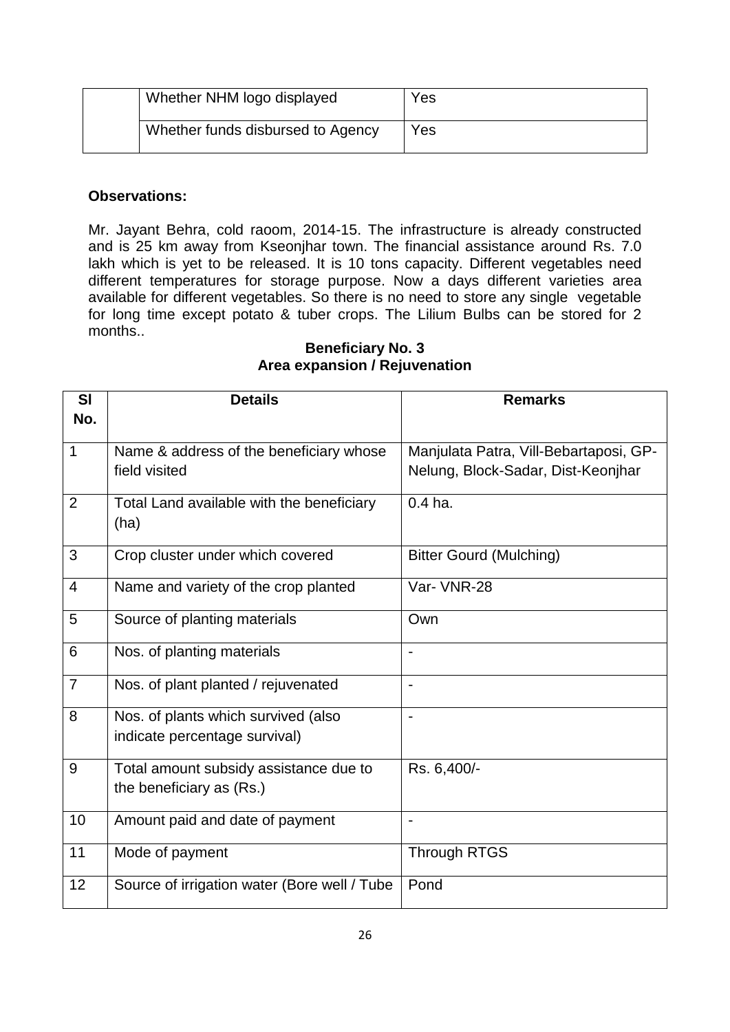| Whether NHM logo displayed        | Yes |
|-----------------------------------|-----|
| Whether funds disbursed to Agency | Yes |

Mr. Jayant Behra, cold raoom, 2014-15. The infrastructure is already constructed and is 25 km away from Kseonjhar town. The financial assistance around Rs. 7.0 lakh which is yet to be released. It is 10 tons capacity. Different vegetables need different temperatures for storage purpose. Now a days different varieties area available for different vegetables. So there is no need to store any single vegetable for long time except potato & tuber crops. The Lilium Bulbs can be stored for 2 months..

#### **Beneficiary No. 3 Area expansion / Rejuvenation**

| <b>SI</b><br>No. | <b>Details</b>                                    | <b>Remarks</b>                         |
|------------------|---------------------------------------------------|----------------------------------------|
|                  |                                                   |                                        |
| $\mathbf{1}$     | Name & address of the beneficiary whose           | Manjulata Patra, Vill-Bebartaposi, GP- |
|                  | field visited                                     | Nelung, Block-Sadar, Dist-Keonjhar     |
| $\overline{2}$   | Total Land available with the beneficiary<br>(ha) | $0.4$ ha.                              |
| 3                | Crop cluster under which covered                  | <b>Bitter Gourd (Mulching)</b>         |
| 4                | Name and variety of the crop planted              | Var- VNR-28                            |
| 5                | Source of planting materials                      | Own                                    |
| 6                | Nos. of planting materials                        | $\blacksquare$                         |
| $\overline{7}$   | Nos. of plant planted / rejuvenated               |                                        |
| 8                | Nos. of plants which survived (also               | $\overline{a}$                         |
|                  | indicate percentage survival)                     |                                        |
| 9                | Total amount subsidy assistance due to            | Rs. 6,400/-                            |
|                  | the beneficiary as (Rs.)                          |                                        |
| 10               | Amount paid and date of payment                   | $\overline{\phantom{a}}$               |
| 11               | Mode of payment                                   | <b>Through RTGS</b>                    |
| 12               | Source of irrigation water (Bore well / Tube      | Pond                                   |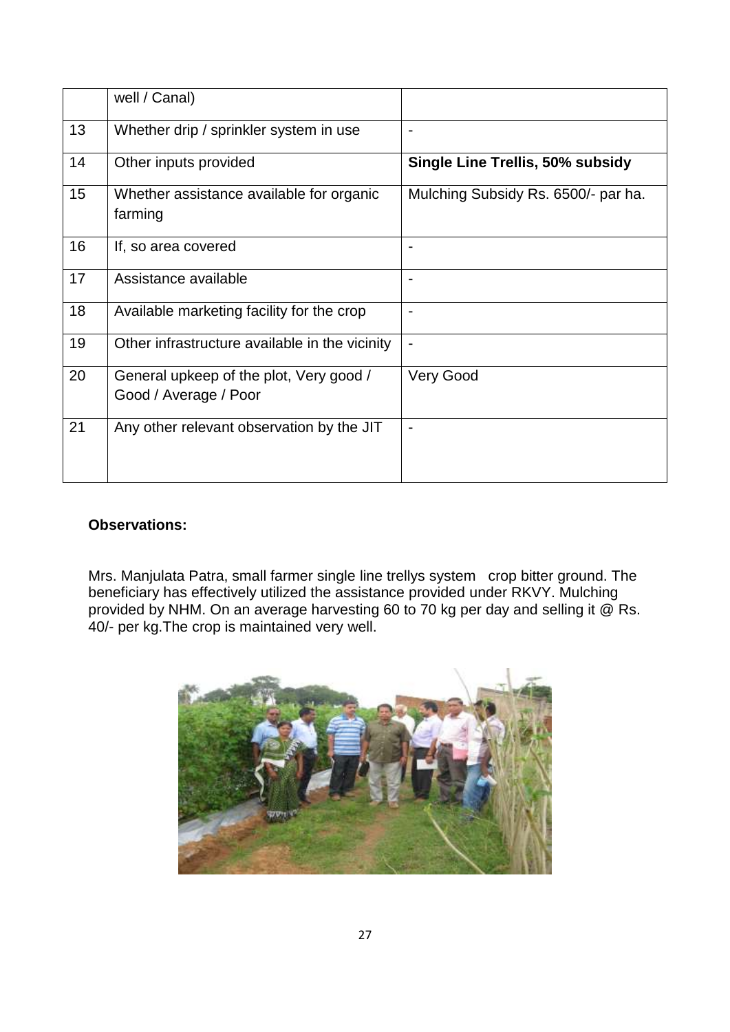|    | well / Canal)                                                    |                                         |
|----|------------------------------------------------------------------|-----------------------------------------|
| 13 | Whether drip / sprinkler system in use                           |                                         |
| 14 | Other inputs provided                                            | <b>Single Line Trellis, 50% subsidy</b> |
| 15 | Whether assistance available for organic<br>farming              | Mulching Subsidy Rs. 6500/- par ha.     |
| 16 | If, so area covered                                              |                                         |
| 17 | Assistance available                                             |                                         |
| 18 | Available marketing facility for the crop                        |                                         |
| 19 | Other infrastructure available in the vicinity                   |                                         |
| 20 | General upkeep of the plot, Very good /<br>Good / Average / Poor | <b>Very Good</b>                        |
| 21 | Any other relevant observation by the JIT                        |                                         |

Mrs. Manjulata Patra, small farmer single line trellys system crop bitter ground. The beneficiary has effectively utilized the assistance provided under RKVY. Mulching provided by NHM. On an average harvesting 60 to 70 kg per day and selling it @ Rs. 40/- per kg.The crop is maintained very well.

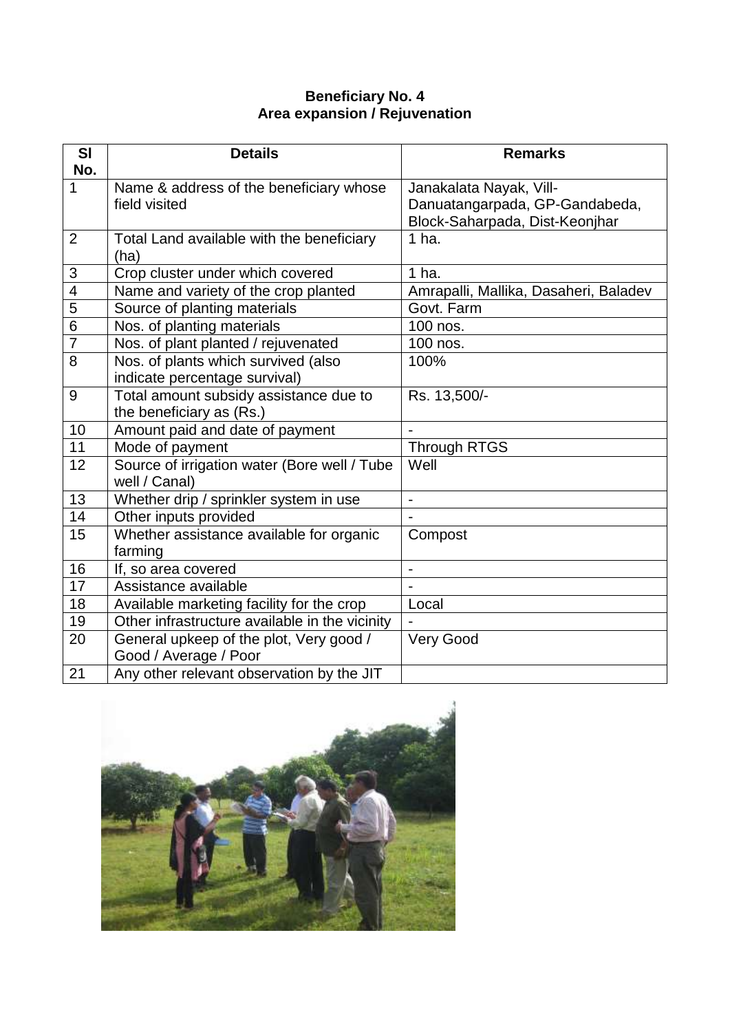#### **Beneficiary No. 4 Area expansion / Rejuvenation**

| <b>SI</b>                | <b>Details</b>                                 | <b>Remarks</b>                        |
|--------------------------|------------------------------------------------|---------------------------------------|
| No.<br>1                 | Name & address of the beneficiary whose        | Janakalata Nayak, Vill-               |
|                          | field visited                                  | Danuatangarpada, GP-Gandabeda,        |
|                          |                                                | Block-Saharpada, Dist-Keonjhar        |
| $\overline{2}$           | Total Land available with the beneficiary      | $1$ ha.                               |
|                          | (ha)                                           |                                       |
| 3                        | Crop cluster under which covered               | $1$ ha.                               |
| $\overline{\mathcal{A}}$ | Name and variety of the crop planted           | Amrapalli, Mallika, Dasaheri, Baladev |
| 5                        | Source of planting materials                   | Govt. Farm                            |
| $\overline{6}$           | Nos. of planting materials                     | 100 nos.                              |
| $\overline{7}$           | Nos. of plant planted / rejuvenated            | 100 nos.                              |
| $\overline{8}$           | Nos. of plants which survived (also            | 100%                                  |
|                          | indicate percentage survival)                  |                                       |
| 9                        | Total amount subsidy assistance due to         | Rs. 13,500/-                          |
|                          | the beneficiary as (Rs.)                       |                                       |
| 10                       | Amount paid and date of payment                |                                       |
| 11                       | Mode of payment                                | <b>Through RTGS</b>                   |
| 12                       | Source of irrigation water (Bore well / Tube   | Well                                  |
|                          | well / Canal)                                  |                                       |
| 13                       | Whether drip / sprinkler system in use         | $\blacksquare$                        |
| 14                       | Other inputs provided                          |                                       |
| 15                       | Whether assistance available for organic       | Compost                               |
|                          | farming                                        |                                       |
| 16                       | If, so area covered                            |                                       |
| 17                       | Assistance available                           |                                       |
| 18                       | Available marketing facility for the crop      | Local                                 |
| 19                       | Other infrastructure available in the vicinity |                                       |
| 20                       | General upkeep of the plot, Very good /        | <b>Very Good</b>                      |
|                          | Good / Average / Poor                          |                                       |
| 21                       | Any other relevant observation by the JIT      |                                       |

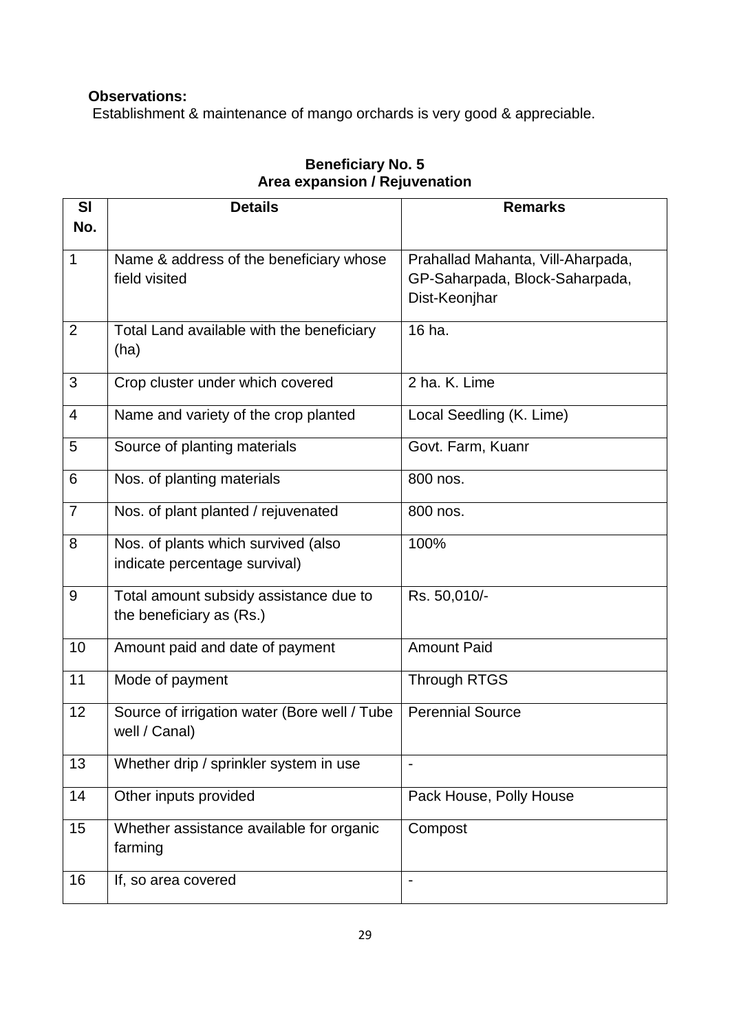Establishment & maintenance of mango orchards is very good & appreciable.

| SI<br>No.      | <b>Details</b>                                                       | <b>Remarks</b>                                  |
|----------------|----------------------------------------------------------------------|-------------------------------------------------|
| $\mathbf 1$    | Name & address of the beneficiary whose                              | Prahallad Mahanta, Vill-Aharpada,               |
|                | field visited                                                        | GP-Saharpada, Block-Saharpada,<br>Dist-Keonjhar |
| $\overline{2}$ | Total Land available with the beneficiary<br>(ha)                    | 16 ha.                                          |
| 3              | Crop cluster under which covered                                     | 2 ha. K. Lime                                   |
| $\overline{4}$ | Name and variety of the crop planted                                 | Local Seedling (K. Lime)                        |
| 5              | Source of planting materials                                         | Govt. Farm, Kuanr                               |
| 6              | Nos. of planting materials                                           | 800 nos.                                        |
| $\overline{7}$ | Nos. of plant planted / rejuvenated                                  | 800 nos.                                        |
| 8              | Nos. of plants which survived (also<br>indicate percentage survival) | 100%                                            |
| 9              | Total amount subsidy assistance due to<br>the beneficiary as (Rs.)   | Rs. 50,010/-                                    |
| 10             | Amount paid and date of payment                                      | <b>Amount Paid</b>                              |
| 11             | Mode of payment                                                      | <b>Through RTGS</b>                             |
| 12             | Source of irrigation water (Bore well / Tube<br>well / Canal)        | <b>Perennial Source</b>                         |
| 13             | Whether drip / sprinkler system in use                               |                                                 |
| 14             | Other inputs provided                                                | Pack House, Polly House                         |
| 15             | Whether assistance available for organic<br>farming                  | Compost                                         |
| 16             | If, so area covered                                                  |                                                 |

## **Beneficiary No. 5 Area expansion / Rejuvenation**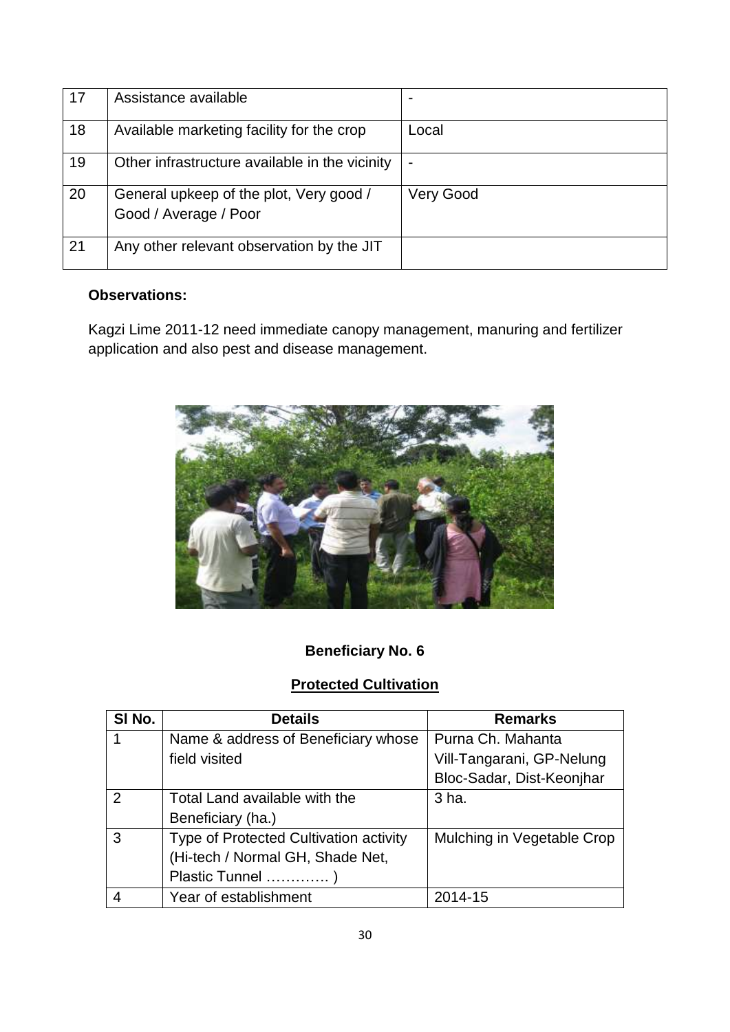| 17 | Assistance available                                             |           |
|----|------------------------------------------------------------------|-----------|
| 18 | Available marketing facility for the crop                        | Local     |
| 19 | Other infrastructure available in the vicinity                   |           |
| 20 | General upkeep of the plot, Very good /<br>Good / Average / Poor | Very Good |
| 21 | Any other relevant observation by the JIT                        |           |

Kagzi Lime 2011-12 need immediate canopy management, manuring and fertilizer application and also pest and disease management.



## **Beneficiary No. 6**

## **Protected Cultivation**

| SI No. | <b>Details</b>                         | <b>Remarks</b>             |
|--------|----------------------------------------|----------------------------|
|        | Name & address of Beneficiary whose    | Purna Ch. Mahanta          |
|        | field visited                          | Vill-Tangarani, GP-Nelung  |
|        |                                        | Bloc-Sadar, Dist-Keonjhar  |
| 2      | Total Land available with the          | 3 ha.                      |
|        | Beneficiary (ha.)                      |                            |
| 3      | Type of Protected Cultivation activity | Mulching in Vegetable Crop |
|        | (Hi-tech / Normal GH, Shade Net,       |                            |
|        | Plastic Tunnel )                       |                            |
|        | Year of establishment                  | 2014-15                    |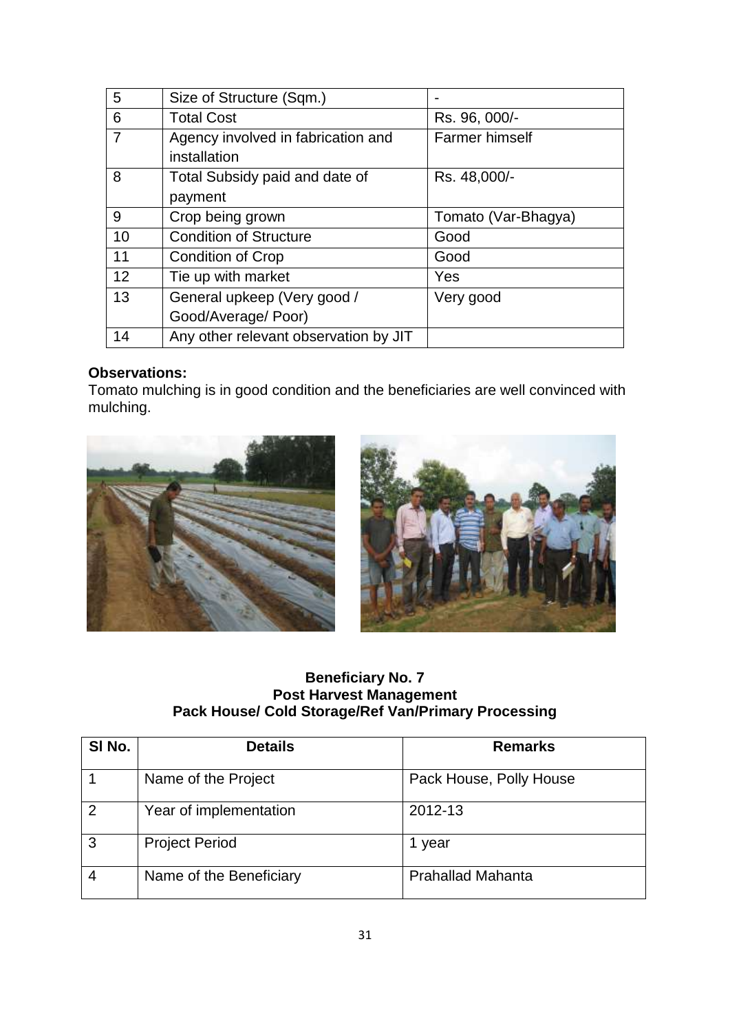| 5  | Size of Structure (Sqm.)              |                       |
|----|---------------------------------------|-----------------------|
| 6  | <b>Total Cost</b>                     | Rs. 96, 000/-         |
| 7  | Agency involved in fabrication and    | <b>Farmer himself</b> |
|    | installation                          |                       |
| 8  | Total Subsidy paid and date of        | Rs. 48,000/-          |
|    | payment                               |                       |
| 9  | Crop being grown                      | Tomato (Var-Bhagya)   |
| 10 | <b>Condition of Structure</b>         | Good                  |
| 11 | <b>Condition of Crop</b>              | Good                  |
| 12 | Tie up with market                    | Yes                   |
| 13 | General upkeep (Very good /           | Very good             |
|    | Good/Average/ Poor)                   |                       |
| 14 | Any other relevant observation by JIT |                       |

Tomato mulching is in good condition and the beneficiaries are well convinced with mulching.



### **Beneficiary No. 7 Post Harvest Management Pack House/ Cold Storage/Ref Van/Primary Processing**

| SI No.         | <b>Details</b>          | <b>Remarks</b>           |
|----------------|-------------------------|--------------------------|
|                | Name of the Project     | Pack House, Polly House  |
| $\overline{2}$ | Year of implementation  | 2012-13                  |
| 3              | <b>Project Period</b>   | year                     |
|                | Name of the Beneficiary | <b>Prahallad Mahanta</b> |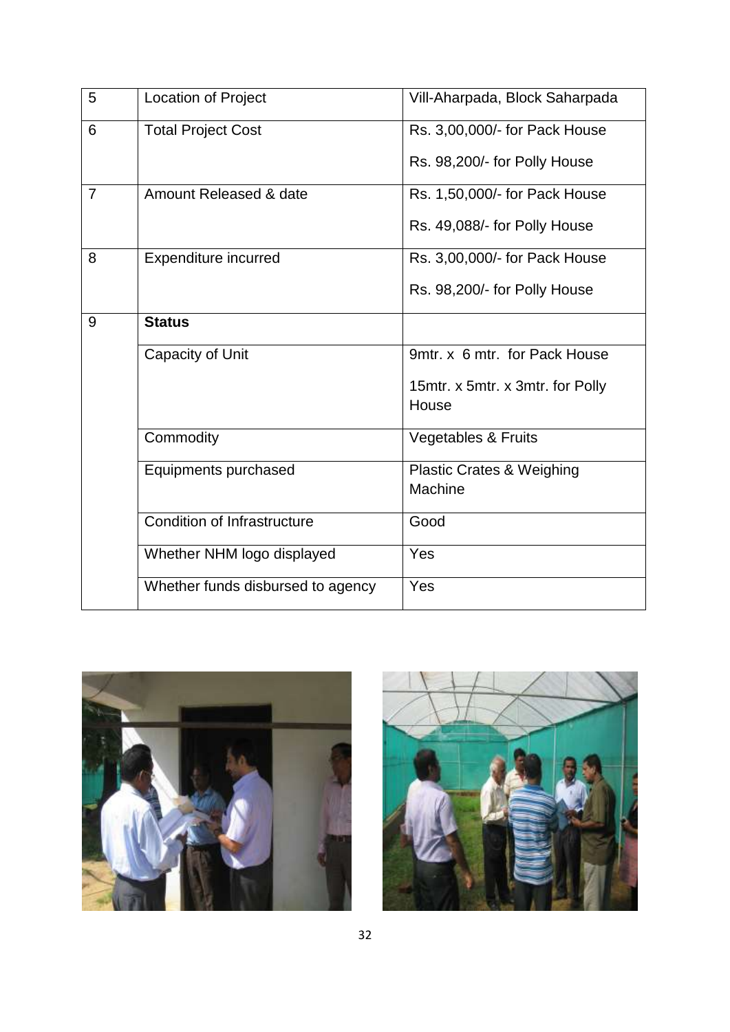| 5              | <b>Location of Project</b>        | Vill-Aharpada, Block Saharpada   |
|----------------|-----------------------------------|----------------------------------|
| 6              | <b>Total Project Cost</b>         | Rs. 3,00,000/- for Pack House    |
|                |                                   | Rs. 98,200/- for Polly House     |
| $\overline{7}$ | Amount Released & date            | Rs. 1,50,000/- for Pack House    |
|                |                                   | Rs. 49,088/- for Polly House     |
| 8              | <b>Expenditure incurred</b>       | Rs. 3,00,000/- for Pack House    |
|                |                                   | Rs. 98,200/- for Polly House     |
| 9              | <b>Status</b>                     |                                  |
|                | Capacity of Unit                  | 9mtr. x 6 mtr. for Pack House    |
|                |                                   | 15mtr. x 5mtr. x 3mtr. for Polly |
|                |                                   | House                            |
|                | Commodity                         | <b>Vegetables &amp; Fruits</b>   |
|                | Equipments purchased              | Plastic Crates & Weighing        |
|                |                                   | Machine                          |
|                | Condition of Infrastructure       | Good                             |
|                | Whether NHM logo displayed        | Yes                              |
|                | Whether funds disbursed to agency | Yes                              |



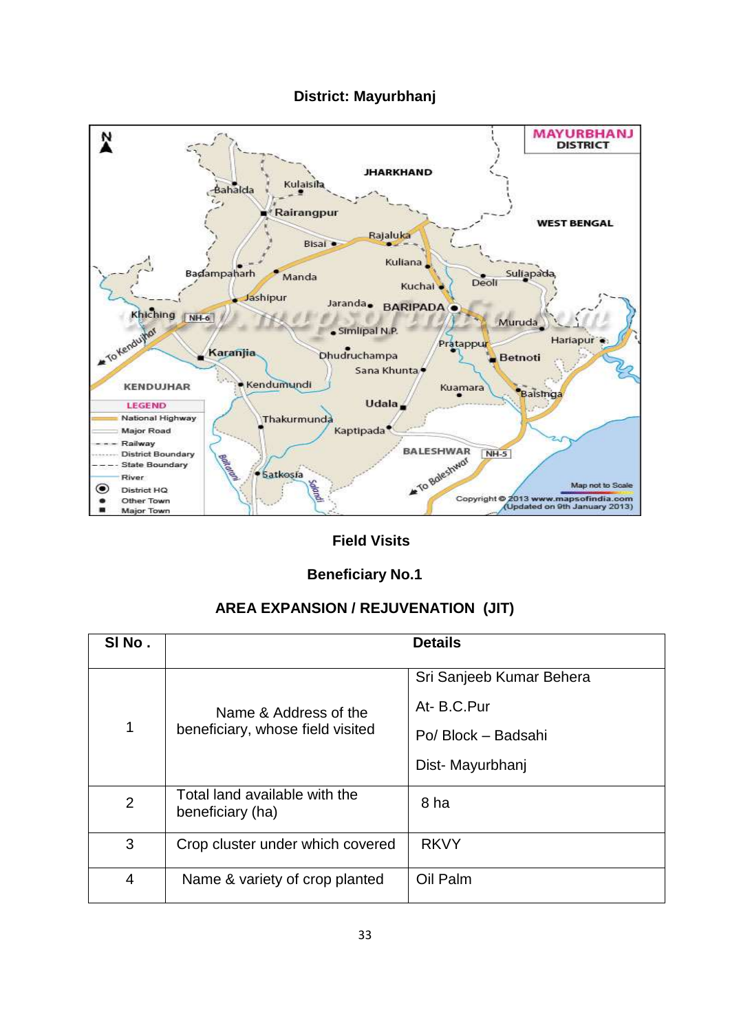### **District: Mayurbhanj**



## **Field Visits**

## **Beneficiary No.1**

## **AREA EXPANSION / REJUVENATION (JIT)**

| SINo.          |                                                           | <b>Details</b>           |
|----------------|-----------------------------------------------------------|--------------------------|
|                |                                                           | Sri Sanjeeb Kumar Behera |
|                | Name & Address of the<br>beneficiary, whose field visited | At-B.C.Pur               |
| 1              |                                                           | Po/ Block - Badsahi      |
|                |                                                           | Dist-Mayurbhanj          |
| $\overline{2}$ | Total land available with the<br>beneficiary (ha)         | 8 ha                     |
| 3              | Crop cluster under which covered                          | <b>RKVY</b>              |
| 4              | Name & variety of crop planted                            | Oil Palm                 |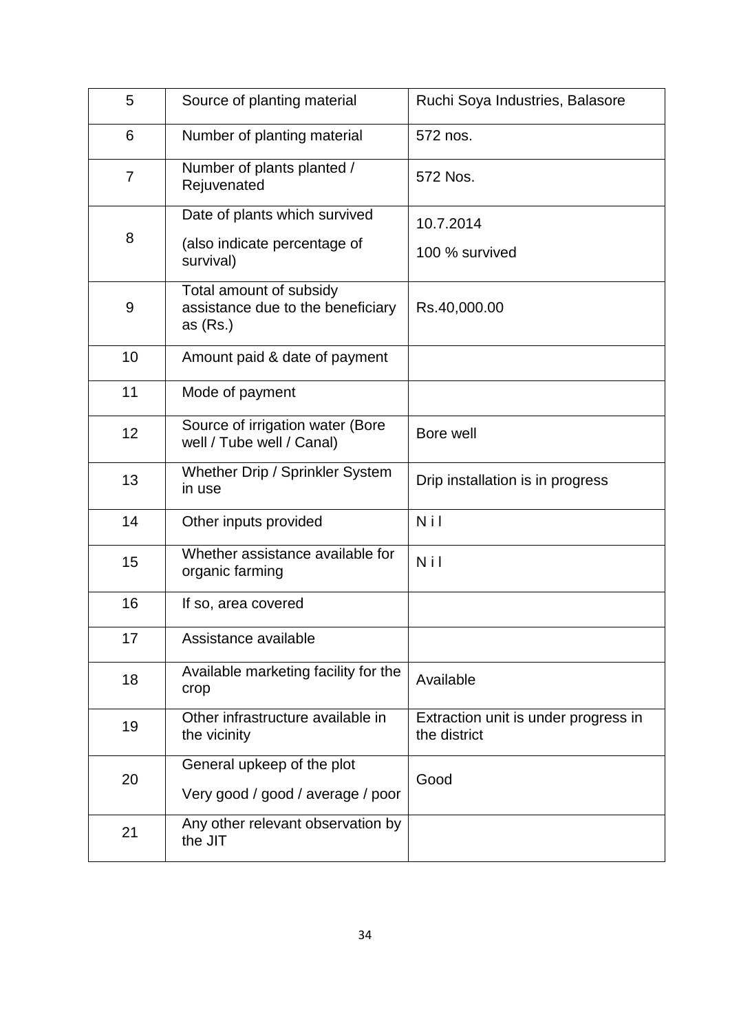| 5  | Source of planting material                                                | Ruchi Soya Industries, Balasore                      |
|----|----------------------------------------------------------------------------|------------------------------------------------------|
| 6  | Number of planting material                                                | 572 nos.                                             |
| 7  | Number of plants planted /<br>Rejuvenated                                  | 572 Nos.                                             |
|    | Date of plants which survived                                              | 10.7.2014                                            |
| 8  | (also indicate percentage of<br>survival)                                  | 100 % survived                                       |
| 9  | Total amount of subsidy<br>assistance due to the beneficiary<br>as $(Rs.)$ | Rs.40,000.00                                         |
| 10 | Amount paid & date of payment                                              |                                                      |
| 11 | Mode of payment                                                            |                                                      |
| 12 | Source of irrigation water (Bore<br>well / Tube well / Canal)              | Bore well                                            |
| 13 | Whether Drip / Sprinkler System<br>in use                                  | Drip installation is in progress                     |
| 14 | Other inputs provided                                                      | Nil                                                  |
| 15 | Whether assistance available for<br>organic farming                        | Nil                                                  |
| 16 | If so, area covered                                                        |                                                      |
| 17 | Assistance available                                                       |                                                      |
| 18 | Available marketing facility for the<br>crop                               | Available                                            |
| 19 | Other infrastructure available in<br>the vicinity                          | Extraction unit is under progress in<br>the district |
| 20 | General upkeep of the plot                                                 | Good                                                 |
|    | Very good / good / average / poor                                          |                                                      |
| 21 | Any other relevant observation by<br>the JIT                               |                                                      |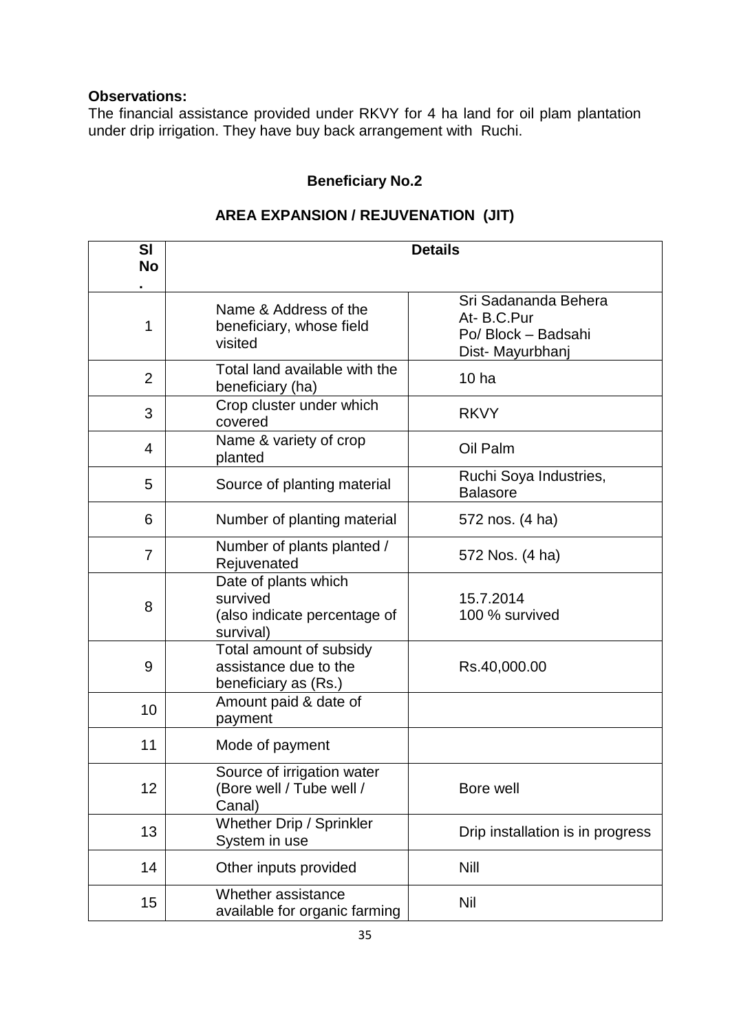The financial assistance provided under RKVY for 4 ha land for oil plam plantation under drip irrigation. They have buy back arrangement with Ruchi.

## **Beneficiary No.2**

| <b>SI</b><br><b>No</b> |                                                                               | <b>Details</b>                                                               |
|------------------------|-------------------------------------------------------------------------------|------------------------------------------------------------------------------|
| 1                      | Name & Address of the<br>beneficiary, whose field<br>visited                  | Sri Sadananda Behera<br>At-B.C.Pur<br>Po/ Block - Badsahi<br>Dist-Mayurbhanj |
| $\overline{2}$         | Total land available with the<br>beneficiary (ha)                             | 10 <sub>ha</sub>                                                             |
| 3                      | Crop cluster under which<br>covered                                           | <b>RKVY</b>                                                                  |
| 4                      | Name & variety of crop<br>planted                                             | Oil Palm                                                                     |
| 5                      | Source of planting material                                                   | Ruchi Soya Industries,<br><b>Balasore</b>                                    |
| 6                      | Number of planting material                                                   | 572 nos. (4 ha)                                                              |
| $\overline{7}$         | Number of plants planted /<br>Rejuvenated                                     | 572 Nos. (4 ha)                                                              |
| 8                      | Date of plants which<br>survived<br>(also indicate percentage of<br>survival) | 15.7.2014<br>100 % survived                                                  |
| 9                      | Total amount of subsidy<br>assistance due to the<br>beneficiary as (Rs.)      | Rs.40,000.00                                                                 |
| 10                     | Amount paid & date of<br>payment                                              |                                                                              |
| 11                     | Mode of payment                                                               |                                                                              |
| 12                     | Source of irrigation water<br>(Bore well / Tube well /<br>Canal)              | Bore well                                                                    |
| 13                     | Whether Drip / Sprinkler<br>System in use                                     | Drip installation is in progress                                             |
| 14                     | Other inputs provided                                                         | <b>Nill</b>                                                                  |
| 15                     | Whether assistance<br>available for organic farming                           | Nil                                                                          |

## **AREA EXPANSION / REJUVENATION (JIT)**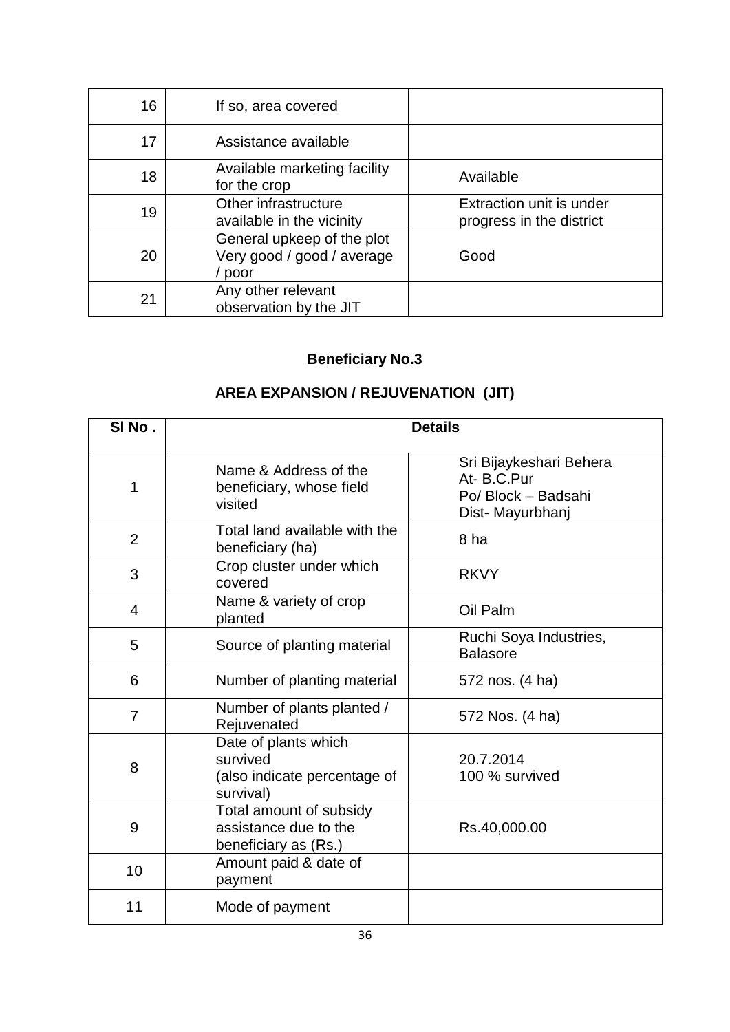| 16 | If so, area covered                                                |                                                      |
|----|--------------------------------------------------------------------|------------------------------------------------------|
| 17 | Assistance available                                               |                                                      |
| 18 | Available marketing facility<br>for the crop                       | Available                                            |
| 19 | Other infrastructure<br>available in the vicinity                  | Extraction unit is under<br>progress in the district |
| 20 | General upkeep of the plot<br>Very good / good / average<br>/ poor | Good                                                 |
| 21 | Any other relevant<br>observation by the JIT                       |                                                      |

## **AREA EXPANSION / REJUVENATION (JIT)**

| SINo.          |                                                                               | <b>Details</b>                                                                  |
|----------------|-------------------------------------------------------------------------------|---------------------------------------------------------------------------------|
| 1              | Name & Address of the<br>beneficiary, whose field<br>visited                  | Sri Bijaykeshari Behera<br>At-B.C.Pur<br>Po/ Block - Badsahi<br>Dist-Mayurbhanj |
| $\overline{2}$ | Total land available with the<br>beneficiary (ha)                             | 8 ha                                                                            |
| 3              | Crop cluster under which<br>covered                                           | <b>RKVY</b>                                                                     |
| 4              | Name & variety of crop<br>planted                                             | Oil Palm                                                                        |
| 5              | Source of planting material                                                   | Ruchi Soya Industries,<br><b>Balasore</b>                                       |
| 6              | Number of planting material                                                   | 572 nos. (4 ha)                                                                 |
| $\overline{7}$ | Number of plants planted /<br>Rejuvenated                                     | 572 Nos. (4 ha)                                                                 |
| 8              | Date of plants which<br>survived<br>(also indicate percentage of<br>survival) | 20.7.2014<br>100 % survived                                                     |
| 9              | Total amount of subsidy<br>assistance due to the<br>beneficiary as (Rs.)      | Rs.40,000.00                                                                    |
| 10             | Amount paid & date of<br>payment                                              |                                                                                 |
| 11             | Mode of payment                                                               |                                                                                 |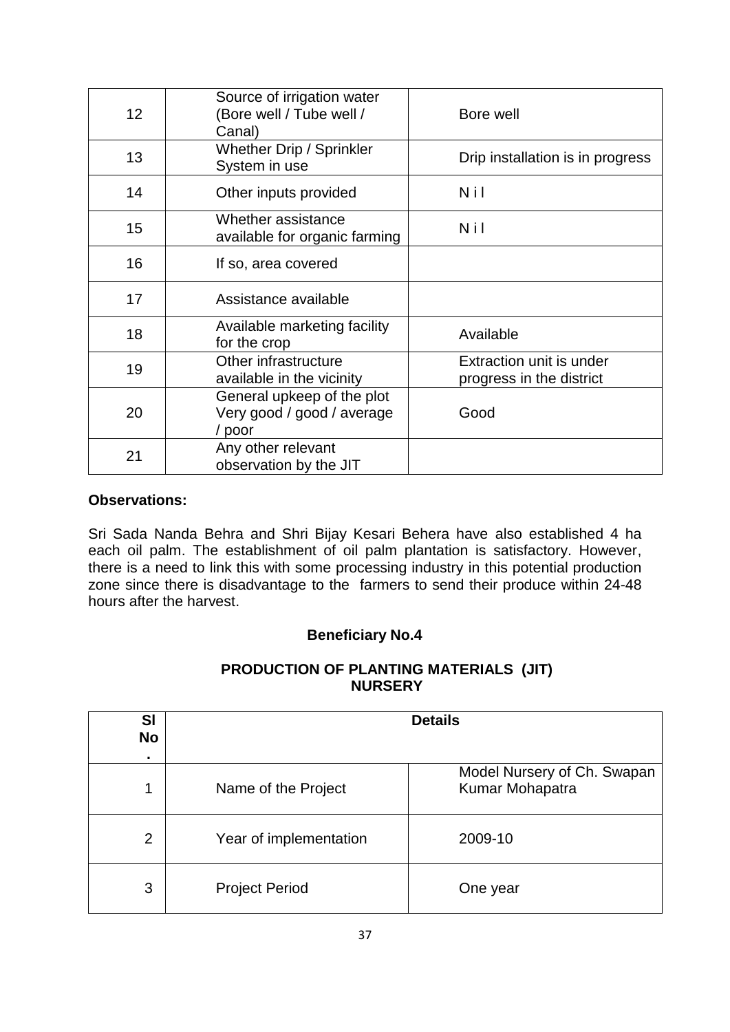| 12 | Source of irrigation water<br>(Bore well / Tube well /<br>Canal)   | Bore well                                            |
|----|--------------------------------------------------------------------|------------------------------------------------------|
| 13 | <b>Whether Drip / Sprinkler</b><br>System in use                   | Drip installation is in progress                     |
| 14 | Other inputs provided                                              | Nil                                                  |
| 15 | Whether assistance<br>available for organic farming                | Nil                                                  |
| 16 | If so, area covered                                                |                                                      |
| 17 | Assistance available                                               |                                                      |
| 18 | Available marketing facility<br>for the crop                       | Available                                            |
| 19 | Other infrastructure<br>available in the vicinity                  | Extraction unit is under<br>progress in the district |
| 20 | General upkeep of the plot<br>Very good / good / average<br>/ poor | Good                                                 |
| 21 | Any other relevant<br>observation by the JIT                       |                                                      |

Sri Sada Nanda Behra and Shri Bijay Kesari Behera have also established 4 ha each oil palm. The establishment of oil palm plantation is satisfactory. However, there is a need to link this with some processing industry in this potential production zone since there is disadvantage to the farmers to send their produce within 24-48 hours after the harvest.

### **Beneficiary No.4**

#### **PRODUCTION OF PLANTING MATERIALS (JIT) NURSERY**

| SI<br><b>No</b> |                        | <b>Details</b>                                 |
|-----------------|------------------------|------------------------------------------------|
|                 |                        |                                                |
|                 | Name of the Project    | Model Nursery of Ch. Swapan<br>Kumar Mohapatra |
| $\overline{2}$  | Year of implementation | 2009-10                                        |
| 3               | <b>Project Period</b>  | One year                                       |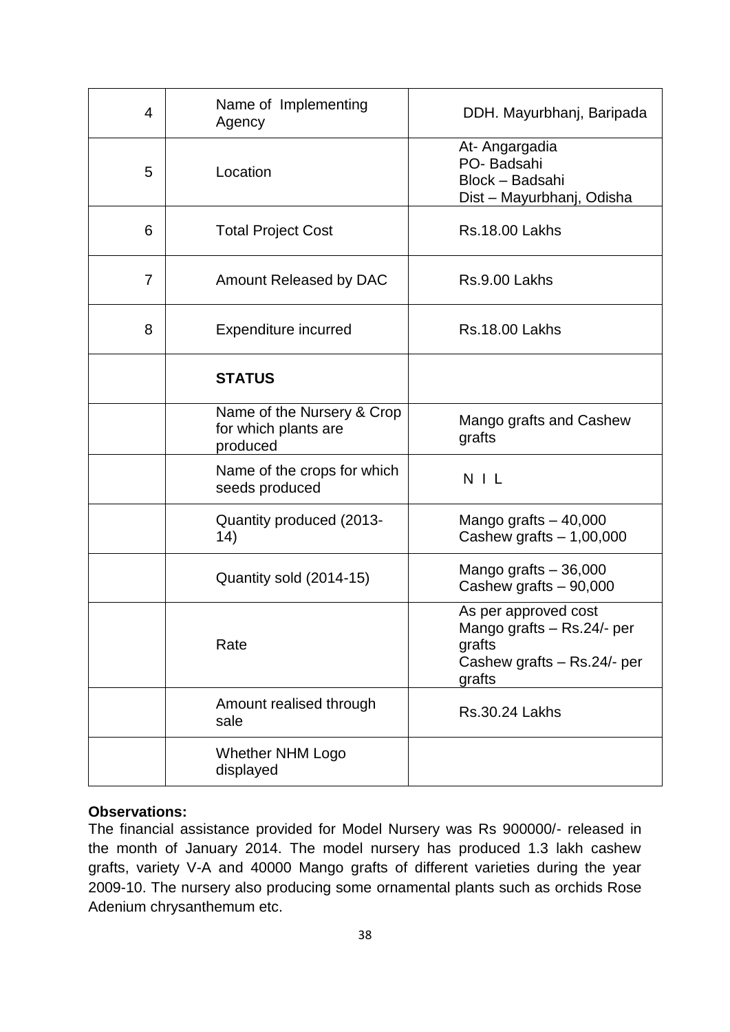| 4              | Name of Implementing<br>Agency                                 | DDH. Mayurbhanj, Baripada                                                                             |
|----------------|----------------------------------------------------------------|-------------------------------------------------------------------------------------------------------|
| 5              | Location                                                       | At- Angargadia<br>PO-Badsahi<br>Block - Badsahi<br>Dist - Mayurbhanj, Odisha                          |
| 6              | <b>Total Project Cost</b>                                      | <b>Rs.18.00 Lakhs</b>                                                                                 |
| $\overline{7}$ | Amount Released by DAC                                         | Rs.9.00 Lakhs                                                                                         |
| 8              | <b>Expenditure incurred</b>                                    | <b>Rs.18.00 Lakhs</b>                                                                                 |
|                | <b>STATUS</b>                                                  |                                                                                                       |
|                | Name of the Nursery & Crop<br>for which plants are<br>produced | Mango grafts and Cashew<br>grafts                                                                     |
|                | Name of the crops for which<br>seeds produced                  | $N$   $L$                                                                                             |
|                | Quantity produced (2013-<br>14)                                | Mango grafts $-40,000$<br>Cashew grafts $-1,00,000$                                                   |
|                | Quantity sold (2014-15)                                        | Mango grafts $-36,000$<br>Cashew grafts - 90,000                                                      |
|                | Rate                                                           | As per approved cost<br>Mango grafts - Rs.24/- per<br>grafts<br>Cashew grafts - Rs.24/- per<br>grafts |
|                | Amount realised through<br>sale                                | <b>Rs.30.24 Lakhs</b>                                                                                 |
|                | <b>Whether NHM Logo</b><br>displayed                           |                                                                                                       |

The financial assistance provided for Model Nursery was Rs 900000/- released in the month of January 2014. The model nursery has produced 1.3 lakh cashew grafts, variety V-A and 40000 Mango grafts of different varieties during the year 2009-10. The nursery also producing some ornamental plants such as orchids Rose Adenium chrysanthemum etc.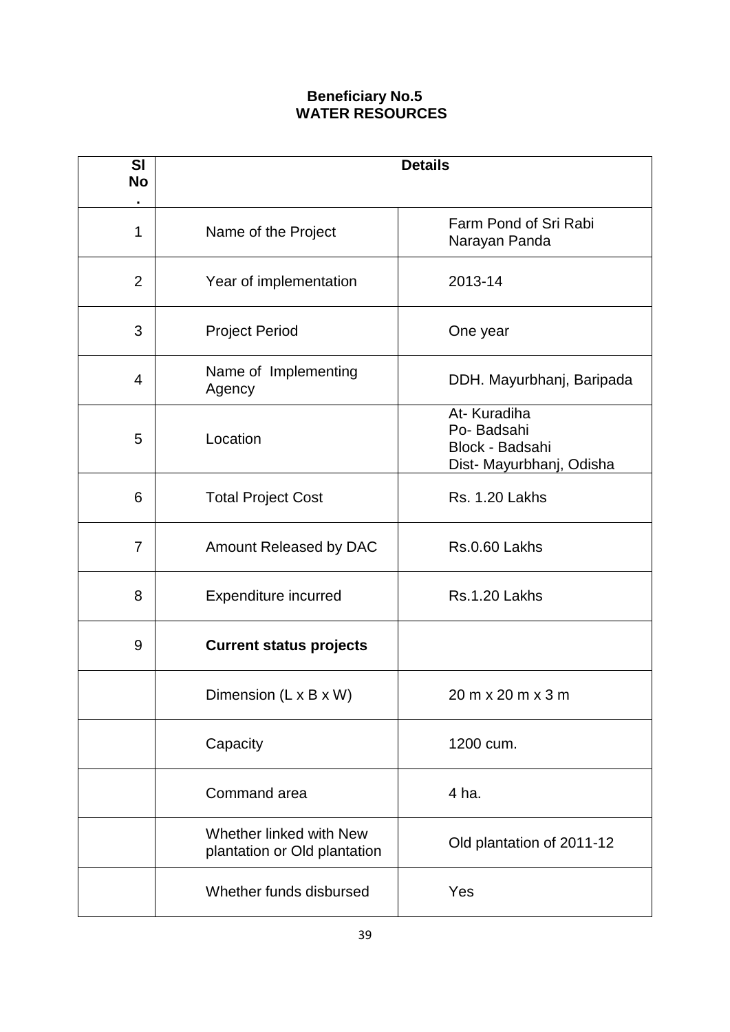### **Beneficiary No.5 WATER RESOURCES**

| <b>SI</b><br><b>No</b> |                                                         | <b>Details</b>                                                           |
|------------------------|---------------------------------------------------------|--------------------------------------------------------------------------|
| 1                      | Name of the Project                                     | Farm Pond of Sri Rabi<br>Narayan Panda                                   |
| $\overline{2}$         | Year of implementation                                  | 2013-14                                                                  |
| 3                      | <b>Project Period</b>                                   | One year                                                                 |
| 4                      | Name of Implementing<br>Agency                          | DDH. Mayurbhanj, Baripada                                                |
| 5                      | Location                                                | At-Kuradiha<br>Po-Badsahi<br>Block - Badsahi<br>Dist- Mayurbhanj, Odisha |
| 6                      | <b>Total Project Cost</b>                               | <b>Rs. 1.20 Lakhs</b>                                                    |
| $\overline{7}$         | Amount Released by DAC                                  | Rs.0.60 Lakhs                                                            |
| 8                      | <b>Expenditure incurred</b>                             | Rs.1.20 Lakhs                                                            |
| 9                      | <b>Current status projects</b>                          |                                                                          |
|                        | Dimension (L x B x W)                                   | 20 m x 20 m x 3 m                                                        |
|                        | Capacity                                                | 1200 cum.                                                                |
|                        | Command area                                            | 4 ha.                                                                    |
|                        | Whether linked with New<br>plantation or Old plantation | Old plantation of 2011-12                                                |
|                        | Whether funds disbursed                                 | Yes                                                                      |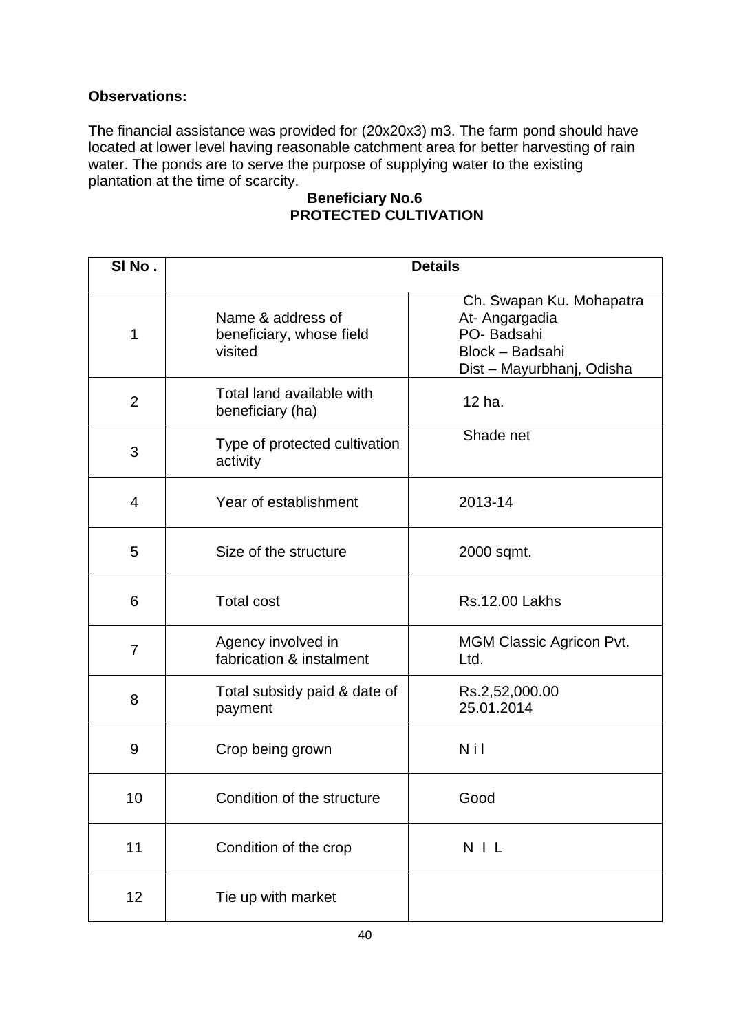The financial assistance was provided for (20x20x3) m3. The farm pond should have located at lower level having reasonable catchment area for better harvesting of rain water. The ponds are to serve the purpose of supplying water to the existing plantation at the time of scarcity.

## **Beneficiary No.6 PROTECTED CULTIVATION**

| SINo.          |                                                          | <b>Details</b>                                                                                           |
|----------------|----------------------------------------------------------|----------------------------------------------------------------------------------------------------------|
| 1              | Name & address of<br>beneficiary, whose field<br>visited | Ch. Swapan Ku. Mohapatra<br>At- Angargadia<br>PO-Badsahi<br>Block - Badsahi<br>Dist - Mayurbhanj, Odisha |
| $\overline{2}$ | Total land available with<br>beneficiary (ha)            | 12 ha.                                                                                                   |
| 3              | Type of protected cultivation<br>activity                | Shade net                                                                                                |
| $\overline{4}$ | Year of establishment                                    | 2013-14                                                                                                  |
| 5              | Size of the structure                                    | 2000 sqmt.                                                                                               |
| 6              | <b>Total cost</b>                                        | <b>Rs.12.00 Lakhs</b>                                                                                    |
| 7              | Agency involved in<br>fabrication & instalment           | <b>MGM Classic Agricon Pvt.</b><br>Ltd.                                                                  |
| 8              | Total subsidy paid & date of<br>payment                  | Rs.2,52,000.00<br>25.01.2014                                                                             |
| 9              | Crop being grown                                         | Nil                                                                                                      |
| 10             | Condition of the structure                               | Good                                                                                                     |
| 11             | Condition of the crop                                    | N I L                                                                                                    |
| 12             | Tie up with market                                       |                                                                                                          |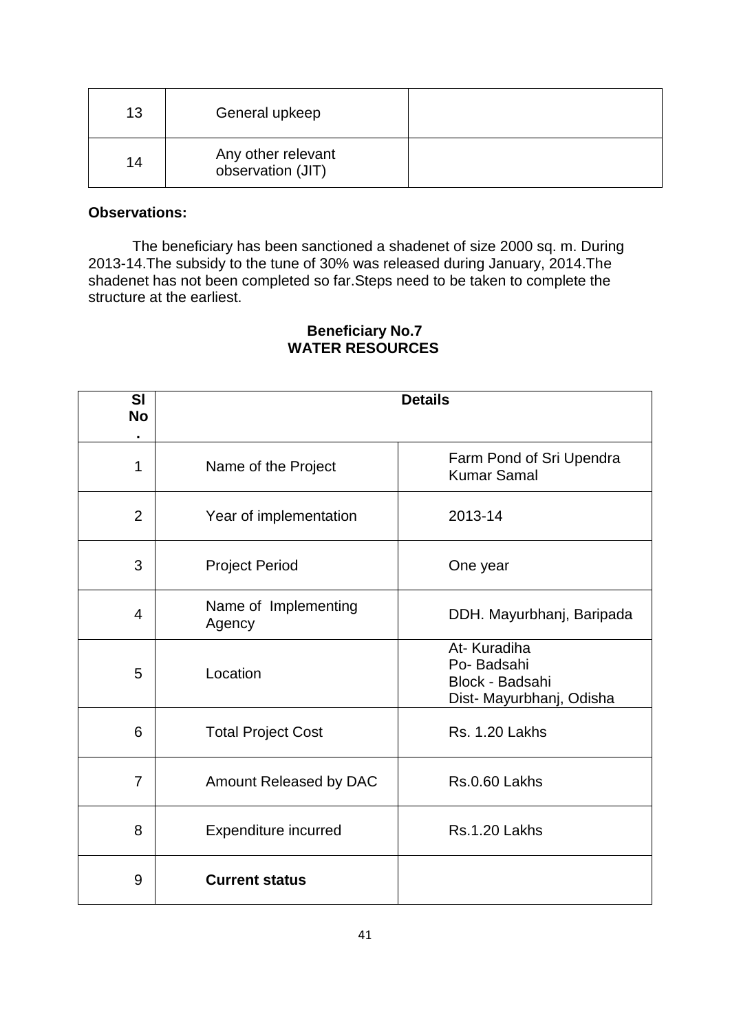| 13 | General upkeep                          |  |
|----|-----------------------------------------|--|
| 14 | Any other relevant<br>observation (JIT) |  |

The beneficiary has been sanctioned a shadenet of size 2000 sq. m. During 2013-14.The subsidy to the tune of 30% was released during January, 2014.The shadenet has not been completed so far.Steps need to be taken to complete the structure at the earliest.

| SI<br><b>No</b> |                                | <b>Details</b>                                                           |
|-----------------|--------------------------------|--------------------------------------------------------------------------|
| 1               | Name of the Project            | Farm Pond of Sri Upendra<br><b>Kumar Samal</b>                           |
| $\overline{2}$  | Year of implementation         | 2013-14                                                                  |
| 3               | <b>Project Period</b>          | One year                                                                 |
| 4               | Name of Implementing<br>Agency | DDH. Mayurbhanj, Baripada                                                |
| 5               | Location                       | At-Kuradiha<br>Po-Badsahi<br>Block - Badsahi<br>Dist- Mayurbhanj, Odisha |
| 6               | <b>Total Project Cost</b>      | <b>Rs. 1.20 Lakhs</b>                                                    |
| $\overline{7}$  | Amount Released by DAC         | Rs.0.60 Lakhs                                                            |
| 8               | <b>Expenditure incurred</b>    | Rs.1.20 Lakhs                                                            |
| 9               | <b>Current status</b>          |                                                                          |

#### **Beneficiary No.7 WATER RESOURCES**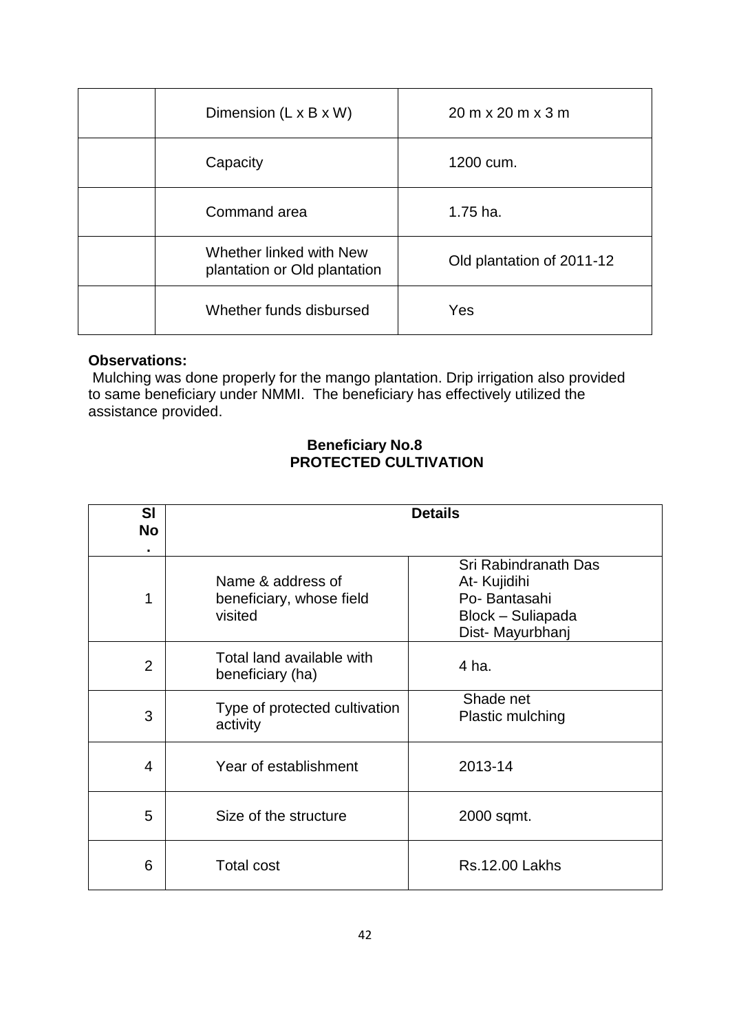| Dimension $(L \times B \times W)$                       | $20 \text{ m} \times 20 \text{ m} \times 3 \text{ m}$ |
|---------------------------------------------------------|-------------------------------------------------------|
| Capacity                                                | 1200 cum.                                             |
| Command area                                            | $1.75$ ha.                                            |
| Whether linked with New<br>plantation or Old plantation | Old plantation of 2011-12                             |
| Whether funds disbursed                                 | Yes                                                   |

Mulching was done properly for the mango plantation. Drip irrigation also provided to same beneficiary under NMMI. The beneficiary has effectively utilized the assistance provided.

#### **Beneficiary No.8 PROTECTED CULTIVATION**

| SI<br><b>No</b><br>٠ |                                                          | <b>Details</b>                                                                               |
|----------------------|----------------------------------------------------------|----------------------------------------------------------------------------------------------|
| 1                    | Name & address of<br>beneficiary, whose field<br>visited | Sri Rabindranath Das<br>At- Kujidihi<br>Po-Bantasahi<br>Block - Suliapada<br>Dist-Mayurbhanj |
| $\overline{2}$       | Total land available with<br>beneficiary (ha)            | 4 ha.                                                                                        |
| 3                    | Type of protected cultivation<br>activity                | Shade net<br>Plastic mulching                                                                |
| 4                    | Year of establishment                                    | 2013-14                                                                                      |
| 5                    | Size of the structure                                    | 2000 sqmt.                                                                                   |
| 6                    | <b>Total cost</b>                                        | <b>Rs.12.00 Lakhs</b>                                                                        |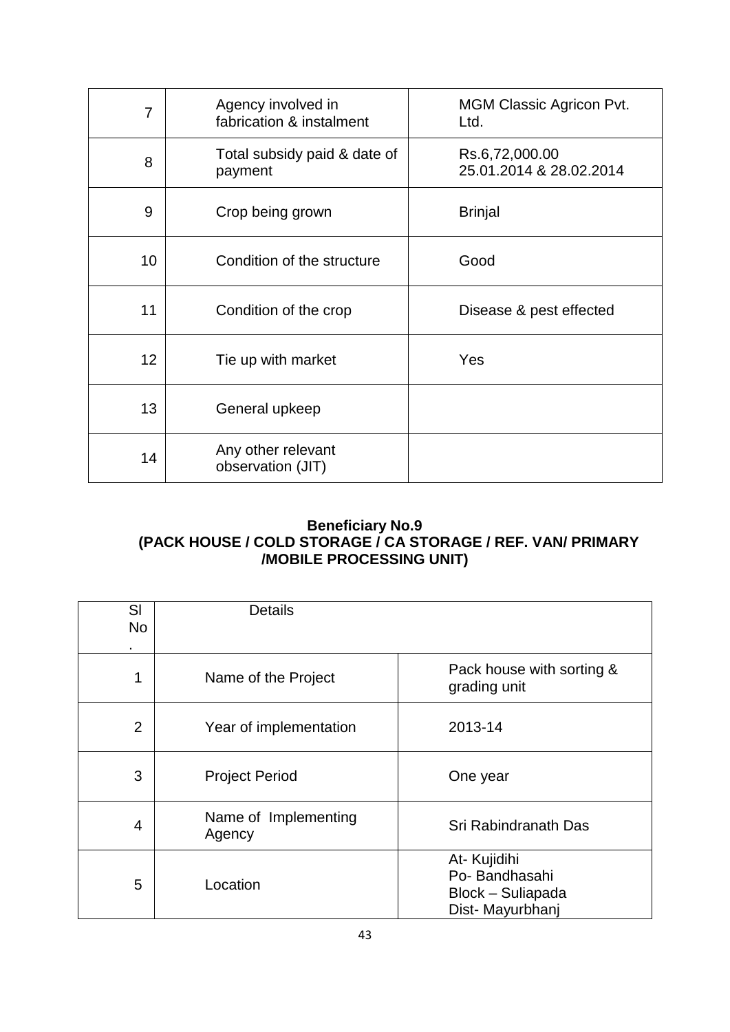| $\overline{7}$ | Agency involved in<br>fabrication & instalment | <b>MGM Classic Agricon Pvt.</b><br>Ltd.   |
|----------------|------------------------------------------------|-------------------------------------------|
| 8              | Total subsidy paid & date of<br>payment        | Rs.6,72,000.00<br>25.01.2014 & 28.02.2014 |
| 9              | Crop being grown                               | <b>Brinjal</b>                            |
| 10             | Condition of the structure                     | Good                                      |
| 11             | Condition of the crop                          | Disease & pest effected                   |
| 12             | Tie up with market                             | Yes                                       |
| 13             | General upkeep                                 |                                           |
| 14             | Any other relevant<br>observation (JIT)        |                                           |

## **Beneficiary No.9 (PACK HOUSE / COLD STORAGE / CA STORAGE / REF. VAN/ PRIMARY /MOBILE PROCESSING UNIT)**

| SI<br><b>No</b> | <b>Details</b>                 |                                                                       |
|-----------------|--------------------------------|-----------------------------------------------------------------------|
| $\blacksquare$  |                                |                                                                       |
| 1               | Name of the Project            | Pack house with sorting &<br>grading unit                             |
| $\overline{2}$  | Year of implementation         | 2013-14                                                               |
| 3               | <b>Project Period</b>          | One year                                                              |
| 4               | Name of Implementing<br>Agency | Sri Rabindranath Das                                                  |
| 5               | Location                       | At- Kujidihi<br>Po-Bandhasahi<br>Block - Suliapada<br>Dist-Mayurbhanj |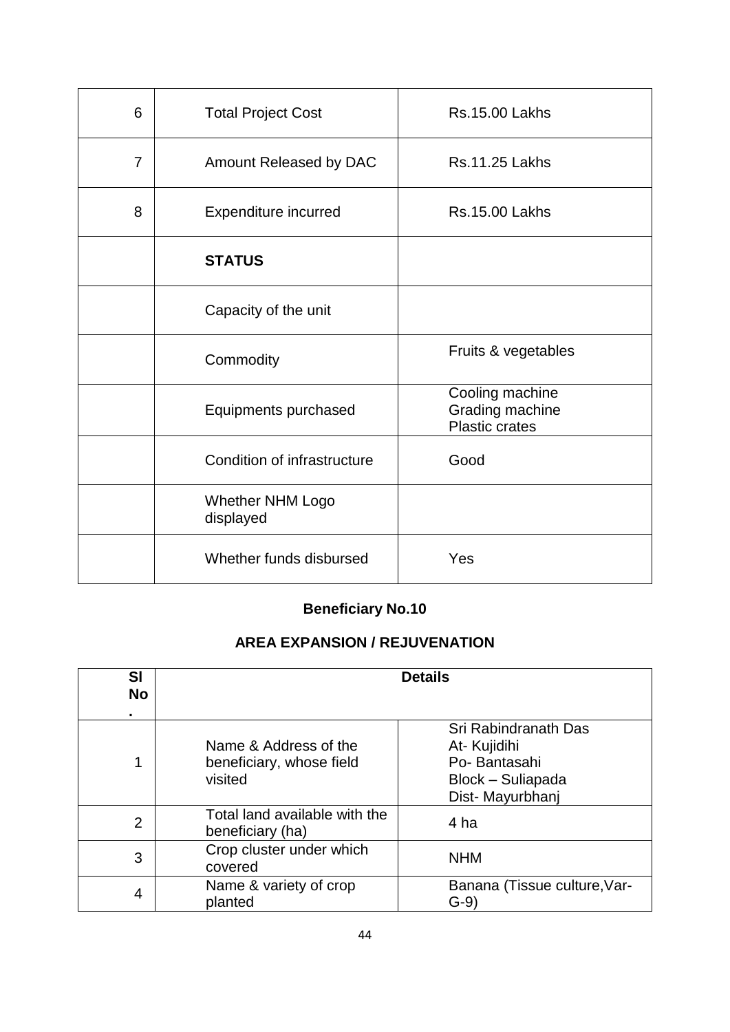| 6              | <b>Total Project Cost</b>            | <b>Rs.15.00 Lakhs</b>                                       |
|----------------|--------------------------------------|-------------------------------------------------------------|
| $\overline{7}$ | Amount Released by DAC               | <b>Rs.11.25 Lakhs</b>                                       |
| 8              | Expenditure incurred                 | <b>Rs.15.00 Lakhs</b>                                       |
|                | <b>STATUS</b>                        |                                                             |
|                | Capacity of the unit                 |                                                             |
|                | Commodity                            | Fruits & vegetables                                         |
|                | Equipments purchased                 | Cooling machine<br>Grading machine<br><b>Plastic crates</b> |
|                | Condition of infrastructure          | Good                                                        |
|                | <b>Whether NHM Logo</b><br>displayed |                                                             |
|                | Whether funds disbursed              | Yes                                                         |

## **AREA EXPANSION / REJUVENATION**

| <b>SI</b><br><b>No</b><br>٠ |                                                              | <b>Details</b>                                                                               |
|-----------------------------|--------------------------------------------------------------|----------------------------------------------------------------------------------------------|
| 1                           | Name & Address of the<br>beneficiary, whose field<br>visited | Sri Rabindranath Das<br>At- Kujidihi<br>Po-Bantasahi<br>Block - Suliapada<br>Dist-Mayurbhanj |
| 2                           | Total land available with the<br>beneficiary (ha)            | 4 ha                                                                                         |
| 3                           | Crop cluster under which<br>covered                          | <b>NHM</b>                                                                                   |
| 4                           | Name & variety of crop<br>planted                            | Banana (Tissue culture, Var-<br>$G-9)$                                                       |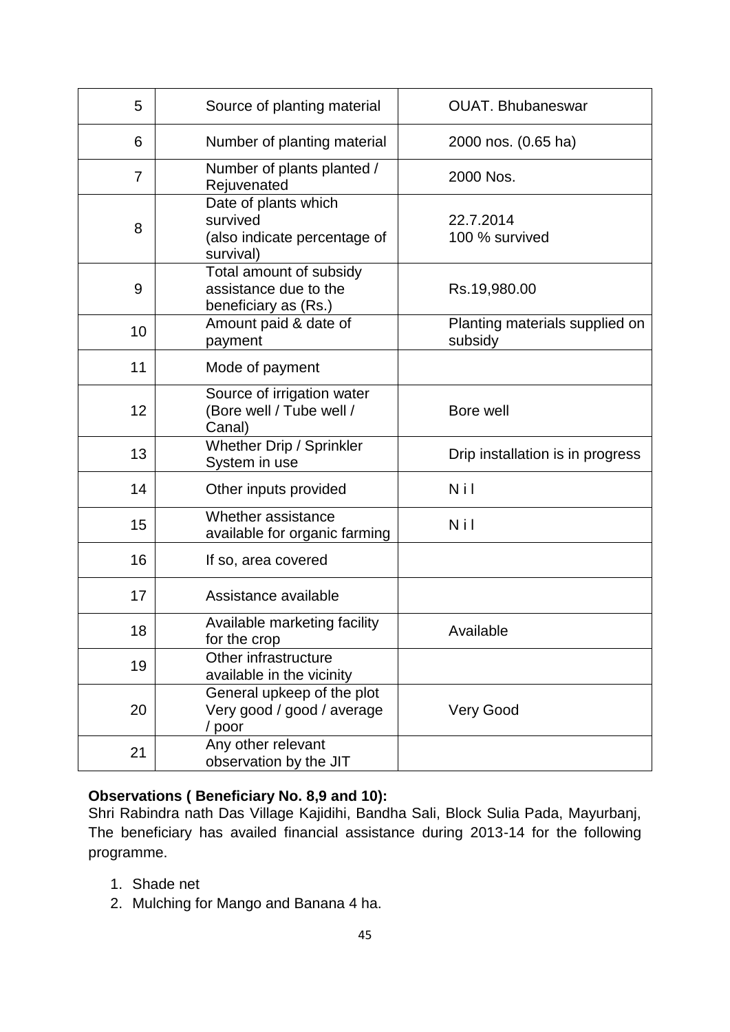| 5              | Source of planting material                                                   | <b>OUAT. Bhubaneswar</b>                  |
|----------------|-------------------------------------------------------------------------------|-------------------------------------------|
| 6              | Number of planting material                                                   | 2000 nos. (0.65 ha)                       |
| $\overline{7}$ | Number of plants planted /<br>Rejuvenated                                     | 2000 Nos.                                 |
| 8              | Date of plants which<br>survived<br>(also indicate percentage of<br>survival) | 22.7.2014<br>100 % survived               |
| 9              | Total amount of subsidy<br>assistance due to the<br>beneficiary as (Rs.)      | Rs.19,980.00                              |
| 10             | Amount paid & date of<br>payment                                              | Planting materials supplied on<br>subsidy |
| 11             | Mode of payment                                                               |                                           |
| 12             | Source of irrigation water<br>(Bore well / Tube well /<br>Canal)              | Bore well                                 |
| 13             | Whether Drip / Sprinkler<br>System in use                                     | Drip installation is in progress          |
| 14             | Other inputs provided                                                         | N i l                                     |
| 15             | Whether assistance<br>available for organic farming                           | Nil                                       |
| 16             | If so, area covered                                                           |                                           |
| 17             | Assistance available                                                          |                                           |
| 18             | Available marketing facility<br>for the crop                                  | Available                                 |
| 19             | Other infrastructure<br>available in the vicinity                             |                                           |
| 20             | General upkeep of the plot<br>Very good / good / average<br>/ poor            | <b>Very Good</b>                          |
| 21             | Any other relevant<br>observation by the JIT                                  |                                           |

## **Observations ( Beneficiary No. 8,9 and 10):**

Shri Rabindra nath Das Village Kajidihi, Bandha Sali, Block Sulia Pada, Mayurbanj, The beneficiary has availed financial assistance during 2013-14 for the following programme.

- 1. Shade net
- 2. Mulching for Mango and Banana 4 ha.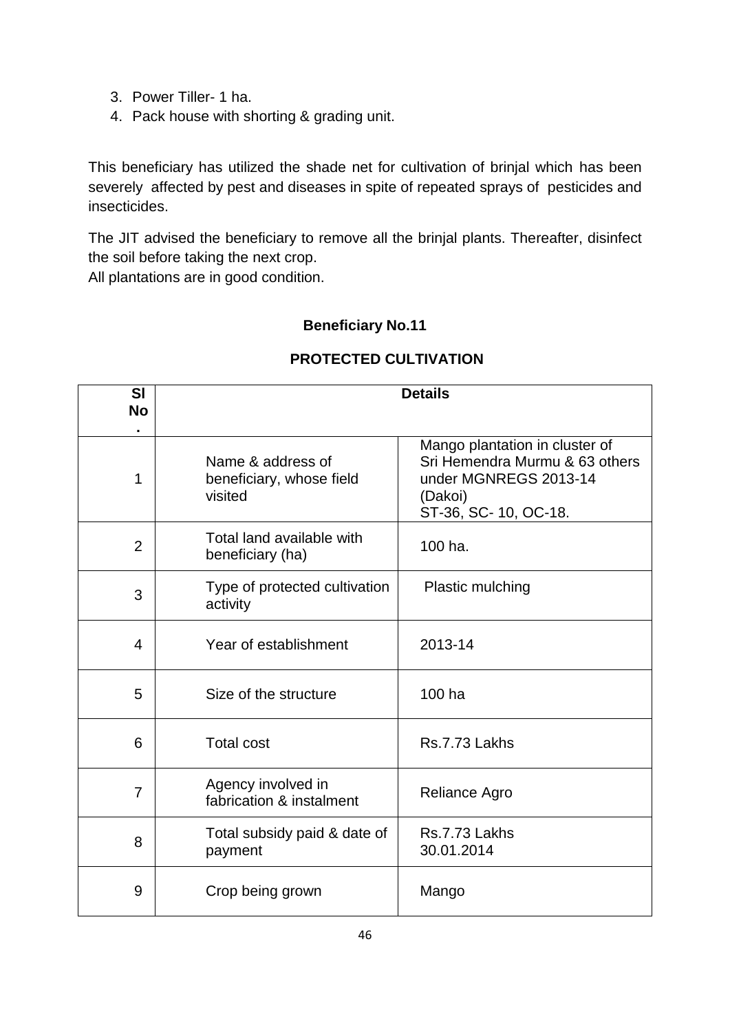- 3. Power Tiller- 1 ha.
- 4. Pack house with shorting & grading unit.

This beneficiary has utilized the shade net for cultivation of brinjal which has been severely affected by pest and diseases in spite of repeated sprays of pesticides and insecticides.

The JIT advised the beneficiary to remove all the brinjal plants. Thereafter, disinfect the soil before taking the next crop.

All plantations are in good condition.

### **Beneficiary No.11**

## **PROTECTED CULTIVATION**

| <b>SI</b><br><b>No</b> |                                                          | <b>Details</b>                                                                                                               |
|------------------------|----------------------------------------------------------|------------------------------------------------------------------------------------------------------------------------------|
| 1                      | Name & address of<br>beneficiary, whose field<br>visited | Mango plantation in cluster of<br>Sri Hemendra Murmu & 63 others<br>under MGNREGS 2013-14<br>(Dakoi)<br>ST-36, SC-10, OC-18. |
| $\overline{2}$         | Total land available with<br>beneficiary (ha)            | 100 ha.                                                                                                                      |
| 3                      | Type of protected cultivation<br>activity                | <b>Plastic mulching</b>                                                                                                      |
| 4                      | Year of establishment                                    | 2013-14                                                                                                                      |
| 5                      | Size of the structure                                    | 100 ha                                                                                                                       |
| 6                      | <b>Total cost</b>                                        | Rs.7.73 Lakhs                                                                                                                |
| $\overline{7}$         | Agency involved in<br>fabrication & instalment           | Reliance Agro                                                                                                                |
| 8                      | Total subsidy paid & date of<br>payment                  | Rs.7.73 Lakhs<br>30.01.2014                                                                                                  |
| 9                      | Crop being grown                                         | Mango                                                                                                                        |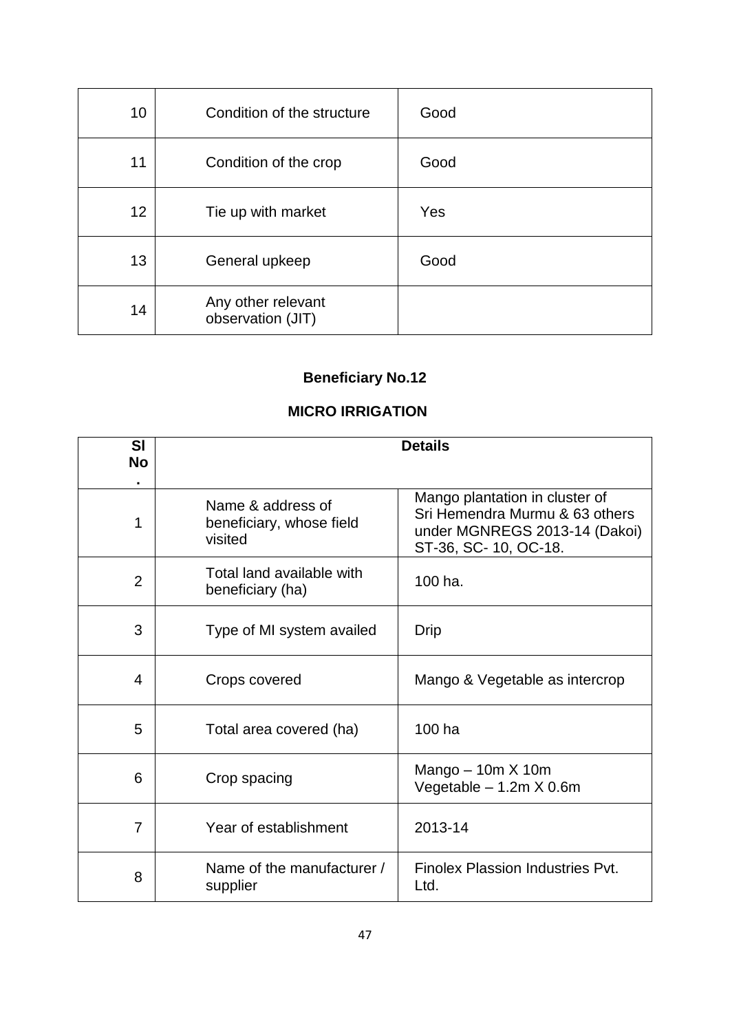| 10 | Condition of the structure              | Good |
|----|-----------------------------------------|------|
| 11 | Condition of the crop                   | Good |
| 12 | Tie up with market                      | Yes  |
| 13 | General upkeep                          | Good |
| 14 | Any other relevant<br>observation (JIT) |      |

# **MICRO IRRIGATION**

| <b>SI</b><br><b>No</b> | <b>Details</b>                                           |                                                                                                                           |
|------------------------|----------------------------------------------------------|---------------------------------------------------------------------------------------------------------------------------|
| 1                      | Name & address of<br>beneficiary, whose field<br>visited | Mango plantation in cluster of<br>Sri Hemendra Murmu & 63 others<br>under MGNREGS 2013-14 (Dakoi)<br>ST-36, SC-10, OC-18. |
| $\overline{2}$         | Total land available with<br>beneficiary (ha)            | 100 ha.                                                                                                                   |
| 3                      | Type of MI system availed                                | Drip                                                                                                                      |
| 4                      | Crops covered                                            | Mango & Vegetable as intercrop                                                                                            |
| 5                      | Total area covered (ha)                                  | 100 ha                                                                                                                    |
| 6                      | Crop spacing                                             | Mango $-10m \times 10m$<br>Vegetable - 1.2m X 0.6m                                                                        |
| $\overline{7}$         | Year of establishment                                    | 2013-14                                                                                                                   |
| 8                      | Name of the manufacturer /<br>supplier                   | Finolex Plassion Industries Pvt.<br>Ltd.                                                                                  |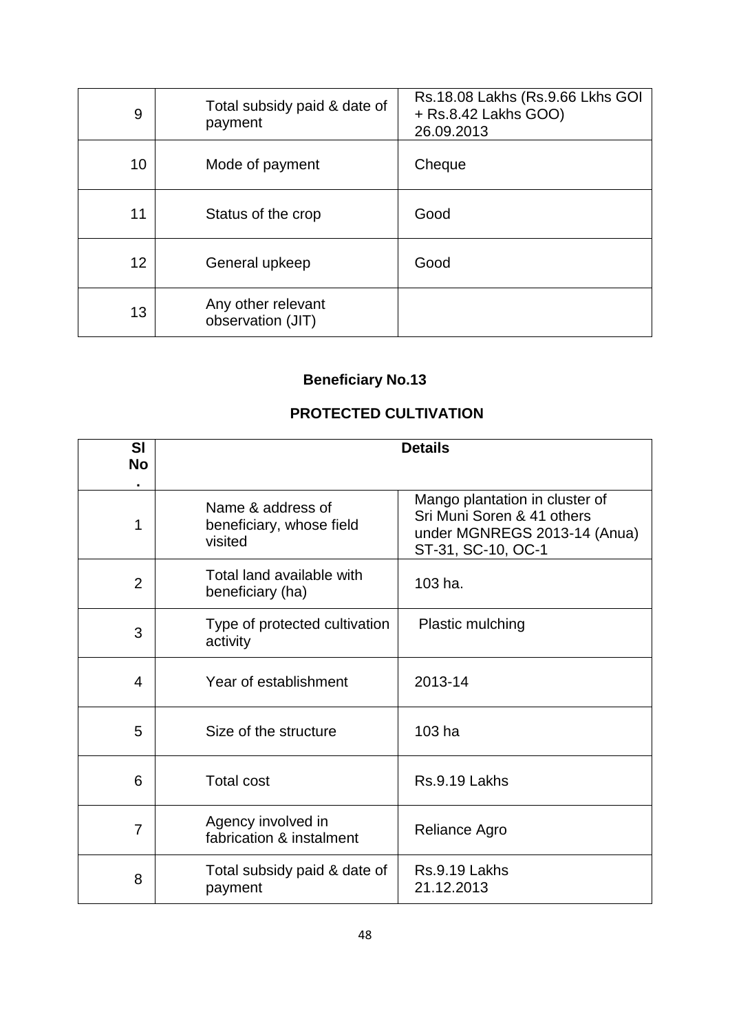| 9  | Total subsidy paid & date of<br>payment | Rs.18.08 Lakhs (Rs.9.66 Lkhs GOI<br>+ Rs.8.42 Lakhs GOO)<br>26.09.2013 |
|----|-----------------------------------------|------------------------------------------------------------------------|
| 10 | Mode of payment                         | Cheque                                                                 |
| 11 | Status of the crop                      | Good                                                                   |
| 12 | General upkeep                          | Good                                                                   |
| 13 | Any other relevant<br>observation (JIT) |                                                                        |

## **PROTECTED CULTIVATION**

| SI<br><b>No</b> | <b>Details</b>                                           |                                                                                                                    |
|-----------------|----------------------------------------------------------|--------------------------------------------------------------------------------------------------------------------|
|                 |                                                          |                                                                                                                    |
| 1               | Name & address of<br>beneficiary, whose field<br>visited | Mango plantation in cluster of<br>Sri Muni Soren & 41 others<br>under MGNREGS 2013-14 (Anua)<br>ST-31, SC-10, OC-1 |
| $\overline{2}$  | Total land available with<br>beneficiary (ha)            | 103 ha.                                                                                                            |
| 3               | Type of protected cultivation<br>activity                | Plastic mulching                                                                                                   |
| 4               | Year of establishment                                    | 2013-14                                                                                                            |
| 5               | Size of the structure                                    | $103$ ha                                                                                                           |
| 6               | <b>Total cost</b>                                        | Rs.9.19 Lakhs                                                                                                      |
| $\overline{7}$  | Agency involved in<br>fabrication & instalment           | Reliance Agro                                                                                                      |
| 8               | Total subsidy paid & date of<br>payment                  | Rs.9.19 Lakhs<br>21.12.2013                                                                                        |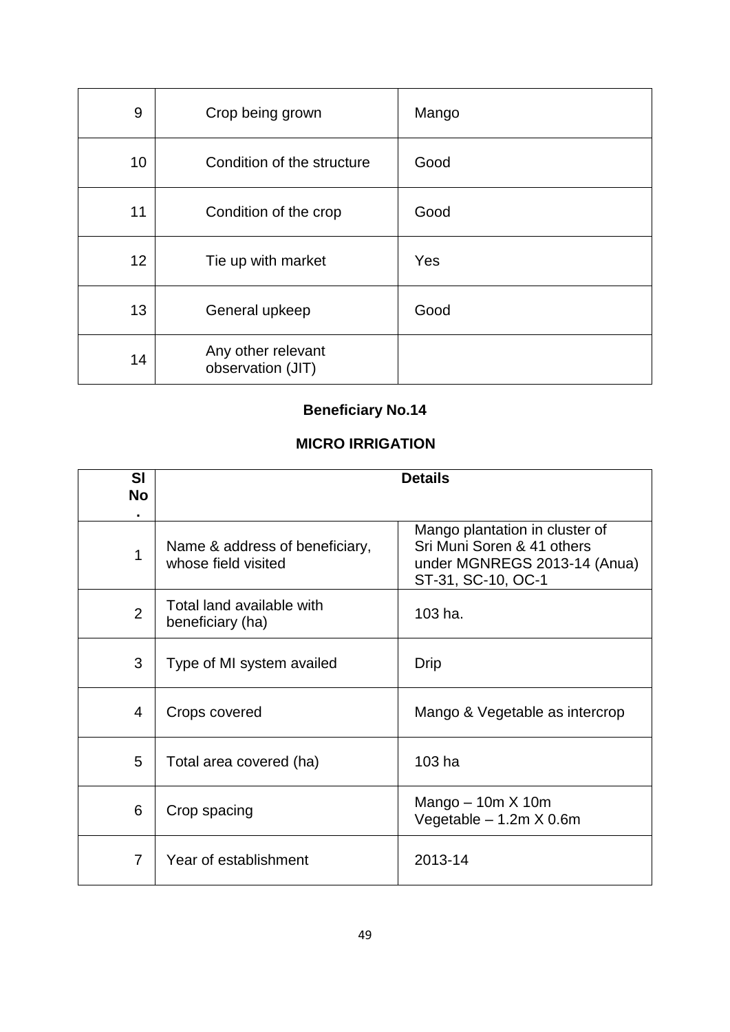| 9  | Crop being grown                        | Mango |
|----|-----------------------------------------|-------|
| 10 | Condition of the structure              | Good  |
| 11 | Condition of the crop                   | Good  |
| 12 | Tie up with market                      | Yes   |
| 13 | General upkeep                          | Good  |
| 14 | Any other relevant<br>observation (JIT) |       |

## **MICRO IRRIGATION**

| <b>SI</b><br><b>No</b> | <b>Details</b>                                        |                                                                                                                    |
|------------------------|-------------------------------------------------------|--------------------------------------------------------------------------------------------------------------------|
|                        |                                                       |                                                                                                                    |
| 1                      | Name & address of beneficiary,<br>whose field visited | Mango plantation in cluster of<br>Sri Muni Soren & 41 others<br>under MGNREGS 2013-14 (Anua)<br>ST-31, SC-10, OC-1 |
| $\overline{2}$         | Total land available with<br>beneficiary (ha)         | 103 ha.                                                                                                            |
| 3                      | Type of MI system availed                             | Drip                                                                                                               |
| 4                      | Crops covered                                         | Mango & Vegetable as intercrop                                                                                     |
| 5                      | Total area covered (ha)                               | 103 ha                                                                                                             |
| 6                      | Crop spacing                                          | Mango $-10m \times 10m$<br>Vegetable - 1.2m X 0.6m                                                                 |
| 7                      | Year of establishment                                 | 2013-14                                                                                                            |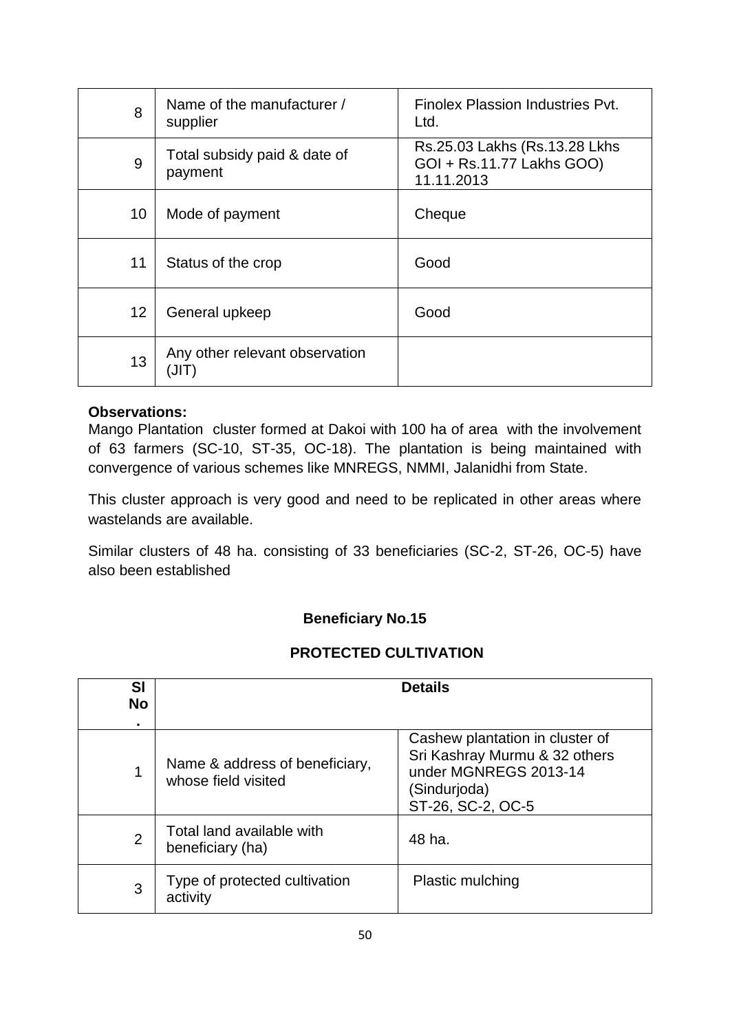| 8  | Name of the manufacturer /<br>supplier  | Finolex Plassion Industries Pyt.<br>Ltd.                                  |
|----|-----------------------------------------|---------------------------------------------------------------------------|
| 9  | Total subsidy paid & date of<br>payment | Rs.25.03 Lakhs (Rs.13.28 Lkhs)<br>GOI + Rs.11.77 Lakhs GOO)<br>11.11.2013 |
| 10 | Mode of payment                         | Cheque                                                                    |
| 11 | Status of the crop                      | Good                                                                      |
| 12 | General upkeep                          | Good                                                                      |
| 13 | Any other relevant observation<br>(JIT) |                                                                           |

Mango Plantation cluster formed at Dakoi with 100 ha of area with the involvement of 63 farmers (SC-10, ST-35, OC-18). The plantation is being maintained with convergence of various schemes like MNREGS, NMMI, Jalanidhi from State.

This cluster approach is very good and need to be replicated in other areas where wastelands are available.

Similar clusters of 48 ha. consisting of 33 beneficiaries (SC-2, ST-26, OC-5) have also been established

## **Beneficiary No.15**

## **PROTECTED CULTIVATION**

| <b>SI</b><br><b>No</b> |                                                       | <b>Details</b>                                                                                                                 |
|------------------------|-------------------------------------------------------|--------------------------------------------------------------------------------------------------------------------------------|
|                        |                                                       |                                                                                                                                |
|                        | Name & address of beneficiary,<br>whose field visited | Cashew plantation in cluster of<br>Sri Kashray Murmu & 32 others<br>under MGNREGS 2013-14<br>(Sindurjoda)<br>ST-26, SC-2, OC-5 |
| $\overline{2}$         | Total land available with<br>beneficiary (ha)         | 48 ha.                                                                                                                         |
| 3                      | Type of protected cultivation<br>activity             | <b>Plastic mulching</b>                                                                                                        |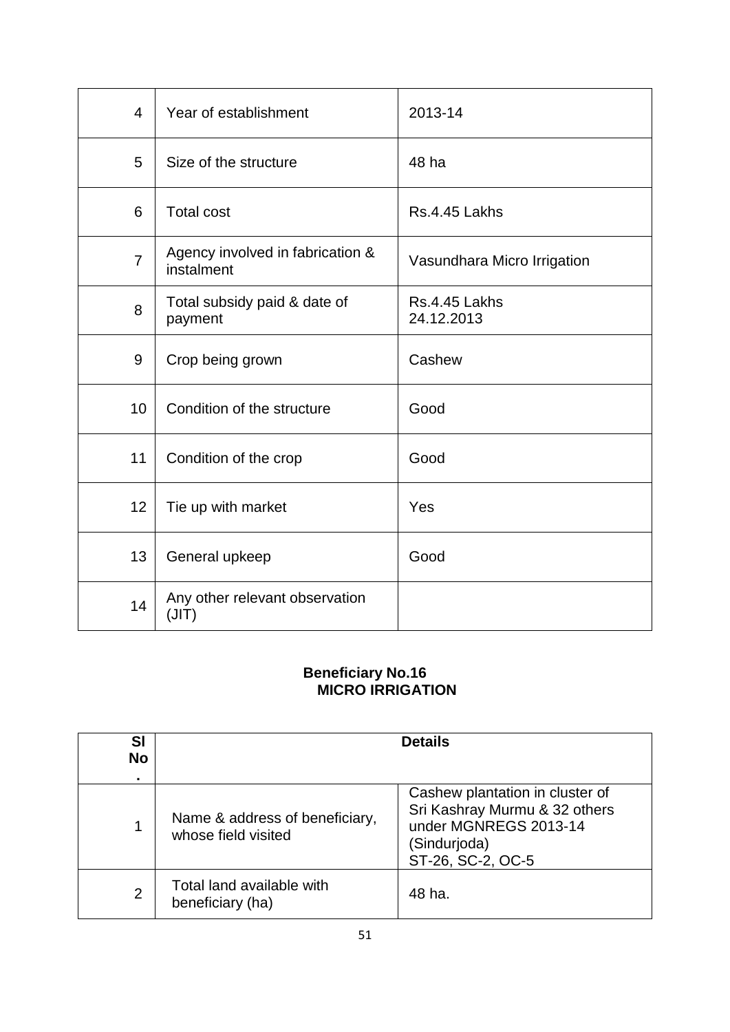| $\overline{4}$ | Year of establishment                          | 2013-14                     |
|----------------|------------------------------------------------|-----------------------------|
| 5              | Size of the structure                          | 48 ha                       |
| 6              | <b>Total cost</b>                              | Rs.4.45 Lakhs               |
| $\overline{7}$ | Agency involved in fabrication &<br>instalment | Vasundhara Micro Irrigation |
| 8              | Total subsidy paid & date of<br>payment        | Rs.4.45 Lakhs<br>24.12.2013 |
| 9              | Crop being grown                               | Cashew                      |
| 10             | Condition of the structure                     | Good                        |
| 11             | Condition of the crop                          | Good                        |
| 12             | Tie up with market                             | Yes                         |
| 13             | General upkeep                                 | Good                        |
| 14             | Any other relevant observation<br>(JIT)        |                             |

## **Beneficiary No.16 MICRO IRRIGATION**

| SI<br><b>No</b> |                                                       | <b>Details</b>                                                                                                                 |
|-----------------|-------------------------------------------------------|--------------------------------------------------------------------------------------------------------------------------------|
|                 | Name & address of beneficiary,<br>whose field visited | Cashew plantation in cluster of<br>Sri Kashray Murmu & 32 others<br>under MGNREGS 2013-14<br>(Sindurjoda)<br>ST-26, SC-2, OC-5 |
| $\overline{2}$  | Total land available with<br>beneficiary (ha)         | 48 ha.                                                                                                                         |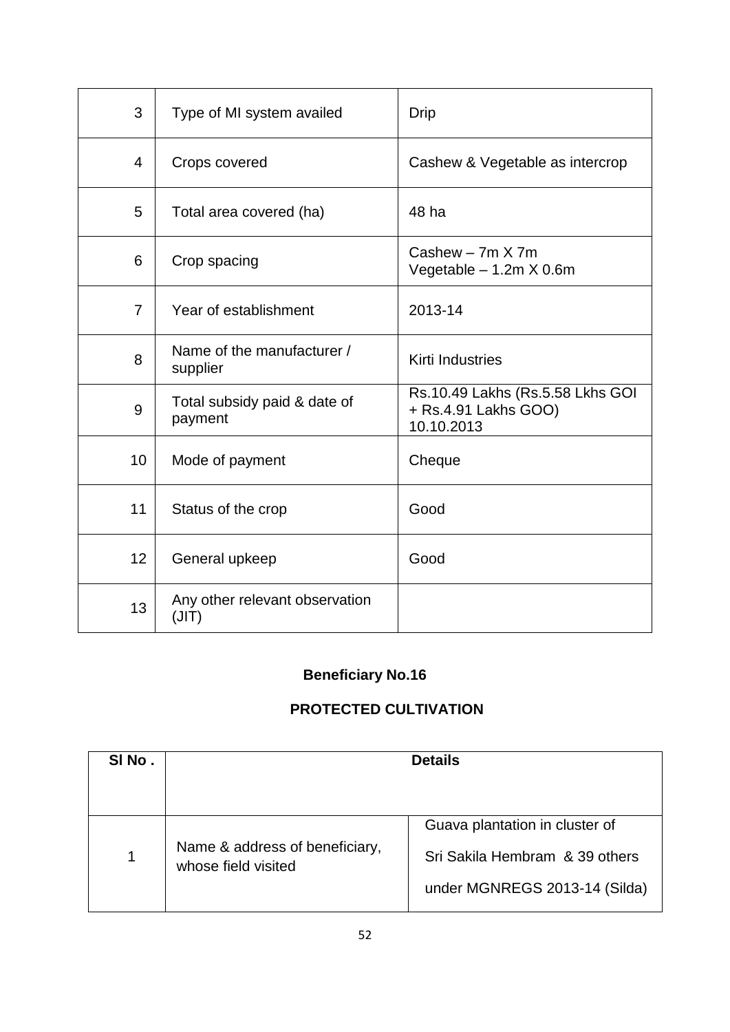| 3              | Type of MI system availed               | Drip                                                                   |
|----------------|-----------------------------------------|------------------------------------------------------------------------|
| 4              | Crops covered                           | Cashew & Vegetable as intercrop                                        |
| 5              | Total area covered (ha)                 | 48 ha                                                                  |
| 6              | Crop spacing                            | Cashew $-7m$ X $7m$<br>Vegetable - 1.2m X 0.6m                         |
| $\overline{7}$ | Year of establishment                   | 2013-14                                                                |
| 8              | Name of the manufacturer /<br>supplier  | Kirti Industries                                                       |
| 9              | Total subsidy paid & date of<br>payment | Rs.10.49 Lakhs (Rs.5.58 Lkhs GOI<br>+ Rs.4.91 Lakhs GOO)<br>10.10.2013 |
| 10             | Mode of payment                         | Cheque                                                                 |
| 11             | Status of the crop                      | Good                                                                   |
| 12             | General upkeep                          | Good                                                                   |
| 13             | Any other relevant observation<br>(JIT) |                                                                        |

## **PROTECTED CULTIVATION**

| SINO. |                                                       | <b>Details</b>                 |
|-------|-------------------------------------------------------|--------------------------------|
|       |                                                       |                                |
|       |                                                       | Guava plantation in cluster of |
|       | Name & address of beneficiary,<br>whose field visited | Sri Sakila Hembram & 39 others |
|       |                                                       | under MGNREGS 2013-14 (Silda)  |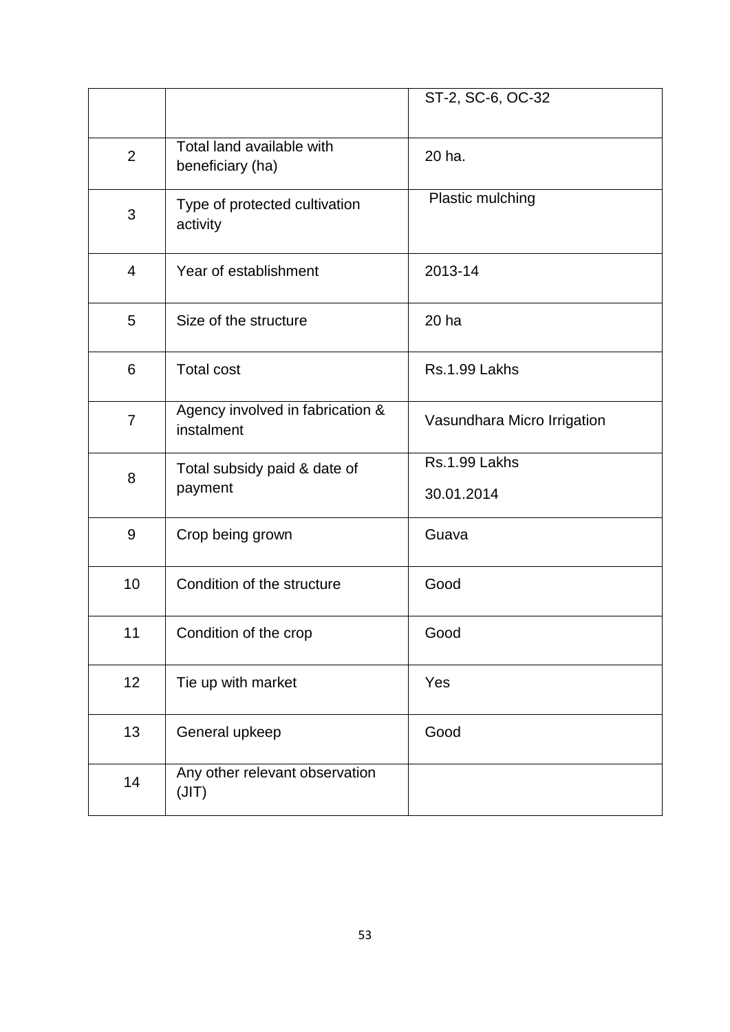|                |                                                | ST-2, SC-6, OC-32           |
|----------------|------------------------------------------------|-----------------------------|
| $\overline{2}$ | Total land available with<br>beneficiary (ha)  | 20 ha.                      |
| 3              | Type of protected cultivation<br>activity      | Plastic mulching            |
| $\overline{4}$ | Year of establishment                          | 2013-14                     |
| 5              | Size of the structure                          | 20 ha                       |
| 6              | <b>Total cost</b>                              | Rs.1.99 Lakhs               |
| $\overline{7}$ | Agency involved in fabrication &<br>instalment | Vasundhara Micro Irrigation |
| 8              | Total subsidy paid & date of<br>payment        | Rs.1.99 Lakhs<br>30.01.2014 |
| 9              | Crop being grown                               | Guava                       |
| 10             | Condition of the structure                     | Good                        |
| 11             | Condition of the crop                          | Good                        |
| 12             | Tie up with market                             | Yes                         |
| 13             | General upkeep                                 | Good                        |
| 14             | Any other relevant observation<br>(JIT)        |                             |